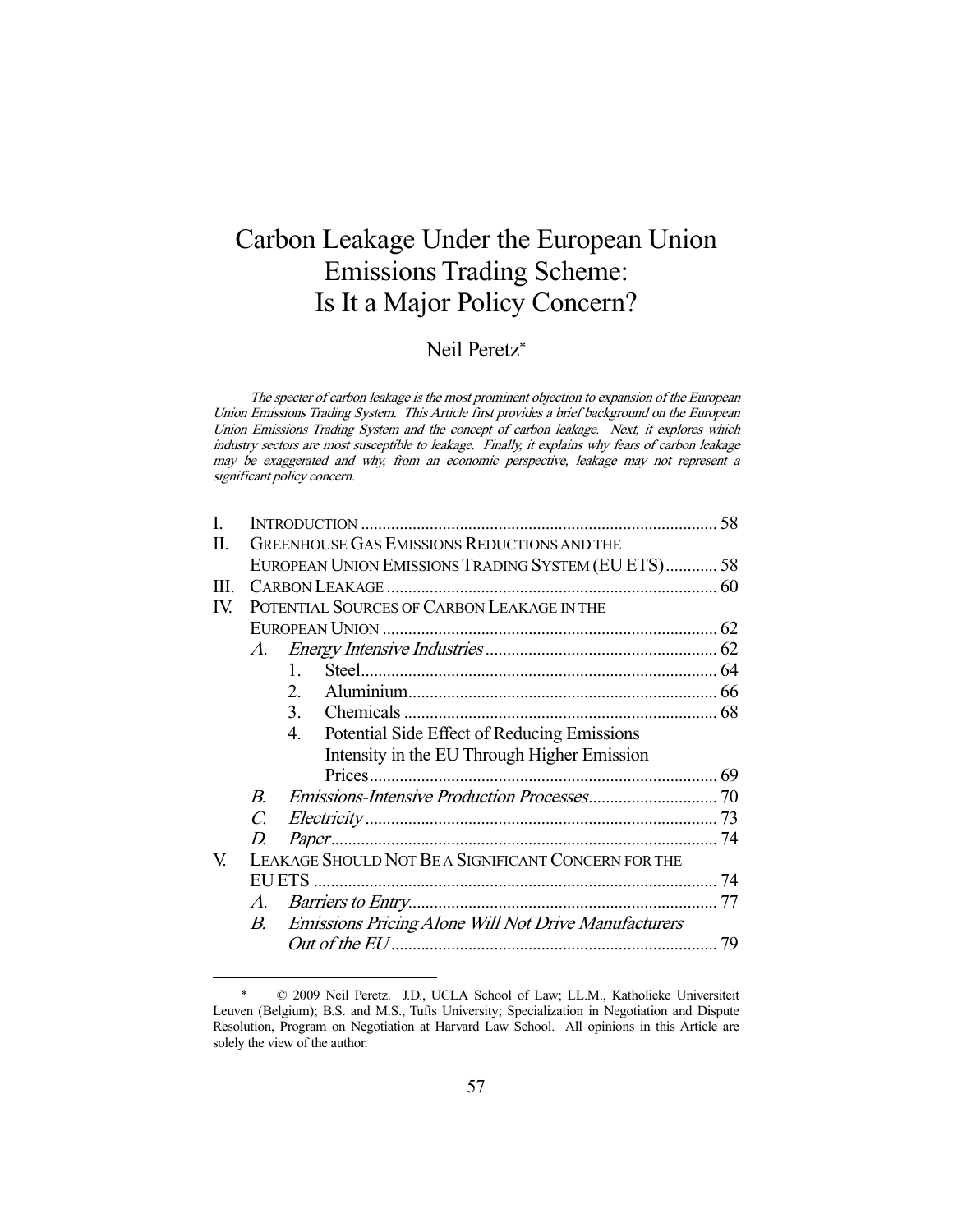# Carbon Leakage Under the European Union Emissions Trading Scheme: Is It a Major Policy Concern?

## Neil Peretz\*

The specter of carbon leakage is the most prominent objection to expansion of the European Union Emissions Trading System. This Article first provides a brief background on the European Union Emissions Trading System and the concept of carbon leakage. Next, it explores which industry sectors are most susceptible to leakage. Finally, it explains why fears of carbon leakage may be exaggerated and why, from an economic perspective, leakage may not represent a significant policy concern.

| I.  |                                                     |                                                                |  |  |  |
|-----|-----------------------------------------------------|----------------------------------------------------------------|--|--|--|
| П.  | <b>GREENHOUSE GAS EMISSIONS REDUCTIONS AND THE</b>  |                                                                |  |  |  |
|     |                                                     | EUROPEAN UNION EMISSIONS TRADING SYSTEM (EU ETS) 58            |  |  |  |
| HI. |                                                     |                                                                |  |  |  |
| IV. |                                                     | POTENTIAL SOURCES OF CARBON LEAKAGE IN THE                     |  |  |  |
|     |                                                     |                                                                |  |  |  |
|     |                                                     |                                                                |  |  |  |
|     |                                                     | $1_{-}$                                                        |  |  |  |
|     |                                                     | $2_{-}$                                                        |  |  |  |
|     |                                                     | 3.                                                             |  |  |  |
|     |                                                     | Potential Side Effect of Reducing Emissions<br>4.              |  |  |  |
|     |                                                     | Intensity in the EU Through Higher Emission                    |  |  |  |
|     |                                                     | Prices                                                         |  |  |  |
|     | $B_{\cdot}$                                         |                                                                |  |  |  |
|     | $\overline{C}$                                      |                                                                |  |  |  |
|     | D                                                   |                                                                |  |  |  |
| V.  | LEAKAGE SHOULD NOT BE A SIGNIFICANT CONCERN FOR THE |                                                                |  |  |  |
|     | EU ETS                                              |                                                                |  |  |  |
|     |                                                     |                                                                |  |  |  |
|     |                                                     | <b>B.</b> Emissions Pricing Alone Will Not Drive Manufacturers |  |  |  |
|     |                                                     |                                                                |  |  |  |
|     |                                                     |                                                                |  |  |  |

 <sup>\* © 2009</sup> Neil Peretz. J.D., UCLA School of Law; LL.M., Katholieke Universiteit Leuven (Belgium); B.S. and M.S., Tufts University; Specialization in Negotiation and Dispute Resolution, Program on Negotiation at Harvard Law School. All opinions in this Article are solely the view of the author.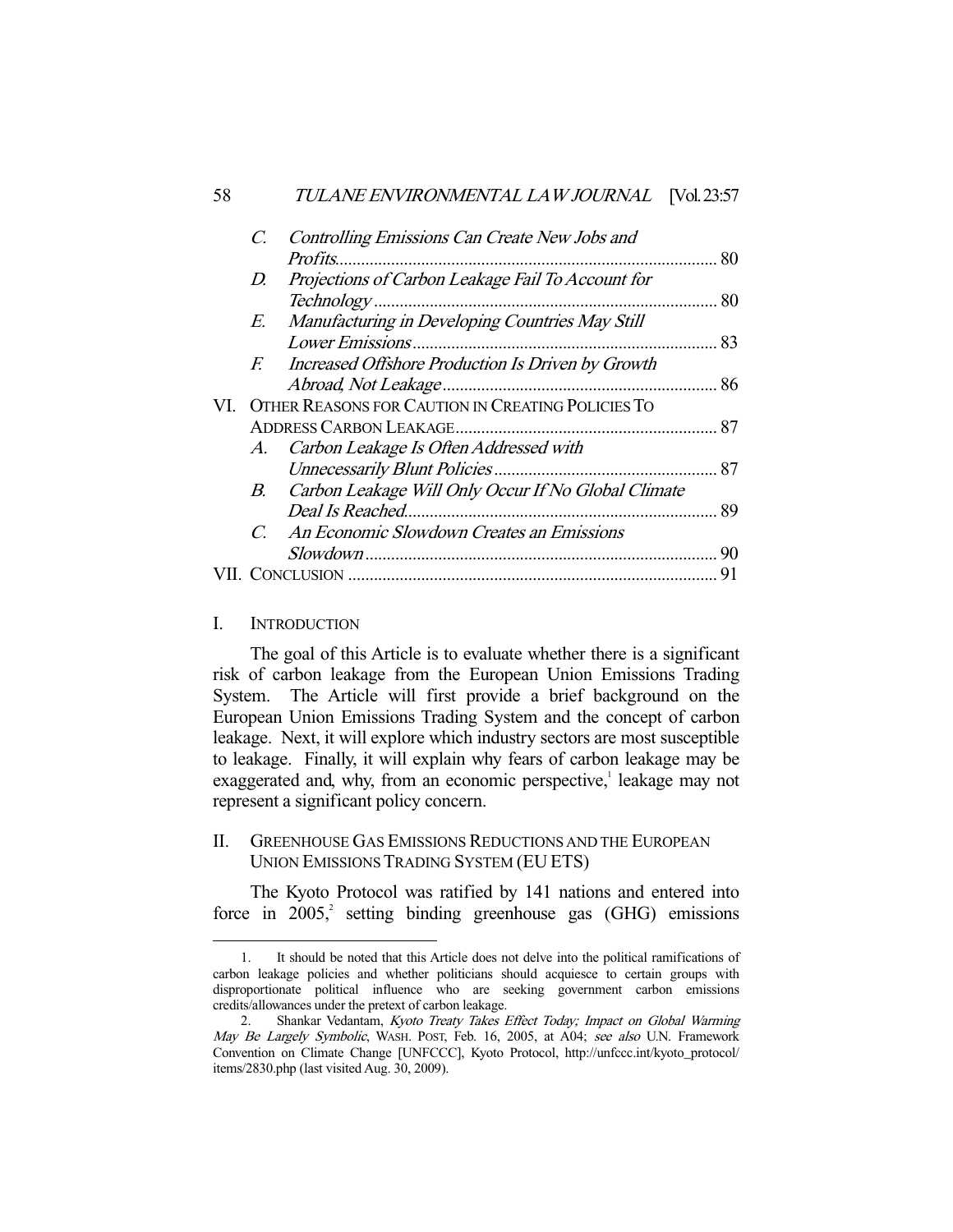| 58  |             | TULANE ENVIRONMENTAL LAW JOURNAL [Vol. 23:57        |    |
|-----|-------------|-----------------------------------------------------|----|
|     | C.          | Controlling Emissions Can Create New Jobs and       |    |
|     |             | <i>Profits</i>                                      |    |
|     | D.          | Projections of Carbon Leakage Fail To Account for   |    |
|     |             |                                                     |    |
|     | E.          | Manufacturing in Developing Countries May Still     |    |
|     |             |                                                     |    |
|     | $F_{\cdot}$ | Increased Offshore Production Is Driven by Growth   |    |
|     |             |                                                     |    |
| VI. |             | OTHER REASONS FOR CAUTION IN CREATING POLICIES TO   |    |
|     |             |                                                     |    |
|     | A.          | Carbon Leakage Is Often Addressed with              |    |
|     |             |                                                     |    |
|     | B.          | Carbon Leakage Will Only Occur If No Global Climate |    |
|     |             | Deal Is Reached                                     |    |
|     | $C_{\cdot}$ | An Economic Slowdown Creates an Emissions           |    |
|     |             |                                                     | 90 |
|     |             |                                                     |    |

## I. INTRODUCTION

-

 The goal of this Article is to evaluate whether there is a significant risk of carbon leakage from the European Union Emissions Trading System. The Article will first provide a brief background on the European Union Emissions Trading System and the concept of carbon leakage. Next, it will explore which industry sectors are most susceptible to leakage. Finally, it will explain why fears of carbon leakage may be exaggerated and, why, from an economic perspective,<sup>1</sup> leakage may not represent a significant policy concern.

## II. GREENHOUSE GAS EMISSIONS REDUCTIONS AND THE EUROPEAN UNION EMISSIONS TRADING SYSTEM (EU ETS)

 The Kyoto Protocol was ratified by 141 nations and entered into force in  $2005$ , setting binding greenhouse gas (GHG) emissions

 <sup>1.</sup> It should be noted that this Article does not delve into the political ramifications of carbon leakage policies and whether politicians should acquiesce to certain groups with disproportionate political influence who are seeking government carbon emissions credits/allowances under the pretext of carbon leakage.

 <sup>2.</sup> Shankar Vedantam, Kyoto Treaty Takes Effect Today; Impact on Global Warming May Be Largely Symbolic, WASH. POST, Feb. 16, 2005, at A04; see also U.N. Framework Convention on Climate Change [UNFCCC], Kyoto Protocol, http://unfccc.int/kyoto\_protocol/ items/2830.php (last visited Aug. 30, 2009).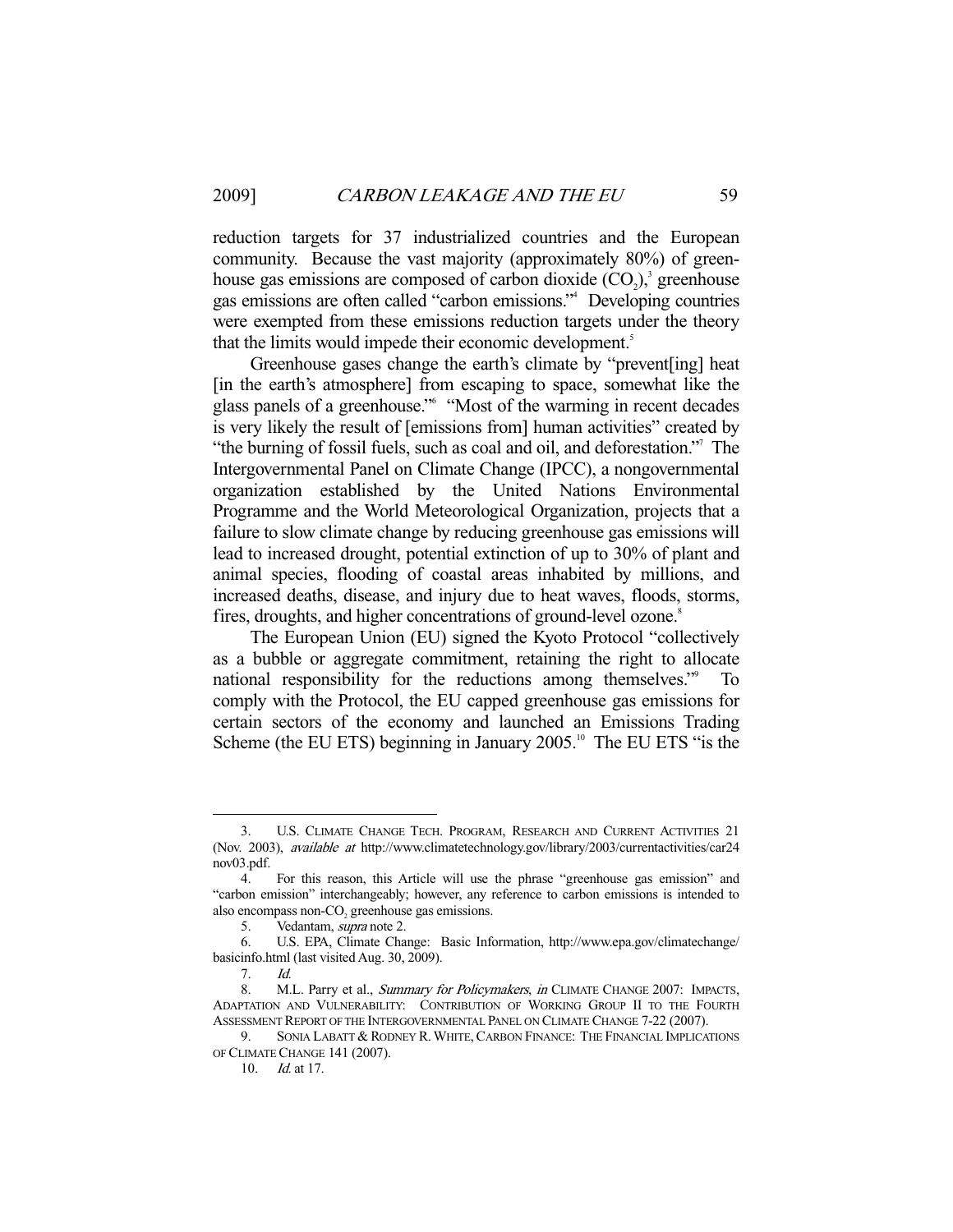reduction targets for 37 industrialized countries and the European community. Because the vast majority (approximately 80%) of greenhouse gas emissions are composed of carbon dioxide  $(CO<sub>2</sub>)$ ,<sup>3</sup> greenhouse gas emissions are often called "carbon emissions."4 Developing countries were exempted from these emissions reduction targets under the theory that the limits would impede their economic development.<sup>5</sup>

 Greenhouse gases change the earth's climate by "prevent[ing] heat [in the earth's atmosphere] from escaping to space, somewhat like the glass panels of a greenhouse."6 "Most of the warming in recent decades is very likely the result of [emissions from] human activities" created by "the burning of fossil fuels, such as coal and oil, and deforestation." The Intergovernmental Panel on Climate Change (IPCC), a nongovernmental organization established by the United Nations Environmental Programme and the World Meteorological Organization, projects that a failure to slow climate change by reducing greenhouse gas emissions will lead to increased drought, potential extinction of up to 30% of plant and animal species, flooding of coastal areas inhabited by millions, and increased deaths, disease, and injury due to heat waves, floods, storms, fires, droughts, and higher concentrations of ground-level ozone.<sup>8</sup>

 The European Union (EU) signed the Kyoto Protocol "collectively as a bubble or aggregate commitment, retaining the right to allocate national responsibility for the reductions among themselves."<sup>9</sup> To comply with the Protocol, the EU capped greenhouse gas emissions for certain sectors of the economy and launched an Emissions Trading Scheme (the EU ETS) beginning in January 2005.<sup>10</sup> The EU ETS "is the

 <sup>3.</sup> U.S. CLIMATE CHANGE TECH. PROGRAM, RESEARCH AND CURRENT ACTIVITIES 21 (Nov. 2003), available at http://www.climatetechnology.gov/library/2003/currentactivities/car24 nov03.pdf.

 <sup>4.</sup> For this reason, this Article will use the phrase "greenhouse gas emission" and "carbon emission" interchangeably; however, any reference to carbon emissions is intended to also encompass non-CO<sub>2</sub> greenhouse gas emissions.

 <sup>5.</sup> Vedantam, supra note 2.

 <sup>6.</sup> U.S. EPA, Climate Change: Basic Information, http://www.epa.gov/climatechange/ basicinfo.html (last visited Aug. 30, 2009).

 <sup>7.</sup> Id.

<sup>8.</sup> M.L. Parry et al., Summary for Policymakers, in CLIMATE CHANGE 2007: IMPACTS, ADAPTATION AND VULNERABILITY: CONTRIBUTION OF WORKING GROUP II TO THE FOURTH ASSESSMENT REPORT OF THE INTERGOVERNMENTAL PANEL ON CLIMATE CHANGE 7-22 (2007).

<sup>9.</sup> SONIA LABATT & RODNEY R. WHITE, CARBON FINANCE: THE FINANCIAL IMPLICATIONS OF CLIMATE CHANGE 141 (2007).

 <sup>10.</sup> Id. at 17.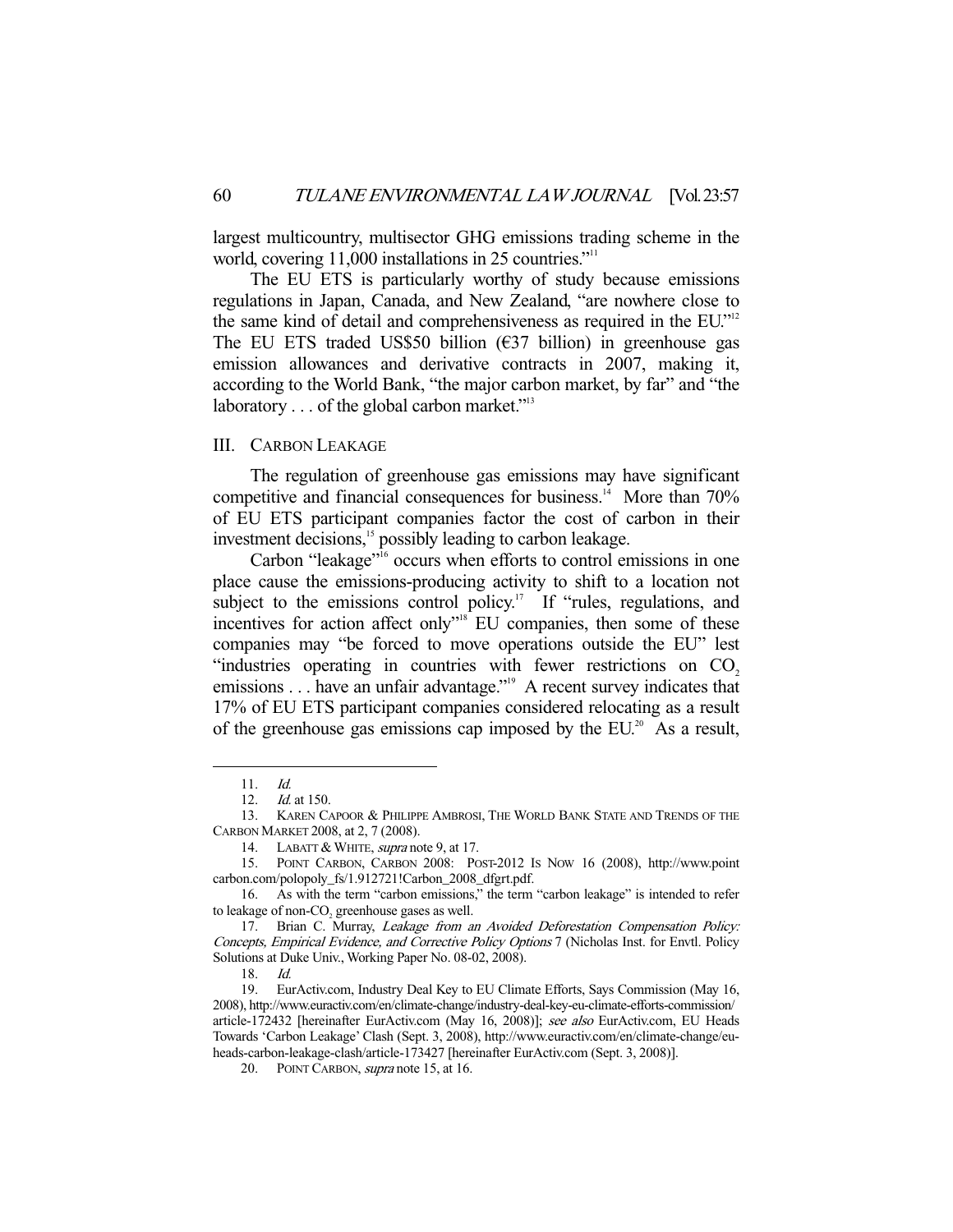largest multicountry, multisector GHG emissions trading scheme in the world, covering 11,000 installations in 25 countries."<sup>11</sup>

 The EU ETS is particularly worthy of study because emissions regulations in Japan, Canada, and New Zealand, "are nowhere close to the same kind of detail and comprehensiveness as required in the EU."<sup>12</sup> The EU ETS traded US\$50 billion ( $\epsilon$ 37 billion) in greenhouse gas emission allowances and derivative contracts in 2007, making it, according to the World Bank, "the major carbon market, by far" and "the laboratory  $\ldots$  of the global carbon market."<sup>13</sup>

## III. CARBON LEAKAGE

 The regulation of greenhouse gas emissions may have significant competitive and financial consequences for business.<sup>14</sup> More than  $70\%$ of EU ETS participant companies factor the cost of carbon in their investment decisions,<sup>15</sup> possibly leading to carbon leakage.

Carbon "leakage"<sup>16</sup> occurs when efforts to control emissions in one place cause the emissions-producing activity to shift to a location not subject to the emissions control policy.<sup>17</sup> If "rules, regulations, and incentives for action affect only"<sup>18</sup> EU companies, then some of these companies may "be forced to move operations outside the EU" lest "industries operating in countries with fewer restrictions on  $CO<sub>2</sub>$ emissions . . . have an unfair advantage."<sup>19</sup> A recent survey indicates that 17% of EU ETS participant companies considered relocating as a result of the greenhouse gas emissions cap imposed by the  $EU^{20}$ . As a result,

 <sup>11.</sup> Id.

<sup>12.</sup> *Id.* at 150.

 <sup>13.</sup> KAREN CAPOOR & PHILIPPE AMBROSI, THE WORLD BANK STATE AND TRENDS OF THE CARBON MARKET 2008, at 2, 7 (2008).

<sup>14.</sup> LABATT & WHITE, supra note 9, at 17.

 <sup>15.</sup> POINT CARBON, CARBON 2008: POST-2012 IS NOW 16 (2008), http://www.point carbon.com/polopoly\_fs/1.912721!Carbon\_2008\_dfgrt.pdf.

 <sup>16.</sup> As with the term "carbon emissions," the term "carbon leakage" is intended to refer to leakage of non- $CO<sub>2</sub>$  greenhouse gases as well.

 <sup>17.</sup> Brian C. Murray, Leakage from an Avoided Deforestation Compensation Policy: Concepts, Empirical Evidence, and Corrective Policy Options 7 (Nicholas Inst. for Envtl. Policy Solutions at Duke Univ., Working Paper No. 08-02, 2008).

 $18 \frac{Id}{ }$ 

 <sup>19.</sup> EurActiv.com, Industry Deal Key to EU Climate Efforts, Says Commission (May 16, 2008), http://www.euractiv.com/en/climate-change/industry-deal-key-eu-climate-efforts-commission/ article-172432 [hereinafter EurActiv.com (May 16, 2008)]; see also EurActiv.com, EU Heads Towards 'Carbon Leakage' Clash (Sept. 3, 2008), http://www.euractiv.com/en/climate-change/euheads-carbon-leakage-clash/article-173427 [hereinafter EurActiv.com (Sept. 3, 2008)].

<sup>20.</sup> POINT CARBON, supra note 15, at 16.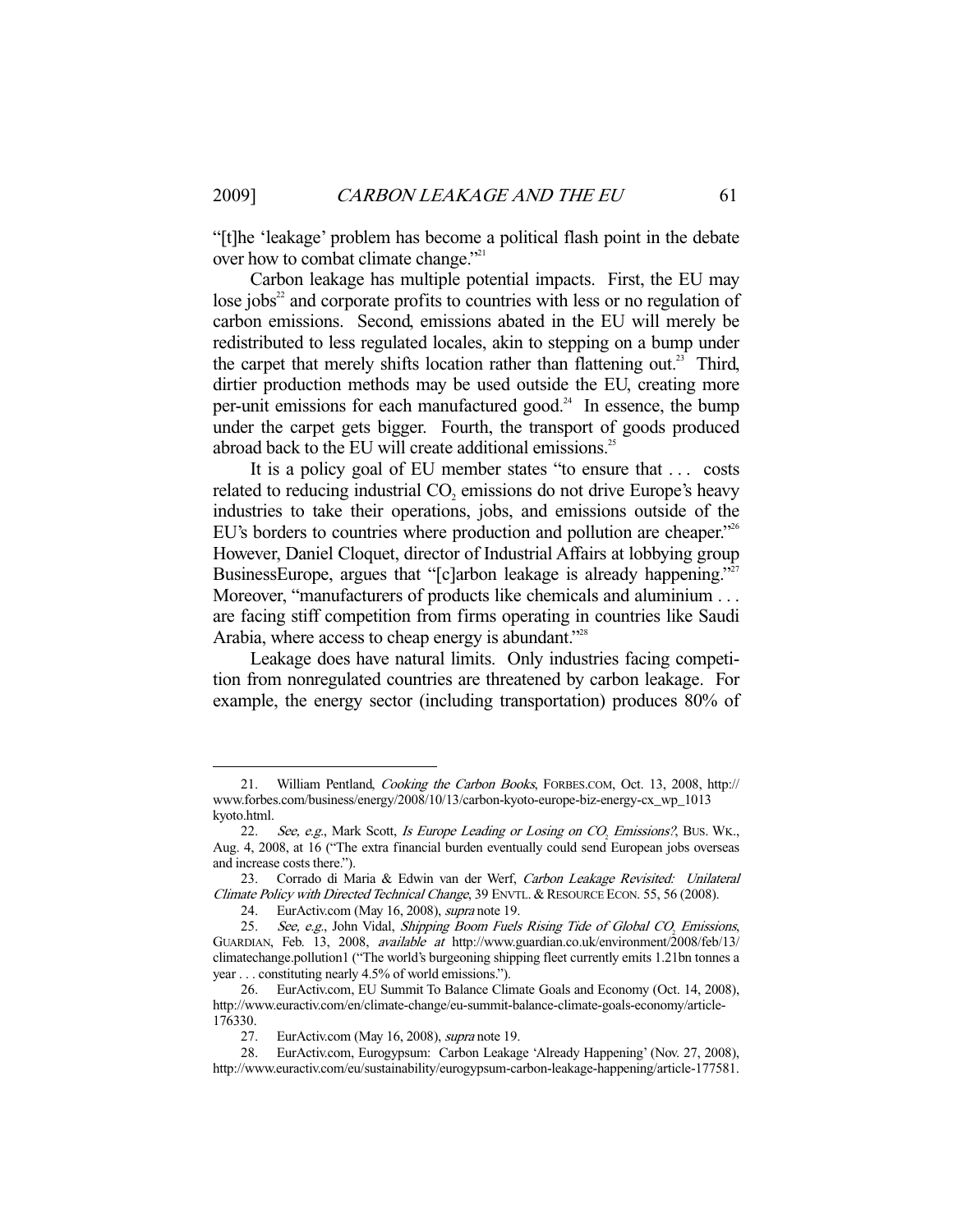"[t]he 'leakage' problem has become a political flash point in the debate over how to combat climate change."<sup>21</sup>

 Carbon leakage has multiple potential impacts. First, the EU may lose jobs $2<sup>2</sup>$  and corporate profits to countries with less or no regulation of carbon emissions. Second, emissions abated in the EU will merely be redistributed to less regulated locales, akin to stepping on a bump under the carpet that merely shifts location rather than flattening out.<sup>23</sup> Third, dirtier production methods may be used outside the EU, creating more per-unit emissions for each manufactured good.<sup>24</sup> In essence, the bump under the carpet gets bigger. Fourth, the transport of goods produced abroad back to the EU will create additional emissions.<sup>25</sup>

 It is a policy goal of EU member states "to ensure that . . . costs related to reducing industrial  $CO<sub>2</sub>$  emissions do not drive Europe's heavy industries to take their operations, jobs, and emissions outside of the EU's borders to countries where production and pollution are cheaper."<sup>26</sup> However, Daniel Cloquet, director of Industrial Affairs at lobbying group BusinessEurope, argues that "[c]arbon leakage is already happening."<sup>27</sup> Moreover, "manufacturers of products like chemicals and aluminium . . . are facing stiff competition from firms operating in countries like Saudi Arabia, where access to cheap energy is abundant."<sup>28</sup>

 Leakage does have natural limits. Only industries facing competition from nonregulated countries are threatened by carbon leakage. For example, the energy sector (including transportation) produces 80% of

 <sup>21.</sup> William Pentland, Cooking the Carbon Books, FORBES.COM, Oct. 13, 2008, http:// www.forbes.com/business/energy/2008/10/13/carbon-kyoto-europe-biz-energy-cx\_wp\_1013 kyoto.html.

<sup>22.</sup> See, e.g., Mark Scott, *Is Europe Leading or Losing on*  $CO<sub>2</sub>$  *Emissions?*, BUS. WK., Aug. 4, 2008, at 16 ("The extra financial burden eventually could send European jobs overseas and increase costs there.").

 <sup>23.</sup> Corrado di Maria & Edwin van der Werf, Carbon Leakage Revisited: Unilateral Climate Policy with Directed Technical Change, 39 ENVTL. & RESOURCE ECON. 55, 56 (2008).

 <sup>24.</sup> EurActiv.com (May 16, 2008), supra note 19.

<sup>25.</sup> See, e.g., John Vidal, Shipping Boom Fuels Rising Tide of Global  $CO<sub>2</sub>$  Emissions, GUARDIAN, Feb. 13, 2008, available at http://www.guardian.co.uk/environment/2008/feb/13/ climatechange.pollution1 ("The world's burgeoning shipping fleet currently emits 1.21bn tonnes a year . . . constituting nearly 4.5% of world emissions.").

 <sup>26.</sup> EurActiv.com, EU Summit To Balance Climate Goals and Economy (Oct. 14, 2008), http://www.euractiv.com/en/climate-change/eu-summit-balance-climate-goals-economy/article-176330.

<sup>27.</sup> EurActiv.com (May 16, 2008), *supra* note 19.

 <sup>28.</sup> EurActiv.com, Eurogypsum: Carbon Leakage 'Already Happening' (Nov. 27, 2008), http://www.euractiv.com/eu/sustainability/eurogypsum-carbon-leakage-happening/article-177581.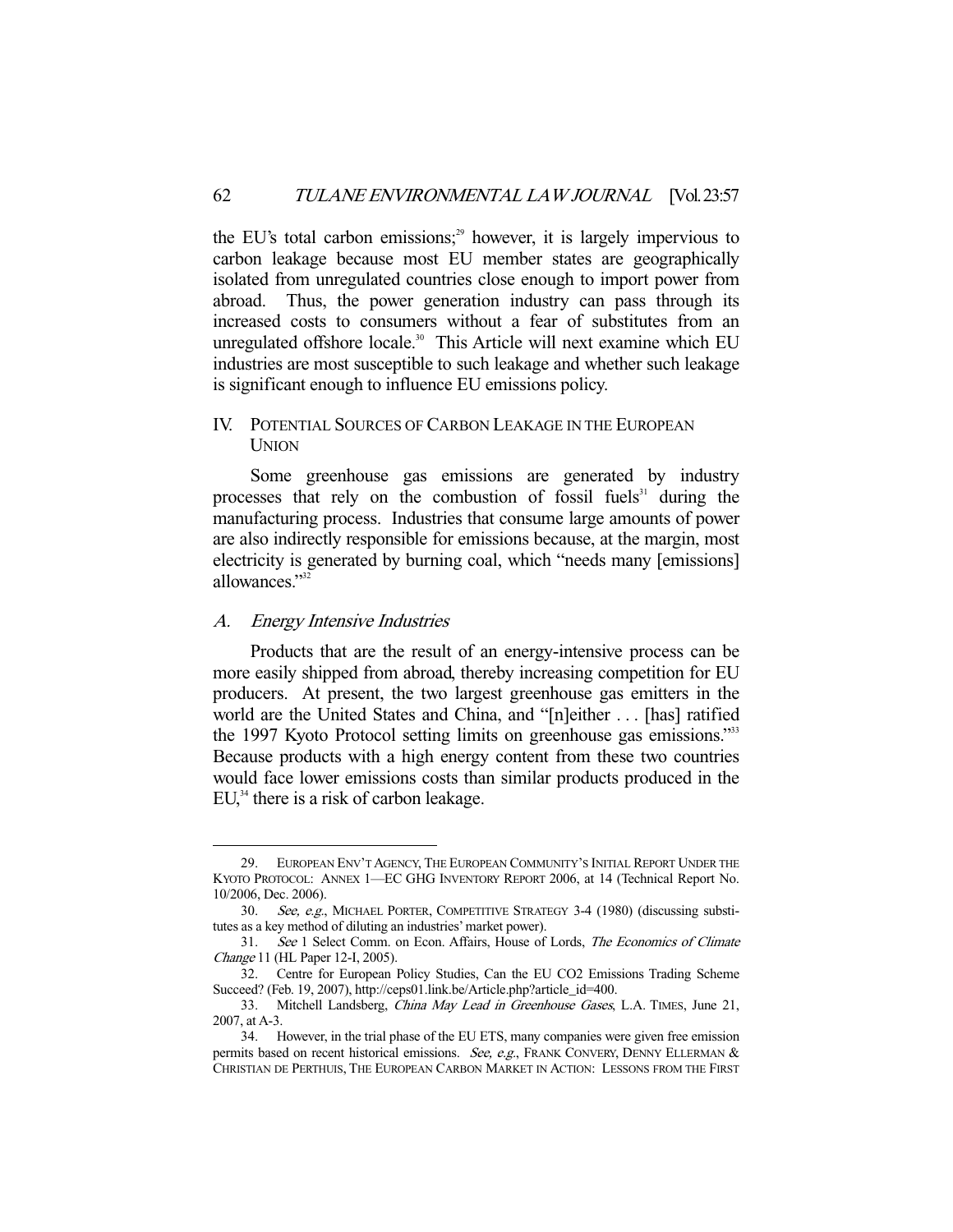the EU's total carbon emissions;<sup>29</sup> however, it is largely impervious to carbon leakage because most EU member states are geographically isolated from unregulated countries close enough to import power from abroad. Thus, the power generation industry can pass through its increased costs to consumers without a fear of substitutes from an unregulated offshore locale.<sup>30</sup> This Article will next examine which EU industries are most susceptible to such leakage and whether such leakage is significant enough to influence EU emissions policy.

## IV. POTENTIAL SOURCES OF CARBON LEAKAGE IN THE EUROPEAN **UNION**

 Some greenhouse gas emissions are generated by industry processes that rely on the combustion of fossil fuels<sup>31</sup> during the manufacturing process. Industries that consume large amounts of power are also indirectly responsible for emissions because, at the margin, most electricity is generated by burning coal, which "needs many [emissions] allowances<sup>"32</sup>

#### A. Energy Intensive Industries

-

 Products that are the result of an energy-intensive process can be more easily shipped from abroad, thereby increasing competition for EU producers. At present, the two largest greenhouse gas emitters in the world are the United States and China, and "[n]either . . . [has] ratified the 1997 Kyoto Protocol setting limits on greenhouse gas emissions."<sup>33</sup> Because products with a high energy content from these two countries would face lower emissions costs than similar products produced in the  $EU<sub>34</sub><sup>34</sup>$  there is a risk of carbon leakage.

 <sup>29.</sup> EUROPEAN ENV'T AGENCY, THE EUROPEAN COMMUNITY'S INITIAL REPORT UNDER THE KYOTO PROTOCOL: ANNEX 1—EC GHG INVENTORY REPORT 2006, at 14 (Technical Report No. 10/2006, Dec. 2006).

<sup>30.</sup> See, e.g., MICHAEL PORTER, COMPETITIVE STRATEGY 3-4 (1980) (discussing substitutes as a key method of diluting an industries' market power).

 <sup>31.</sup> See 1 Select Comm. on Econ. Affairs, House of Lords, The Economics of Climate Change 11 (HL Paper 12-I, 2005).

 <sup>32.</sup> Centre for European Policy Studies, Can the EU CO2 Emissions Trading Scheme Succeed? (Feb. 19, 2007), http://ceps01.link.be/Article.php?article\_id=400.

<sup>33.</sup> Mitchell Landsberg, *China May Lead in Greenhouse Gases*, L.A. TIMES, June 21, 2007, at A-3.

 <sup>34.</sup> However, in the trial phase of the EU ETS, many companies were given free emission permits based on recent historical emissions. See, e.g., FRANK CONVERY, DENNY ELLERMAN & CHRISTIAN DE PERTHUIS, THE EUROPEAN CARBON MARKET IN ACTION: LESSONS FROM THE FIRST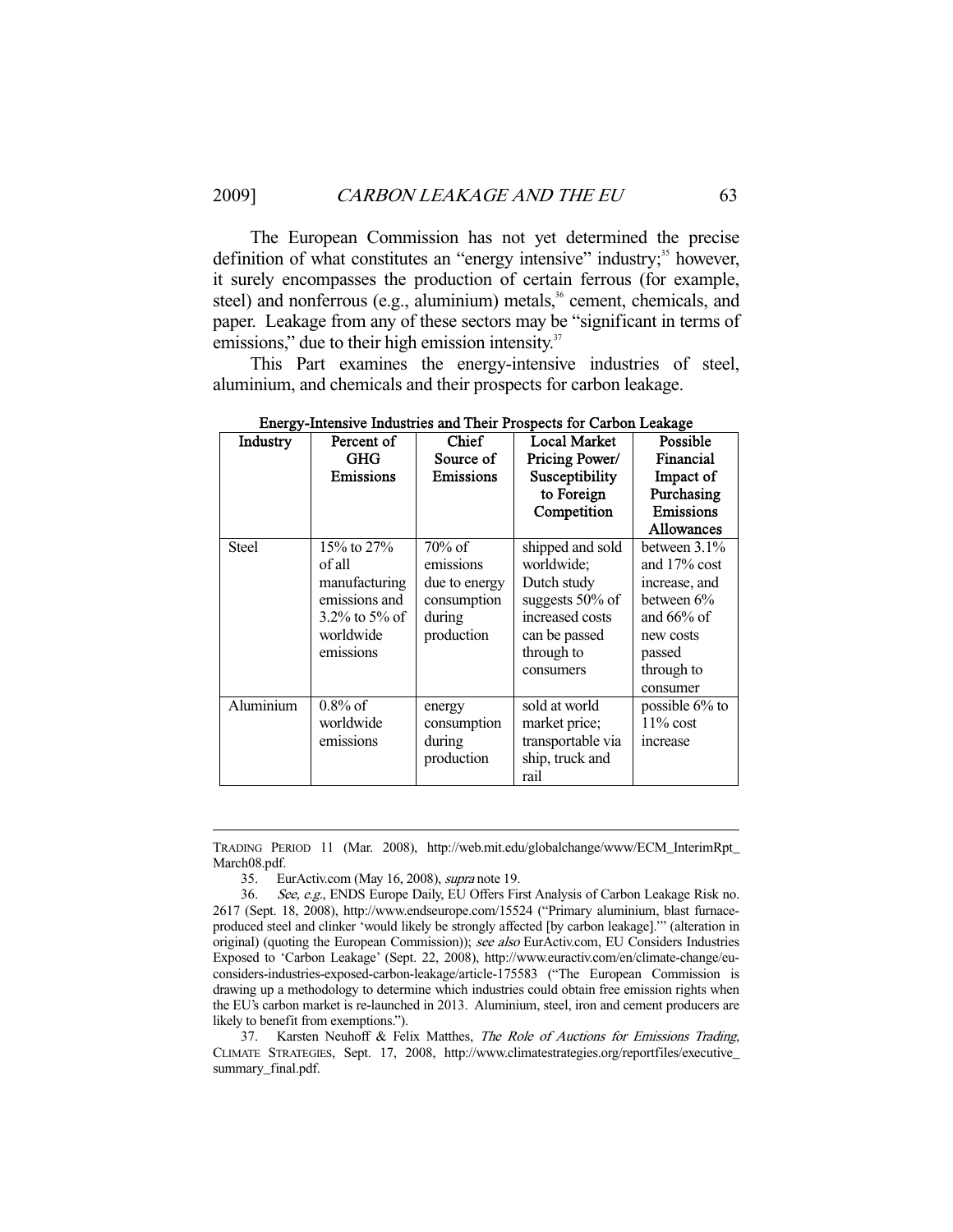The European Commission has not yet determined the precise definition of what constitutes an "energy intensive" industry;<sup>35</sup> however, it surely encompasses the production of certain ferrous (for example, steel) and nonferrous (e.g., aluminium) metals, $36$  cement, chemicals, and paper. Leakage from any of these sectors may be "significant in terms of emissions," due to their high emission intensity.<sup>37</sup>

 This Part examines the energy-intensive industries of steel, aluminium, and chemicals and their prospects for carbon leakage.

| <b>Industry</b> | Percent of<br>GHG<br><b>Emissions</b>                                                                  | <b>Chief</b><br>Source of<br>Emissions                                         | <b>Local Market</b><br>Pricing Power/<br>Susceptibility<br>to Foreign<br>Competition                                               | Possible<br>Financial<br>Impact of<br>Purchasing<br><b>Emissions</b><br>Allowances                                                 |
|-----------------|--------------------------------------------------------------------------------------------------------|--------------------------------------------------------------------------------|------------------------------------------------------------------------------------------------------------------------------------|------------------------------------------------------------------------------------------------------------------------------------|
| <b>Steel</b>    | 15\% to 27\%<br>of all<br>manufacturing<br>emissions and<br>$3.2\%$ to 5% of<br>worldwide<br>emissions | $70\%$ of<br>emissions<br>due to energy<br>consumption<br>during<br>production | shipped and sold<br>worldwide;<br>Dutch study<br>suggests $50\%$ of<br>increased costs<br>can be passed<br>through to<br>consumers | between 3.1%<br>and $17\%$ cost<br>increase, and<br>between $6\%$<br>and $66%$ of<br>new costs<br>passed<br>through to<br>consumer |
| Aluminium       | $0.8\%$ of<br>worldwide<br>emissions                                                                   | energy<br>consumption<br>during<br>production                                  | sold at world<br>market price;<br>transportable via<br>ship, truck and<br>rail                                                     | possible 6% to<br>$11\%$ cost<br>increase                                                                                          |

Energy-Intensive Industries and Their Prospects for Carbon Leakage

TRADING PERIOD 11 (Mar. 2008), http://web.mit.edu/globalchange/www/ECM\_InterimRpt\_ March08.pdf.

35. EurActiv.com (May 16, 2008), supra note 19.

-

 37. Karsten Neuhoff & Felix Matthes, The Role of Auctions for Emissions Trading, CLIMATE STRATEGIES, Sept. 17, 2008, http://www.climatestrategies.org/reportfiles/executive\_ summary\_final.pdf.

<sup>36.</sup> See, e.g., ENDS Europe Daily, EU Offers First Analysis of Carbon Leakage Risk no. 2617 (Sept. 18, 2008), http://www.endseurope.com/15524 ("Primary aluminium, blast furnaceproduced steel and clinker 'would likely be strongly affected [by carbon leakage].'" (alteration in original) (quoting the European Commission)); see also EurActiv.com, EU Considers Industries Exposed to 'Carbon Leakage' (Sept. 22, 2008), http://www.euractiv.com/en/climate-change/euconsiders-industries-exposed-carbon-leakage/article-175583 ("The European Commission is drawing up a methodology to determine which industries could obtain free emission rights when the EU's carbon market is re-launched in 2013. Aluminium, steel, iron and cement producers are likely to benefit from exemptions.").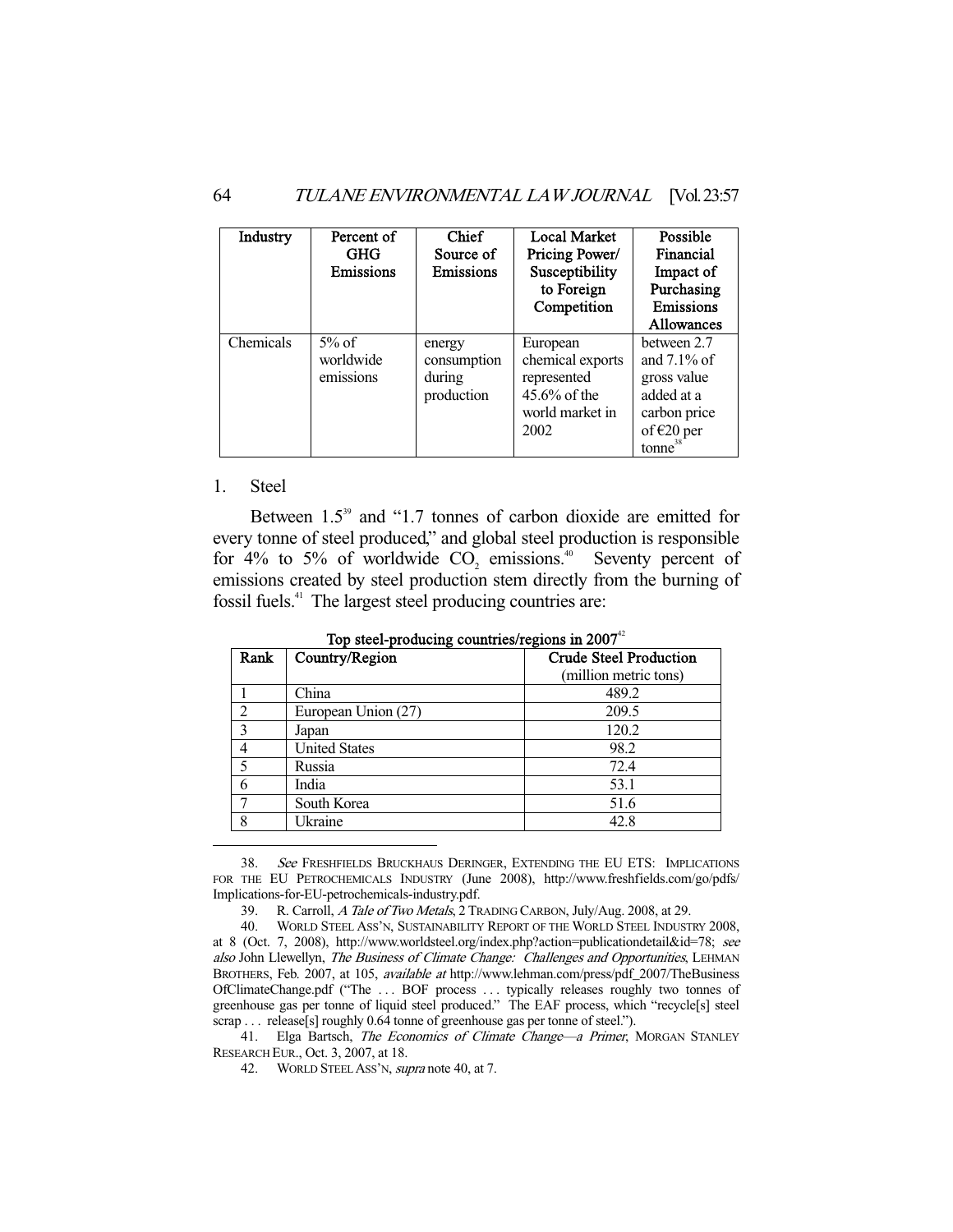| Industry  | Percent of<br><b>GHG</b><br>Emissions | <b>Chief</b><br>Source of<br>Emissions        | <b>Local Market</b><br>Pricing Power/<br>Susceptibility<br>to Foreign<br>Competition      | Possible<br>Financial<br>Impact of<br>Purchasing<br>Emissions<br><b>Allowances</b>                         |
|-----------|---------------------------------------|-----------------------------------------------|-------------------------------------------------------------------------------------------|------------------------------------------------------------------------------------------------------------|
| Chemicals | $5%$ of<br>worldwide<br>emissions     | energy<br>consumption<br>during<br>production | European<br>chemical exports<br>represented<br>$45.6\%$ of the<br>world market in<br>2002 | between 2.7<br>and $7.1\%$ of<br>gross value<br>added at a<br>carbon price<br>of $E20$ per<br>$tonne^{38}$ |

## 1. Steel

-

Between 1.5<sup>39</sup> and "1.7 tonnes of carbon dioxide are emitted for every tonne of steel produced," and global steel production is responsible for 4% to 5% of worldwide  $CO_2$  emissions.<sup>40</sup> Seventy percent of emissions created by steel production stem directly from the burning of fossil fuels.41 The largest steel producing countries are:

| Rank           | Country/Region       | <b>Crude Steel Production</b><br>(million metric tons) |  |
|----------------|----------------------|--------------------------------------------------------|--|
|                | China                | 489.2                                                  |  |
| $\mathfrak{D}$ | European Union (27)  | 209.5                                                  |  |
| 3              | Japan                | 120.2                                                  |  |
| 4              | <b>United States</b> | 98.2                                                   |  |
| 5              | Russia               | 72.4                                                   |  |
| 6              | India                | 53.1                                                   |  |
| ┑              | South Korea          | 51.6                                                   |  |
| 8              | Ukraine              | 42.8                                                   |  |

Top steel-producing countries/regions in  $2007<sup>42</sup>$ 

 38. See FRESHFIELDS BRUCKHAUS DERINGER, EXTENDING THE EU ETS: IMPLICATIONS FOR THE EU PETROCHEMICALS INDUSTRY (June 2008), http://www.freshfields.com/go/pdfs/ Implications-for-EU-petrochemicals-industry.pdf.

39. R. Carroll, A Tale of Two Metals, 2 TRADING CARBON, July/Aug. 2008, at 29.

41. Elga Bartsch, *The Economics of Climate Change—a Primer*, MORGAN STANLEY RESEARCH EUR., Oct. 3, 2007, at 18.

42. WORLD STEEL ASS'N, supra note 40, at 7.

 <sup>40.</sup> WORLD STEEL ASS'N, SUSTAINABILITY REPORT OF THE WORLD STEEL INDUSTRY 2008, at 8 (Oct. 7, 2008), http://www.worldsteel.org/index.php?action=publicationdetail&id=78; see also John Llewellyn, The Business of Climate Change: Challenges and Opportunities, LEHMAN BROTHERS, Feb. 2007, at 105, available at http://www.lehman.com/press/pdf\_2007/TheBusiness OfClimateChange.pdf ("The . . . BOF process . . . typically releases roughly two tonnes of greenhouse gas per tonne of liquid steel produced." The EAF process, which "recycle[s] steel scrap . . . release[s] roughly 0.64 tonne of greenhouse gas per tonne of steel.").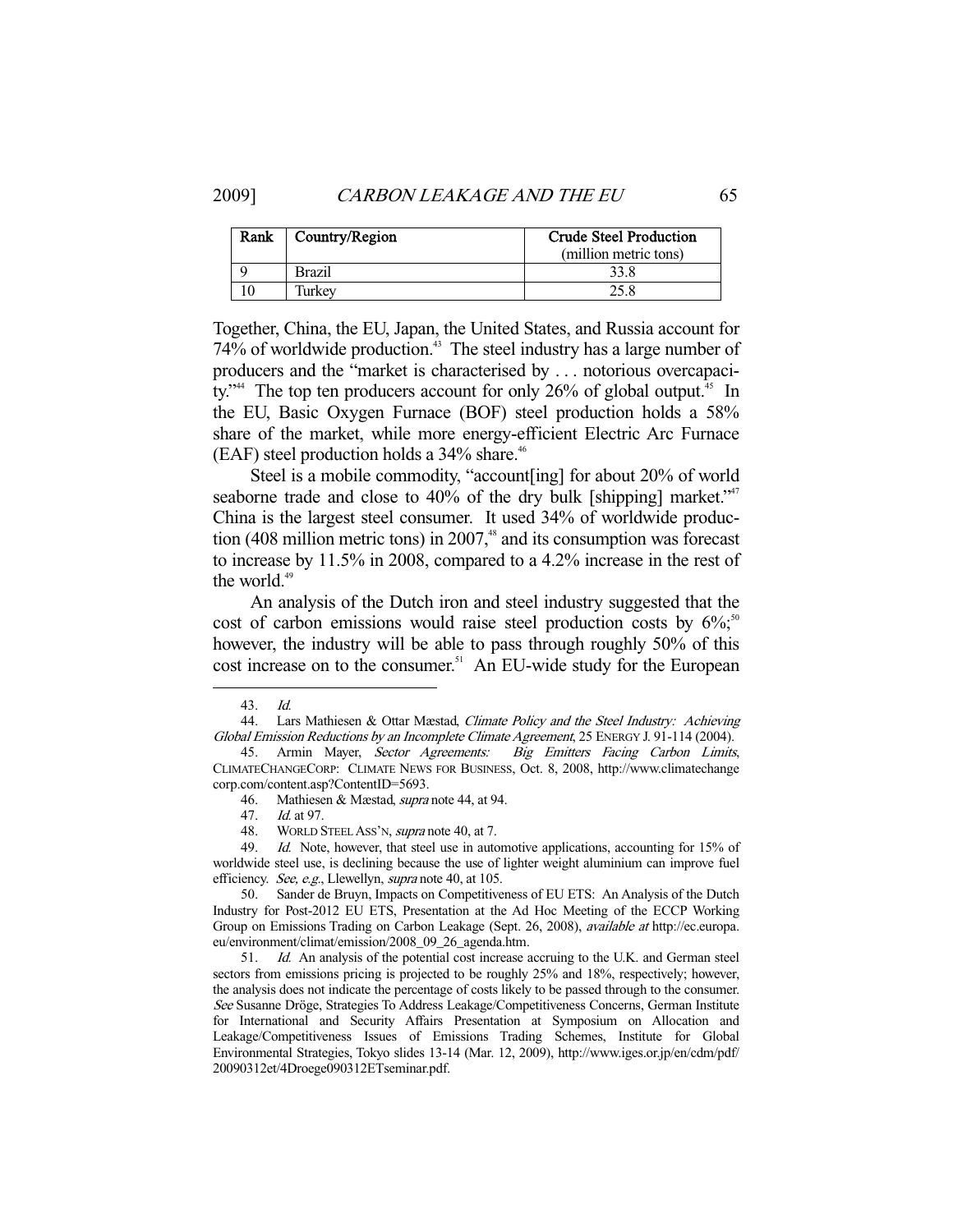| Rank | Country/Region | <b>Crude Steel Production</b> |  |
|------|----------------|-------------------------------|--|
|      |                | (million metric tons)         |  |
|      | <b>Brazil</b>  | 33.8                          |  |
|      | Turkey         |                               |  |

Together, China, the EU, Japan, the United States, and Russia account for 74% of worldwide production.<sup>43</sup> The steel industry has a large number of producers and the "market is characterised by . . . notorious overcapacity."<sup>44</sup> The top ten producers account for only 26% of global output.<sup>45</sup> In the EU, Basic Oxygen Furnace (BOF) steel production holds a 58% share of the market, while more energy-efficient Electric Arc Furnace (EAF) steel production holds a  $34\%$  share.<sup>46</sup>

 Steel is a mobile commodity, "account[ing] for about 20% of world seaborne trade and close to  $40\%$  of the dry bulk [shipping] market."<sup>47</sup> China is the largest steel consumer. It used 34% of worldwide production (408 million metric tons) in  $2007$ ,<sup>48</sup> and its consumption was forecast to increase by 11.5% in 2008, compared to a 4.2% increase in the rest of the world.<sup>49</sup>

 An analysis of the Dutch iron and steel industry suggested that the cost of carbon emissions would raise steel production costs by  $6\%$ ;<sup>50</sup> however, the industry will be able to pass through roughly 50% of this cost increase on to the consumer.<sup>51</sup> An EU-wide study for the European

 <sup>43.</sup> Id.

 <sup>44.</sup> Lars Mathiesen & Ottar Mæstad, Climate Policy and the Steel Industry: Achieving Global Emission Reductions by an Incomplete Climate Agreement, 25 ENERGY J. 91-114 (2004).

<sup>45.</sup> Armin Mayer, Sector Agreements: Big Emitters Facing Carbon Limits, CLIMATECHANGECORP: CLIMATE NEWS FOR BUSINESS, Oct. 8, 2008, http://www.climatechange corp.com/content.asp?ContentID=5693.

 <sup>46.</sup> Mathiesen & Mæstad, supra note 44, at 94.

 <sup>47.</sup> Id. at 97.

<sup>48.</sup> WORLD STEEL ASS'N, *supra* note 40, at 7.<br>49. *Id.* Note, however, that steel use in auto

Id. Note, however, that steel use in automotive applications, accounting for 15% of worldwide steel use, is declining because the use of lighter weight aluminium can improve fuel efficiency. See, e.g., Llewellyn, supra note 40, at 105.

 <sup>50.</sup> Sander de Bruyn, Impacts on Competitiveness of EU ETS: An Analysis of the Dutch Industry for Post-2012 EU ETS, Presentation at the Ad Hoc Meeting of the ECCP Working Group on Emissions Trading on Carbon Leakage (Sept. 26, 2008), *available at* http://ec.europa. eu/environment/climat/emission/2008\_09\_26\_agenda.htm.

 <sup>51.</sup> Id. An analysis of the potential cost increase accruing to the U.K. and German steel sectors from emissions pricing is projected to be roughly 25% and 18%, respectively; however, the analysis does not indicate the percentage of costs likely to be passed through to the consumer. See Susanne Dröge, Strategies To Address Leakage/Competitiveness Concerns, German Institute for International and Security Affairs Presentation at Symposium on Allocation and Leakage/Competitiveness Issues of Emissions Trading Schemes, Institute for Global Environmental Strategies, Tokyo slides 13-14 (Mar. 12, 2009), http://www.iges.or.jp/en/cdm/pdf/ 20090312et/4Droege090312ETseminar.pdf.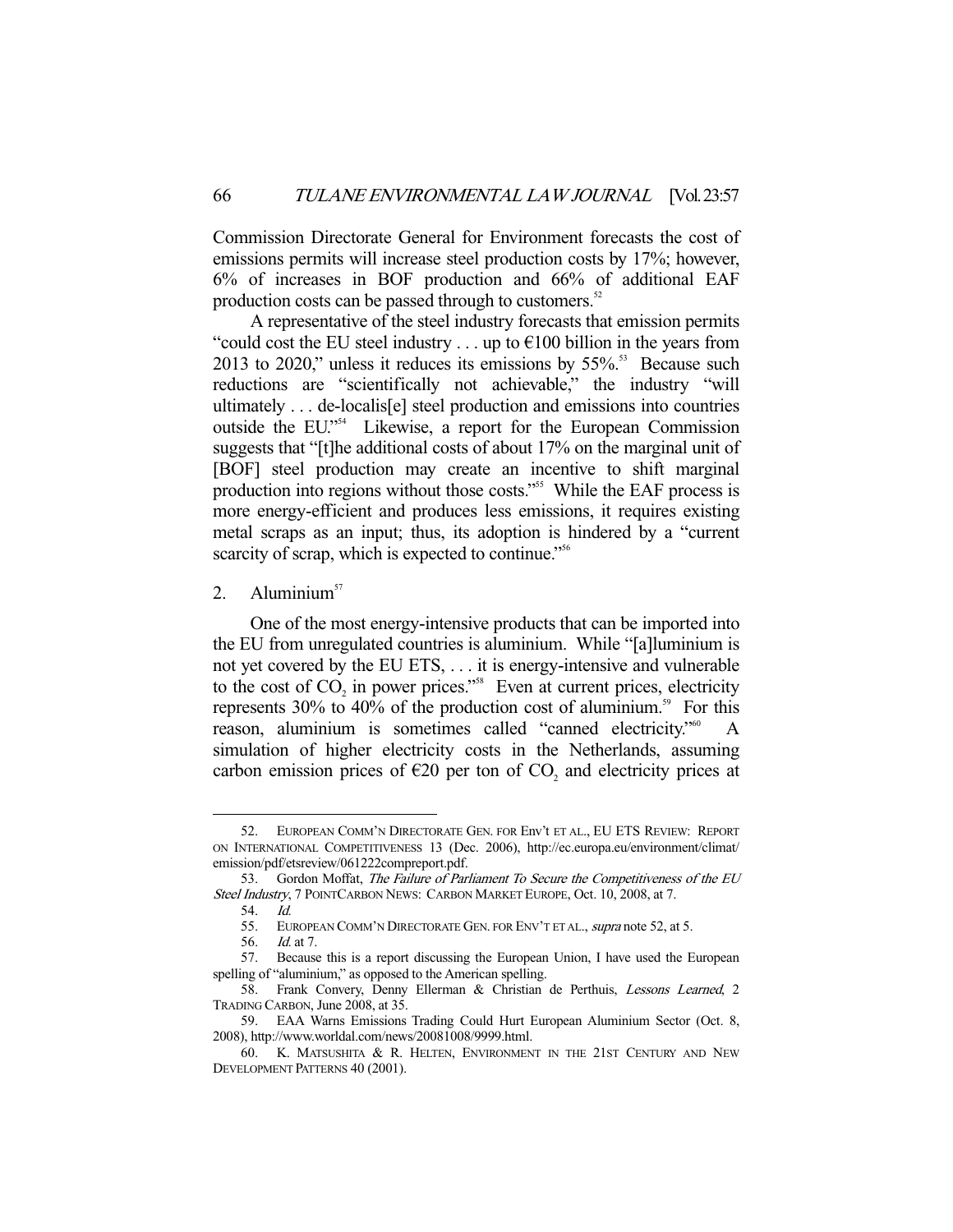Commission Directorate General for Environment forecasts the cost of emissions permits will increase steel production costs by 17%; however, 6% of increases in BOF production and 66% of additional EAF production costs can be passed through to customers.<sup>52</sup>

 A representative of the steel industry forecasts that emission permits "could cost the EU steel industry  $\dots$  up to  $\epsilon$ 100 billion in the years from 2013 to 2020," unless it reduces its emissions by  $55\%$ .<sup>53</sup> Because such reductions are "scientifically not achievable," the industry "will ultimately . . . de-localis[e] steel production and emissions into countries outside the EU."54 Likewise, a report for the European Commission suggests that "[t]he additional costs of about 17% on the marginal unit of [BOF] steel production may create an incentive to shift marginal production into regions without those costs."<sup>555</sup> While the EAF process is more energy-efficient and produces less emissions, it requires existing metal scraps as an input; thus, its adoption is hindered by a "current scarcity of scrap, which is expected to continue."<sup>556</sup>

2. Aluminium $57$ 

 One of the most energy-intensive products that can be imported into the EU from unregulated countries is aluminium. While "[a]luminium is not yet covered by the EU ETS, . . . it is energy-intensive and vulnerable to the cost of  $CO<sub>2</sub>$  in power prices."<sup>58</sup> Even at current prices, electricity represents  $30\%$  to  $40\%$  of the production cost of aluminium.<sup>59</sup> For this reason, aluminium is sometimes called "canned electricity."<sup>60</sup> simulation of higher electricity costs in the Netherlands, assuming carbon emission prices of  $\epsilon$ 20 per ton of CO<sub>2</sub> and electricity prices at

 <sup>52.</sup> EUROPEAN COMM'N DIRECTORATE GEN. FOR Env't ET AL., EU ETS REVIEW: REPORT ON INTERNATIONAL COMPETITIVENESS 13 (Dec. 2006), http://ec.europa.eu/environment/climat/ emission/pdf/etsreview/061222compreport.pdf.

<sup>53.</sup> Gordon Moffat, The Failure of Parliament To Secure the Competitiveness of the EU Steel Industry, 7 POINTCARBON NEWS: CARBON MARKET EUROPE, Oct. 10, 2008, at 7.

 <sup>54.</sup> Id.

<sup>55.</sup> EUROPEAN COMM'N DIRECTORATE GEN. FOR ENV'T ET AL., supra note 52, at 5.

 <sup>56.</sup> Id. at 7.

 <sup>57.</sup> Because this is a report discussing the European Union, I have used the European spelling of "aluminium," as opposed to the American spelling.

 <sup>58.</sup> Frank Convery, Denny Ellerman & Christian de Perthuis, Lessons Learned, 2 TRADING CARBON, June 2008, at 35.

 <sup>59.</sup> EAA Warns Emissions Trading Could Hurt European Aluminium Sector (Oct. 8, 2008), http://www.worldal.com/news/20081008/9999.html.

 <sup>60.</sup> K. MATSUSHITA & R. HELTEN, ENVIRONMENT IN THE 21ST CENTURY AND NEW DEVELOPMENT PATTERNS 40 (2001).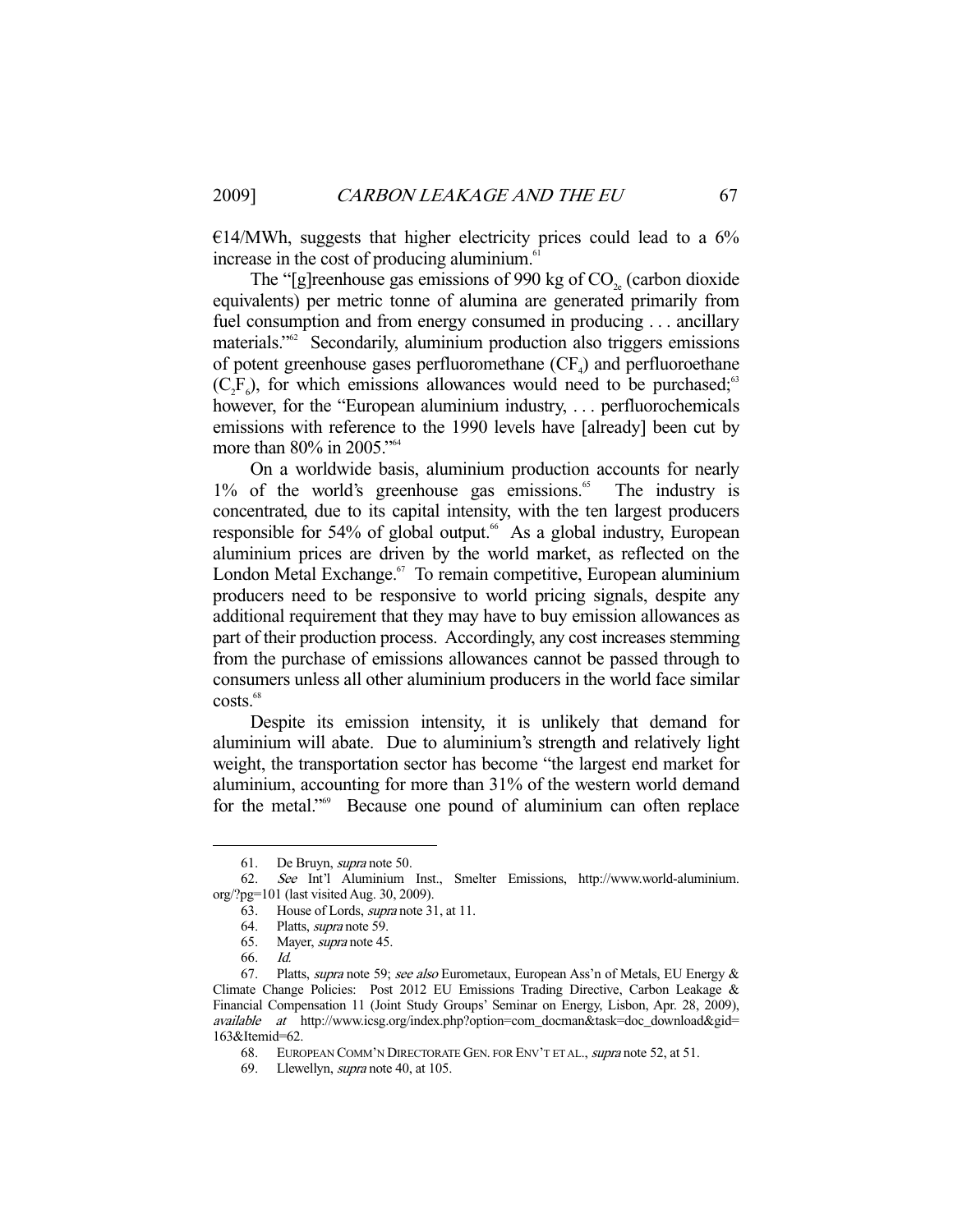$E14/MWh$ , suggests that higher electricity prices could lead to a 6% increase in the cost of producing aluminium.<sup>6</sup>

The "[g]reenhouse gas emissions of 990 kg of  $CO<sub>2e</sub>$  (carbon dioxide equivalents) per metric tonne of alumina are generated primarily from fuel consumption and from energy consumed in producing . . . ancillary materials."62 Secondarily, aluminium production also triggers emissions of potent greenhouse gases perfluoromethane  $(CF<sub>4</sub>)$  and perfluoroethane  $(C_2F_6)$ , for which emissions allowances would need to be purchased;<sup>63</sup> however, for the "European aluminium industry, ... perfluorochemicals emissions with reference to the 1990 levels have [already] been cut by more than 80% in 2005."<sup>64</sup>

 On a worldwide basis, aluminium production accounts for nearly  $1\%$  of the world's greenhouse gas emissions.<sup>65</sup> The industry is concentrated, due to its capital intensity, with the ten largest producers responsible for 54% of global output.<sup>66</sup> As a global industry, European aluminium prices are driven by the world market, as reflected on the London Metal Exchange.<sup>67</sup> To remain competitive, European aluminium producers need to be responsive to world pricing signals, despite any additional requirement that they may have to buy emission allowances as part of their production process. Accordingly, any cost increases stemming from the purchase of emissions allowances cannot be passed through to consumers unless all other aluminium producers in the world face similar costs.<sup>68</sup>

 Despite its emission intensity, it is unlikely that demand for aluminium will abate. Due to aluminium's strength and relatively light weight, the transportation sector has become "the largest end market for aluminium, accounting for more than 31% of the western world demand for the metal."<sup>69</sup> Because one pound of aluminium can often replace

 <sup>61.</sup> De Bruyn, supra note 50.

 <sup>62.</sup> See Int'l Aluminium Inst., Smelter Emissions, http://www.world-aluminium. org/?pg=101 (last visited Aug. 30, 2009).

 <sup>63.</sup> House of Lords, supra note 31, at 11.

 <sup>64.</sup> Platts, supra note 59.

 <sup>65.</sup> Mayer, supra note 45.

 <sup>66.</sup> Id.

<sup>67.</sup> Platts, *supra* note 59; see also Eurometaux, European Ass'n of Metals, EU Energy & Climate Change Policies: Post 2012 EU Emissions Trading Directive, Carbon Leakage & Financial Compensation 11 (Joint Study Groups' Seminar on Energy, Lisbon, Apr. 28, 2009), available at http://www.icsg.org/index.php?option=com\_docman&task=doc\_download&gid= 163&Itemid=62.

 <sup>68.</sup> EUROPEAN COMM'N DIRECTORATE GEN. FOR ENV'T ET AL., supra note 52, at 51.

<sup>69.</sup> Llewellyn, *supra* note 40, at 105.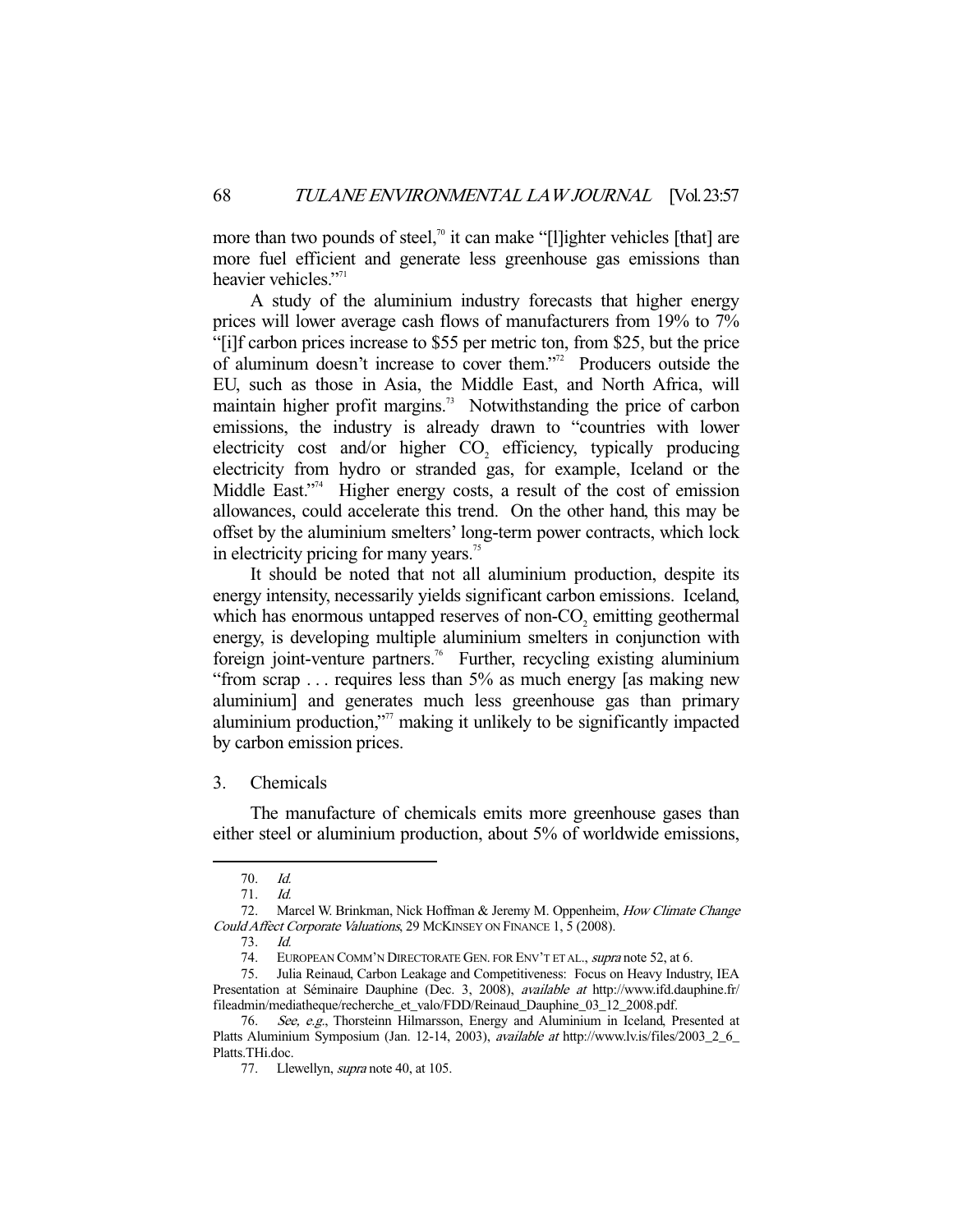more than two pounds of steel,<sup>70</sup> it can make "[l]ighter vehicles [that] are more fuel efficient and generate less greenhouse gas emissions than heavier vehicles."<sup>71</sup>

 A study of the aluminium industry forecasts that higher energy prices will lower average cash flows of manufacturers from 19% to 7% "[i]f carbon prices increase to \$55 per metric ton, from \$25, but the price of aluminum doesn't increase to cover them."72 Producers outside the EU, such as those in Asia, the Middle East, and North Africa, will maintain higher profit margins.<sup>73</sup> Notwithstanding the price of carbon emissions, the industry is already drawn to "countries with lower electricity cost and/or higher  $CO<sub>2</sub>$  efficiency, typically producing electricity from hydro or stranded gas, for example, Iceland or the Middle East."<sup>4</sup> Higher energy costs, a result of the cost of emission allowances, could accelerate this trend. On the other hand, this may be offset by the aluminium smelters' long-term power contracts, which lock in electricity pricing for many years.<sup>75</sup>

 It should be noted that not all aluminium production, despite its energy intensity, necessarily yields significant carbon emissions. Iceland, which has enormous untapped reserves of non- $CO<sub>2</sub>$  emitting geothermal energy, is developing multiple aluminium smelters in conjunction with foreign joint-venture partners.<sup>76</sup> Further, recycling existing aluminium "from scrap . . . requires less than 5% as much energy [as making new aluminium] and generates much less greenhouse gas than primary aluminium production,"<sup>77</sup> making it unlikely to be significantly impacted by carbon emission prices.

3. Chemicals

 The manufacture of chemicals emits more greenhouse gases than either steel or aluminium production, about 5% of worldwide emissions,

 <sup>70.</sup> Id.

<sup>71.</sup> *Id.*<br>72. Ma

Marcel W. Brinkman, Nick Hoffman & Jeremy M. Oppenheim, How Climate Change Could Affect Corporate Valuations, 29 MCKINSEY ON FINANCE 1, 5 (2008).

 <sup>73.</sup> Id.

<sup>74.</sup> EUROPEAN COMM'N DIRECTORATE GEN. FOR ENV'T ET AL., supra note 52, at 6.

 <sup>75.</sup> Julia Reinaud, Carbon Leakage and Competitiveness: Focus on Heavy Industry, IEA Presentation at Séminaire Dauphine (Dec. 3, 2008), available at http://www.ifd.dauphine.fr/ fileadmin/mediatheque/recherche\_et\_valo/FDD/Reinaud\_Dauphine\_03\_12\_2008.pdf.

 <sup>76.</sup> See, e.g., Thorsteinn Hilmarsson, Energy and Aluminium in Iceland, Presented at Platts Aluminium Symposium (Jan. 12-14, 2003), *available at* http://www.lv.is/files/2003\_2\_6\_ Platts.THi.doc.

<sup>77.</sup> Llewellyn, *supra* note 40, at 105.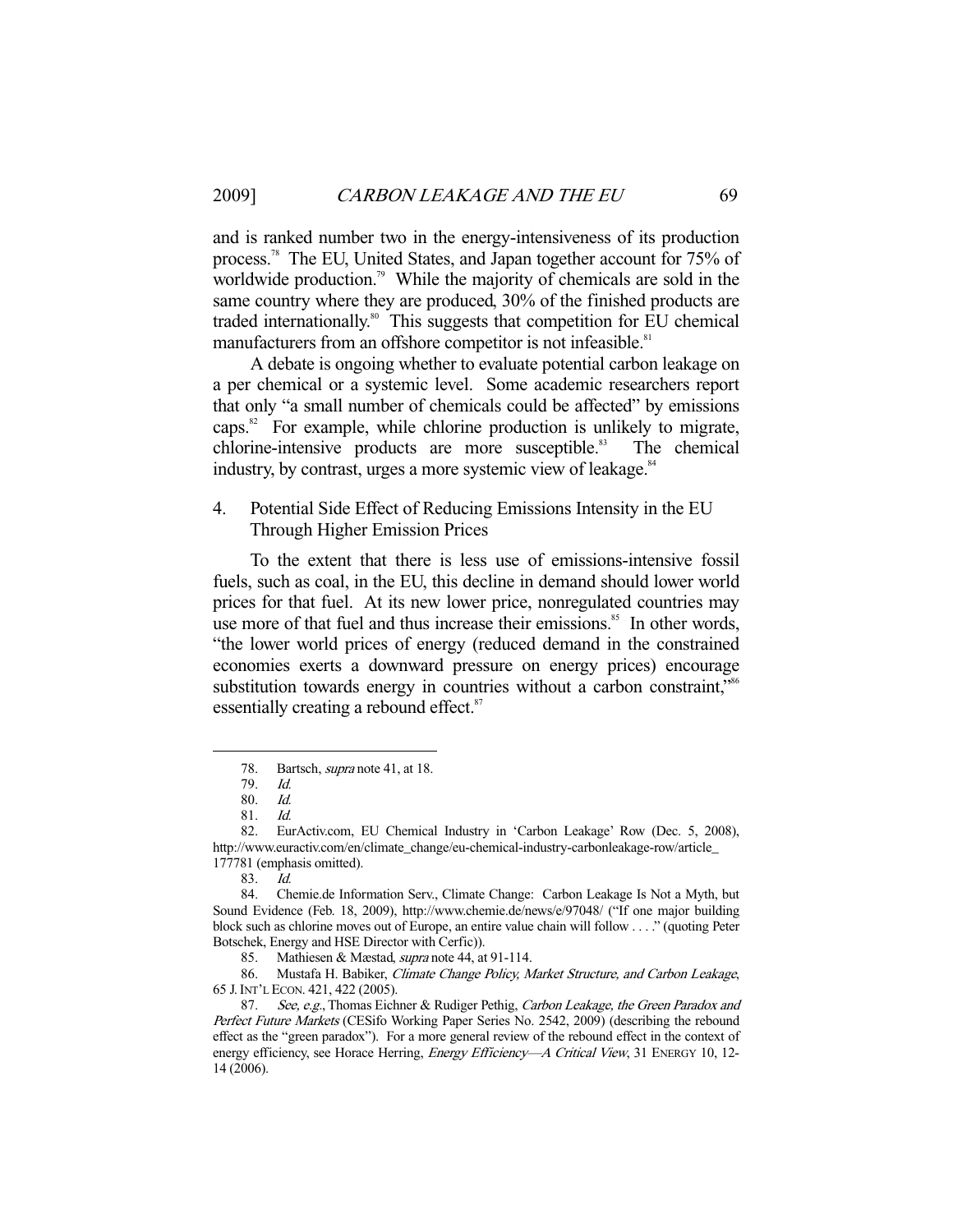and is ranked number two in the energy-intensiveness of its production process.78 The EU, United States, and Japan together account for 75% of worldwide production.<sup>79</sup> While the majority of chemicals are sold in the same country where they are produced, 30% of the finished products are traded internationally.<sup>80</sup> This suggests that competition for EU chemical manufacturers from an offshore competitor is not infeasible.<sup>81</sup>

 A debate is ongoing whether to evaluate potential carbon leakage on a per chemical or a systemic level. Some academic researchers report that only "a small number of chemicals could be affected" by emissions caps. $82$  For example, while chlorine production is unlikely to migrate, chlorine-intensive products are more susceptible.<sup>83</sup> The chemical industry, by contrast, urges a more systemic view of leakage.<sup>84</sup>

4. Potential Side Effect of Reducing Emissions Intensity in the EU Through Higher Emission Prices

 To the extent that there is less use of emissions-intensive fossil fuels, such as coal, in the EU, this decline in demand should lower world prices for that fuel. At its new lower price, nonregulated countries may use more of that fuel and thus increase their emissions.<sup>85</sup> In other words, "the lower world prices of energy (reduced demand in the constrained economies exerts a downward pressure on energy prices) encourage substitution towards energy in countries without a carbon constraint,<sup>note</sup> essentially creating a rebound effect.<sup>87</sup>

-

86. Mustafa H. Babiker, *Climate Change Policy, Market Structure, and Carbon Leakage*, 65 J.INT'L ECON. 421, 422 (2005).

<sup>78.</sup> Bartsch, *supra* note 41, at 18.

 <sup>79.</sup> Id.

 <sup>80.</sup> Id.

 <sup>81.</sup> Id.

 <sup>82.</sup> EurActiv.com, EU Chemical Industry in 'Carbon Leakage' Row (Dec. 5, 2008), http://www.euractiv.com/en/climate\_change/eu-chemical-industry-carbonleakage-row/article\_ 177781 (emphasis omitted).

 <sup>83.</sup> Id.

 <sup>84.</sup> Chemie.de Information Serv., Climate Change: Carbon Leakage Is Not a Myth, but Sound Evidence (Feb. 18, 2009), http://www.chemie.de/news/e/97048/ ("If one major building block such as chlorine moves out of Europe, an entire value chain will follow . . . ." (quoting Peter Botschek, Energy and HSE Director with Cerfic)).

<sup>85.</sup> Mathiesen & Mæstad, *supra* note 44, at 91-114.

<sup>87.</sup> See, e.g., Thomas Eichner & Rudiger Pethig, Carbon Leakage, the Green Paradox and Perfect Future Markets (CESifo Working Paper Series No. 2542, 2009) (describing the rebound effect as the "green paradox"). For a more general review of the rebound effect in the context of energy efficiency, see Horace Herring, Energy Efficiency--- A Critical View, 31 ENERGY 10, 12-14 (2006).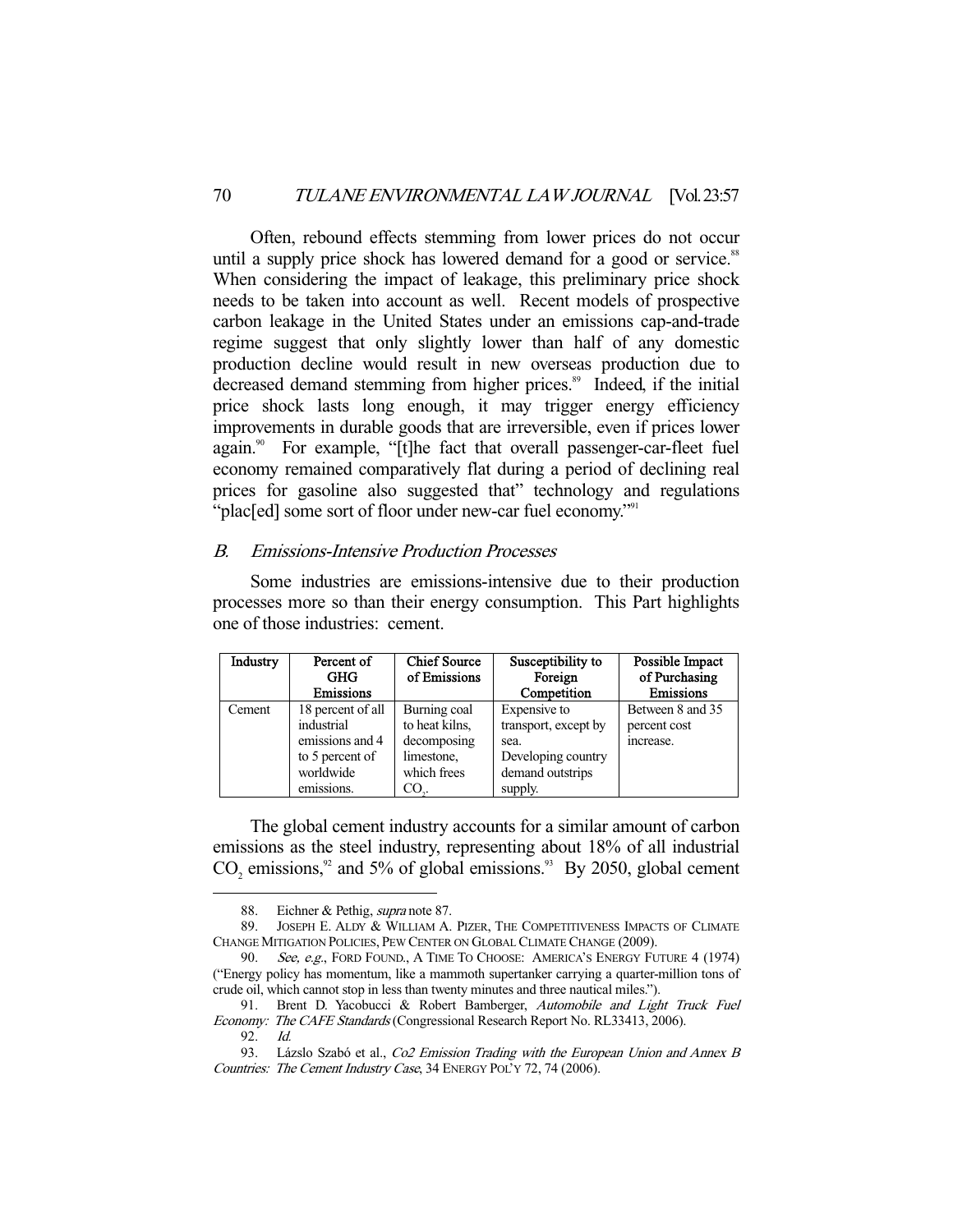Often, rebound effects stemming from lower prices do not occur until a supply price shock has lowered demand for a good or service.<sup>88</sup> When considering the impact of leakage, this preliminary price shock needs to be taken into account as well. Recent models of prospective carbon leakage in the United States under an emissions cap-and-trade regime suggest that only slightly lower than half of any domestic production decline would result in new overseas production due to decreased demand stemming from higher prices.<sup>89</sup> Indeed, if the initial price shock lasts long enough, it may trigger energy efficiency improvements in durable goods that are irreversible, even if prices lower again.<sup>90</sup> For example, "[t]he fact that overall passenger-car-fleet fuel economy remained comparatively flat during a period of declining real prices for gasoline also suggested that" technology and regulations "plac[ed] some sort of floor under new-car fuel economy."<sup>91</sup>

## B. Emissions-Intensive Production Processes

 Some industries are emissions-intensive due to their production processes more so than their energy consumption. This Part highlights one of those industries: cement.

| Industry | Percent of<br><b>GHG</b> | Chief Source<br>of Emissions | Susceptibility to<br>Foreign | Possible Impact<br>of Purchasing |
|----------|--------------------------|------------------------------|------------------------------|----------------------------------|
|          | Emissions                |                              | Competition                  | Emissions                        |
| Cement   | 18 percent of all        | Burning coal                 | Expensive to                 | Between 8 and 35                 |
|          | industrial               | to heat kilns,               | transport, except by         | percent cost                     |
|          | emissions and 4          | decomposing                  | sea.                         | increase.                        |
|          | to 5 percent of          | limestone,                   | Developing country           |                                  |
|          | worldwide                | which frees                  | demand outstrips             |                                  |
|          | emissions.               | CO                           | supply.                      |                                  |

 The global cement industry accounts for a similar amount of carbon emissions as the steel industry, representing about 18% of all industrial  $CO<sub>2</sub>$  emissions,<sup>92</sup> and 5% of global emissions.<sup>93</sup> By 2050, global cement

<sup>88.</sup> Eichner & Pethig, *supra* note 87.

 <sup>89.</sup> JOSEPH E. ALDY & WILLIAM A. PIZER, THE COMPETITIVENESS IMPACTS OF CLIMATE CHANGE MITIGATION POLICIES, PEW CENTER ON GLOBAL CLIMATE CHANGE (2009).

<sup>90.</sup> See, e.g., FORD FOUND., A TIME TO CHOOSE: AMERICA'S ENERGY FUTURE 4 (1974) ("Energy policy has momentum, like a mammoth supertanker carrying a quarter-million tons of crude oil, which cannot stop in less than twenty minutes and three nautical miles.").

 <sup>91.</sup> Brent D. Yacobucci & Robert Bamberger, Automobile and Light Truck Fuel Economy: The CAFE Standards (Congressional Research Report No. RL33413, 2006).

 <sup>92.</sup> Id.

<sup>93.</sup> Lázslo Szabó et al., Co2 Emission Trading with the European Union and Annex B Countries: The Cement Industry Case, 34 ENERGY POL'Y 72, 74 (2006).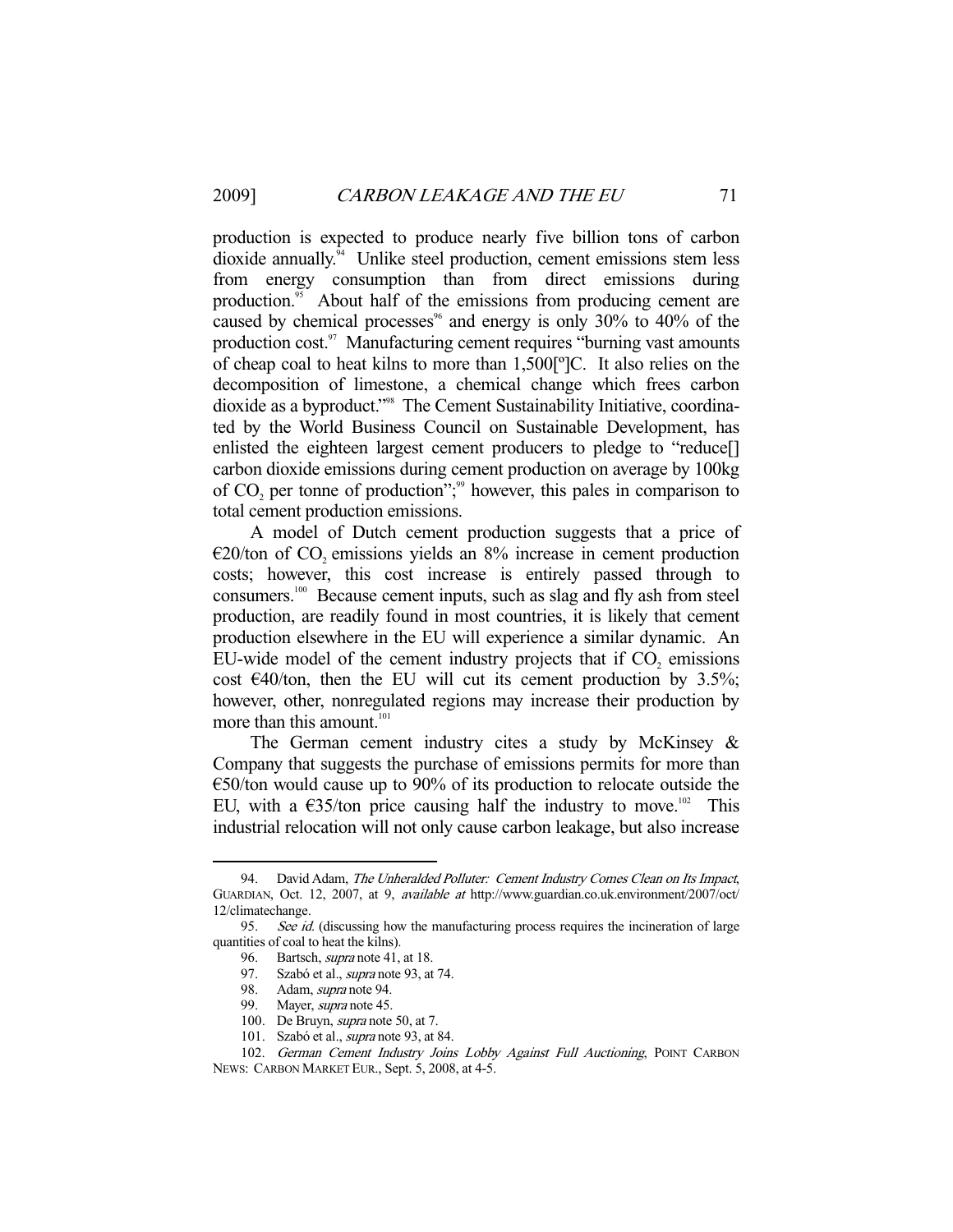production is expected to produce nearly five billion tons of carbon dioxide annually.94 Unlike steel production, cement emissions stem less from energy consumption than from direct emissions during production.<sup>95</sup> About half of the emissions from producing cement are caused by chemical processes<sup> $%$ </sup> and energy is only 30% to 40% of the production cost.<sup>97</sup> Manufacturing cement requires "burning vast amounts" of cheap coal to heat kilns to more than 1,500[º]C. It also relies on the decomposition of limestone, a chemical change which frees carbon dioxide as a byproduct."98 The Cement Sustainability Initiative, coordinated by the World Business Council on Sustainable Development, has enlisted the eighteen largest cement producers to pledge to "reduce[] carbon dioxide emissions during cement production on average by 100kg of  $CO<sub>2</sub>$  per tonne of production";<sup>99</sup> however, this pales in comparison to total cement production emissions.

 A model of Dutch cement production suggests that a price of  $E20$ /ton of CO<sub>2</sub> emissions yields an 8% increase in cement production costs; however, this cost increase is entirely passed through to consumers.100 Because cement inputs, such as slag and fly ash from steel production, are readily found in most countries, it is likely that cement production elsewhere in the EU will experience a similar dynamic. An EU-wide model of the cement industry projects that if  $CO<sub>2</sub>$  emissions cost  $\epsilon$ 40/ton, then the EU will cut its cement production by 3.5%; however, other, nonregulated regions may increase their production by more than this amount.<sup>101</sup>

The German cement industry cites a study by McKinsey  $\&$ Company that suggests the purchase of emissions permits for more than €50/ton would cause up to 90% of its production to relocate outside the EU, with a  $\epsilon$ 35/ton price causing half the industry to move.<sup>102</sup> This industrial relocation will not only cause carbon leakage, but also increase

<sup>94.</sup> David Adam, The Unheralded Polluter: Cement Industry Comes Clean on Its Impact, GUARDIAN, Oct. 12, 2007, at 9, available at http://www.guardian.co.uk.environment/2007/oct/ 12/climatechange.

<sup>95.</sup> See id. (discussing how the manufacturing process requires the incineration of large quantities of coal to heat the kilns).

<sup>96.</sup> Bartsch, *supra* note 41, at 18.

<sup>97.</sup> Szabó et al., *supra* note 93, at 74.

<sup>98.</sup> Adam, *supra* note 94.

<sup>99.</sup> Mayer, *supra* note 45.

<sup>100.</sup> De Bruyn, *supra* note 50, at 7.

 <sup>101.</sup> Szabó et al., supra note 93, at 84.

<sup>102.</sup> German Cement Industry Joins Lobby Against Full Auctioning, POINT CARBON NEWS: CARBON MARKET EUR., Sept. 5, 2008, at 4-5.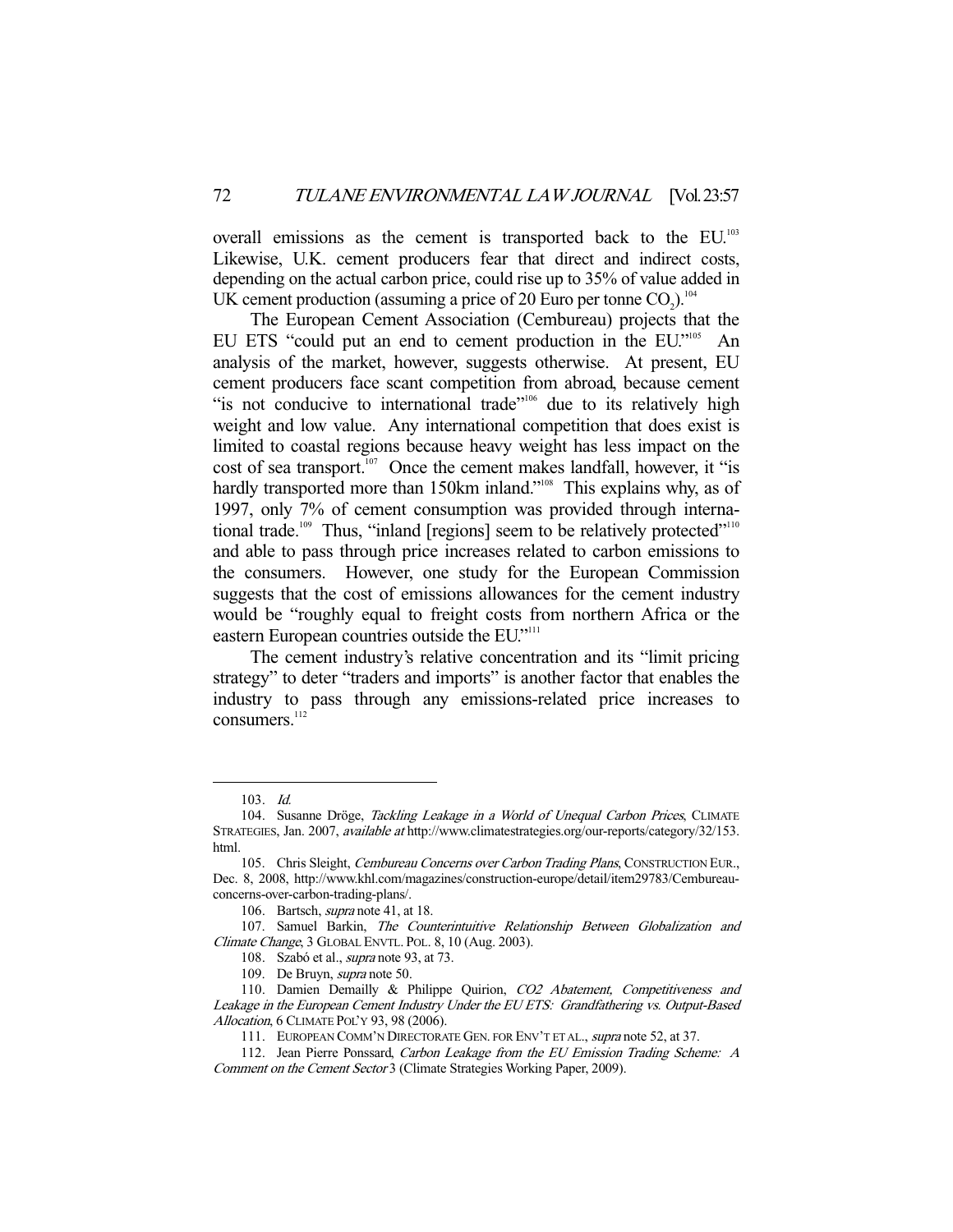overall emissions as the cement is transported back to the EU.103 Likewise, U.K. cement producers fear that direct and indirect costs, depending on the actual carbon price, could rise up to 35% of value added in UK cement production (assuming a price of 20 Euro per tonne  $CO_2$ ).<sup>104</sup>

 The European Cement Association (Cembureau) projects that the EU ETS "could put an end to cement production in the EU."<sup>105</sup> An analysis of the market, however, suggests otherwise. At present, EU cement producers face scant competition from abroad, because cement "is not conducive to international trade"<sup>106</sup> due to its relatively high weight and low value. Any international competition that does exist is limited to coastal regions because heavy weight has less impact on the cost of sea transport.<sup>107</sup> Once the cement makes landfall, however, it "is hardly transported more than 150km inland."<sup>108</sup> This explains why, as of 1997, only 7% of cement consumption was provided through international trade.<sup>109</sup> Thus, "inland [regions] seem to be relatively protected"<sup>110</sup> and able to pass through price increases related to carbon emissions to the consumers. However, one study for the European Commission suggests that the cost of emissions allowances for the cement industry would be "roughly equal to freight costs from northern Africa or the eastern European countries outside the EU."<sup>111</sup>

 The cement industry's relative concentration and its "limit pricing strategy" to deter "traders and imports" is another factor that enables the industry to pass through any emissions-related price increases to consumers<sup>112</sup>

 <sup>103.</sup> Id.

<sup>104.</sup> Susanne Dröge, *Tackling Leakage in a World of Unequal Carbon Prices*, CLIMATE STRATEGIES, Jan. 2007, available at http://www.climatestrategies.org/our-reports/category/32/153. html.

<sup>105.</sup> Chris Sleight, Cembureau Concerns over Carbon Trading Plans, CONSTRUCTION EUR., Dec. 8, 2008, http://www.khl.com/magazines/construction-europe/detail/item29783/Cembureauconcerns-over-carbon-trading-plans/.

<sup>106.</sup> Bartsch, *supra* note 41, at 18.

<sup>107.</sup> Samuel Barkin, The Counterintuitive Relationship Between Globalization and Climate Change, 3 GLOBAL ENVTL. POL. 8, 10 (Aug. 2003).

<sup>108.</sup> Szabó et al., *supra* note 93, at 73.

 <sup>109.</sup> De Bruyn, supra note 50.

<sup>110.</sup> Damien Demailly & Philippe Quirion, CO2 Abatement, Competitiveness and Leakage in the European Cement Industry Under the EU ETS: Grandfathering vs. Output-Based Allocation, 6 CLIMATE POL'Y 93, 98 (2006).

<sup>111.</sup> EUROPEAN COMM'N DIRECTORATE GEN. FOR ENV'T ET AL., supra note 52, at 37.

<sup>112.</sup> Jean Pierre Ponssard, Carbon Leakage from the EU Emission Trading Scheme: A Comment on the Cement Sector 3 (Climate Strategies Working Paper, 2009).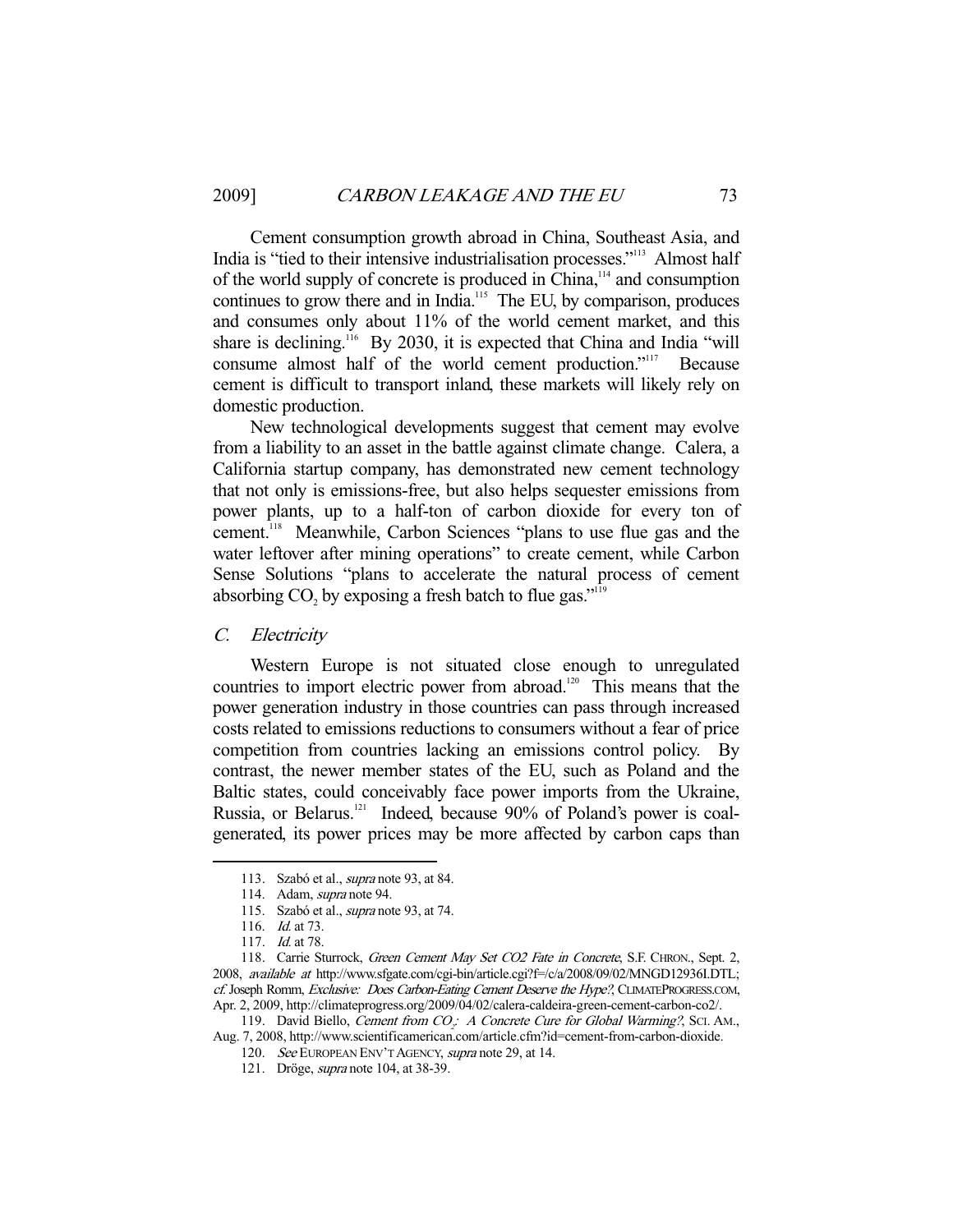Cement consumption growth abroad in China, Southeast Asia, and India is "tied to their intensive industrialisation processes."113 Almost half of the world supply of concrete is produced in China,114 and consumption continues to grow there and in India.<sup>115</sup> The EU, by comparison, produces and consumes only about 11% of the world cement market, and this share is declining.<sup>116</sup> By 2030, it is expected that China and India "will consume almost half of the world cement production."117 Because cement is difficult to transport inland, these markets will likely rely on domestic production.

 New technological developments suggest that cement may evolve from a liability to an asset in the battle against climate change. Calera, a California startup company, has demonstrated new cement technology that not only is emissions-free, but also helps sequester emissions from power plants, up to a half-ton of carbon dioxide for every ton of cement.<sup>118</sup> Meanwhile, Carbon Sciences "plans to use flue gas and the water leftover after mining operations" to create cement, while Carbon Sense Solutions "plans to accelerate the natural process of cement absorbing  $CO_2$  by exposing a fresh batch to flue gas."<sup>119</sup>

## C. Electricity

 Western Europe is not situated close enough to unregulated countries to import electric power from abroad.120 This means that the power generation industry in those countries can pass through increased costs related to emissions reductions to consumers without a fear of price competition from countries lacking an emissions control policy. By contrast, the newer member states of the EU, such as Poland and the Baltic states, could conceivably face power imports from the Ukraine, Russia, or Belarus.<sup>121</sup> Indeed, because 90% of Poland's power is coalgenerated, its power prices may be more affected by carbon caps than

 <sup>113.</sup> Szabó et al., supra note 93, at 84.

<sup>114.</sup> Adam, *supra* note 94.

 <sup>115.</sup> Szabó et al., supra note 93, at 74.

<sup>116.</sup> *Id.* at 73.

<sup>117.</sup> *Id.* at 78.

<sup>118.</sup> Carrie Sturrock, Green Cement May Set CO2 Fate in Concrete, S.F. CHRON., Sept. 2, 2008, available at http://www.sfgate.com/cgi-bin/article.cgi?f=/c/a/2008/09/02/MNGD12936I.DTL; cf. Joseph Romm, Exclusive: Does Carbon-Eating Cement Deserve the Hype?, CLIMATEPROGRESS.COM, Apr. 2, 2009, http://climateprogress.org/2009/04/02/calera-caldeira-green-cement-carbon-co2/.

<sup>119.</sup> David Biello, *Cement from CO<sub>2</sub>: A Concrete Cure for Global Warming?*, ScI. AM., Aug. 7, 2008, http://www.scientificamerican.com/article.cfm?id=cement-from-carbon-dioxide.

<sup>120.</sup> See EUROPEAN ENV'T AGENCY, supra note 29, at 14.

 <sup>121.</sup> Dröge, supra note 104, at 38-39.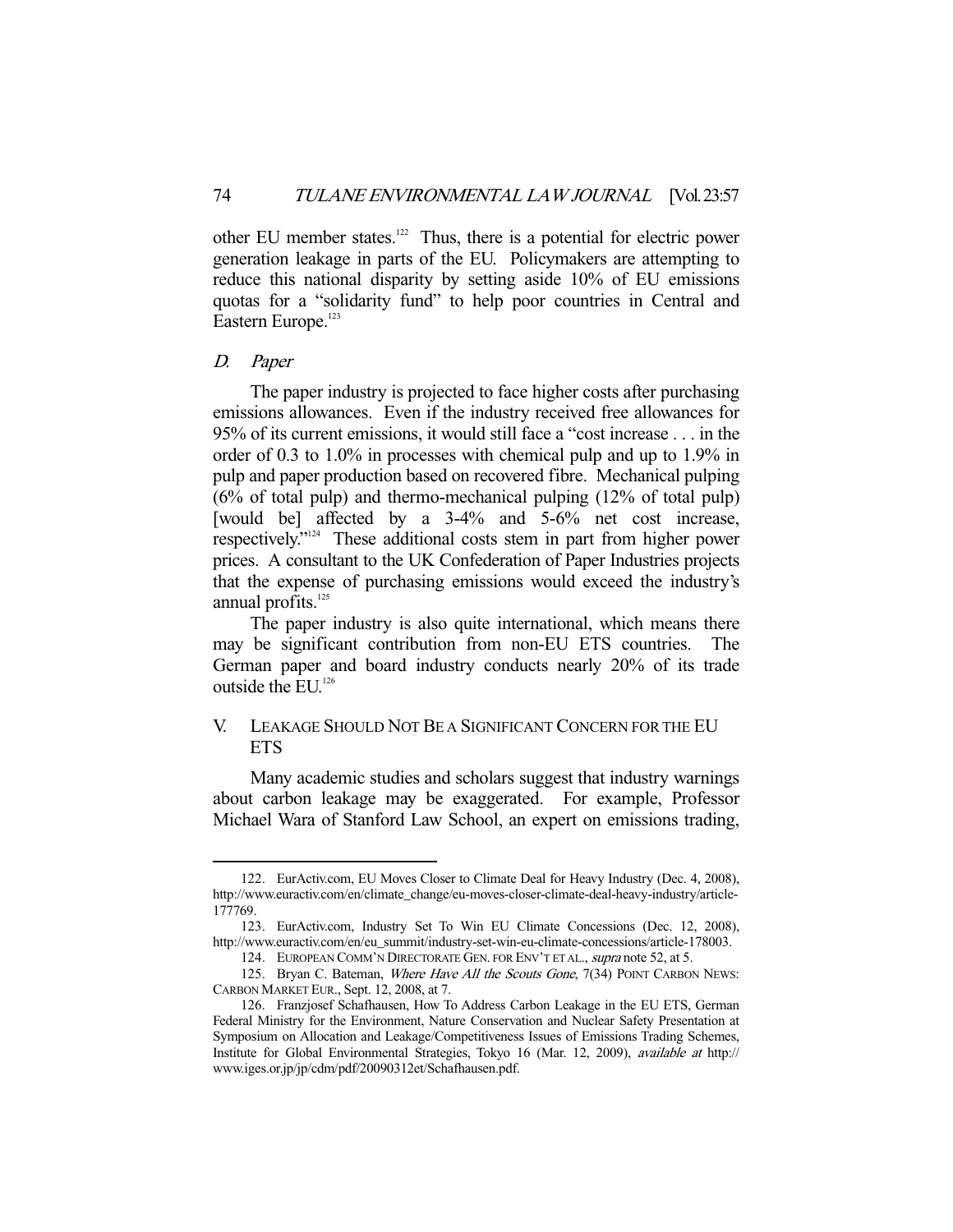other EU member states.<sup>122</sup> Thus, there is a potential for electric power generation leakage in parts of the EU. Policymakers are attempting to reduce this national disparity by setting aside 10% of EU emissions quotas for a "solidarity fund" to help poor countries in Central and Eastern Europe.<sup>123</sup>

#### D. Paper

-

 The paper industry is projected to face higher costs after purchasing emissions allowances. Even if the industry received free allowances for 95% of its current emissions, it would still face a "cost increase . . . in the order of 0.3 to 1.0% in processes with chemical pulp and up to 1.9% in pulp and paper production based on recovered fibre. Mechanical pulping (6% of total pulp) and thermo-mechanical pulping (12% of total pulp) [would be] affected by a 3-4% and 5-6% net cost increase, respectively."124 These additional costs stem in part from higher power prices. A consultant to the UK Confederation of Paper Industries projects that the expense of purchasing emissions would exceed the industry's annual profits.<sup>125</sup>

 The paper industry is also quite international, which means there may be significant contribution from non-EU ETS countries. The German paper and board industry conducts nearly 20% of its trade outside the EU.<sup>126</sup>

## V. LEAKAGE SHOULD NOT BE A SIGNIFICANT CONCERN FOR THE EU **ETS**

 Many academic studies and scholars suggest that industry warnings about carbon leakage may be exaggerated. For example, Professor Michael Wara of Stanford Law School, an expert on emissions trading,

 <sup>122.</sup> EurActiv.com, EU Moves Closer to Climate Deal for Heavy Industry (Dec. 4, 2008), http://www.euractiv.com/en/climate\_change/eu-moves-closer-climate-deal-heavy-industry/article-177769.

 <sup>123.</sup> EurActiv.com, Industry Set To Win EU Climate Concessions (Dec. 12, 2008), http://www.euractiv.com/en/eu\_summit/industry-set-win-eu-climate-concessions/article-178003.

<sup>124.</sup> EUROPEAN COMM'N DIRECTORATE GEN. FOR ENV'T ET AL., supra note 52, at 5.

<sup>125.</sup> Bryan C. Bateman, Where Have All the Scouts Gone, 7(34) POINT CARBON NEWS: CARBON MARKET EUR., Sept. 12, 2008, at 7.

 <sup>126.</sup> Franzjosef Schafhausen, How To Address Carbon Leakage in the EU ETS, German Federal Ministry for the Environment, Nature Conservation and Nuclear Safety Presentation at Symposium on Allocation and Leakage/Competitiveness Issues of Emissions Trading Schemes, Institute for Global Environmental Strategies, Tokyo 16 (Mar. 12, 2009), available at http:// www.iges.or.jp/jp/cdm/pdf/20090312et/Schafhausen.pdf.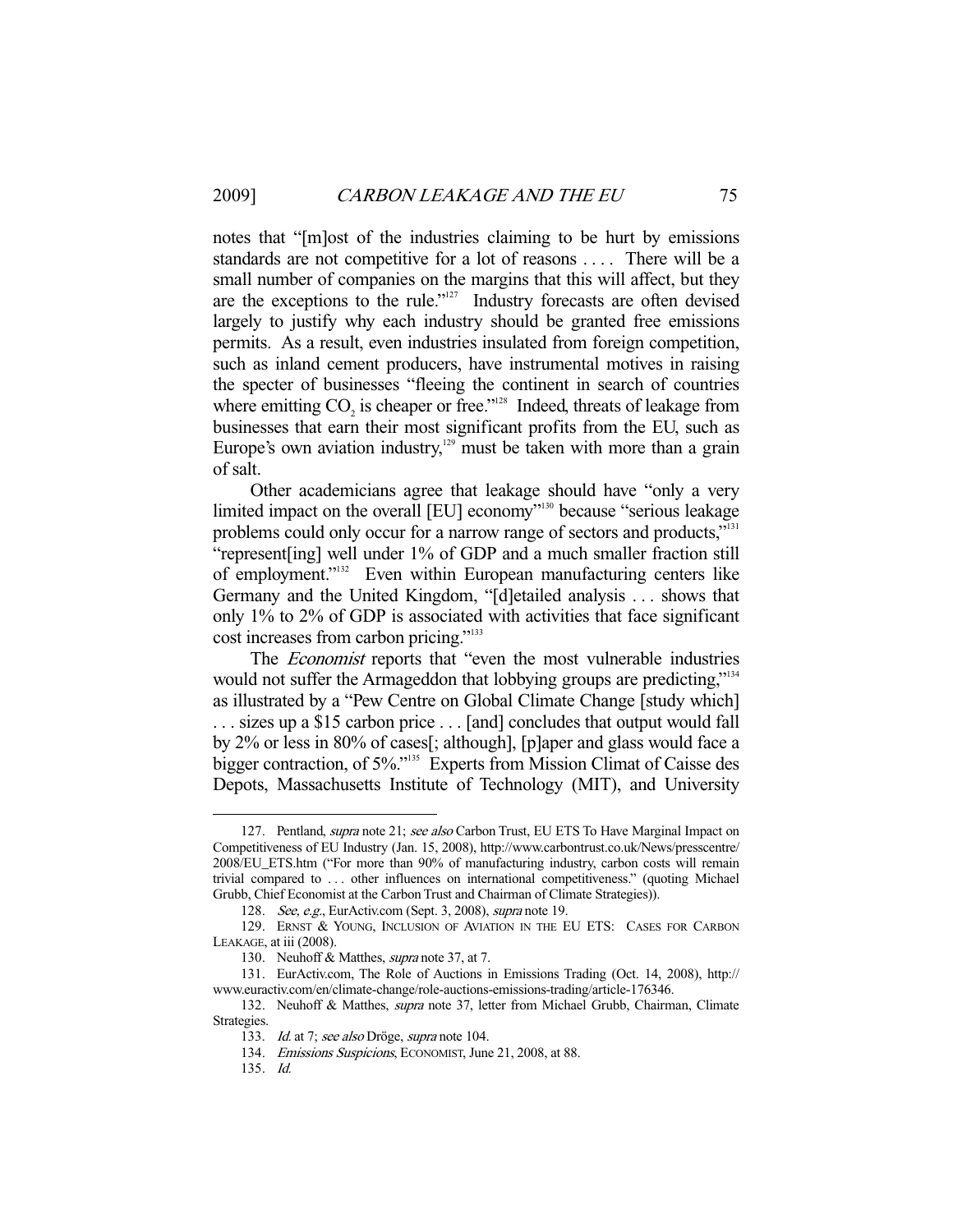notes that "[m]ost of the industries claiming to be hurt by emissions standards are not competitive for a lot of reasons . . . . There will be a small number of companies on the margins that this will affect, but they are the exceptions to the rule."127 Industry forecasts are often devised largely to justify why each industry should be granted free emissions permits. As a result, even industries insulated from foreign competition, such as inland cement producers, have instrumental motives in raising the specter of businesses "fleeing the continent in search of countries where emitting  $CO_2$  is cheaper or free."<sup>128</sup> Indeed, threats of leakage from businesses that earn their most significant profits from the EU, such as Europe's own aviation industry, $129$  must be taken with more than a grain of salt.

 Other academicians agree that leakage should have "only a very limited impact on the overall [EU] economy"<sup>130</sup> because "serious leakage" problems could only occur for a narrow range of sectors and products,"<sup>131</sup> "represent[ing] well under 1% of GDP and a much smaller fraction still of employment."132 Even within European manufacturing centers like Germany and the United Kingdom, "[d]etailed analysis . . . shows that only 1% to 2% of GDP is associated with activities that face significant cost increases from carbon pricing."<sup>133</sup>

The *Economist* reports that "even the most vulnerable industries would not suffer the Armageddon that lobbying groups are predicting,"<sup>134</sup> as illustrated by a "Pew Centre on Global Climate Change [study which] . . . sizes up a \$15 carbon price . . . [and] concludes that output would fall by 2% or less in 80% of cases[; although], [p]aper and glass would face a bigger contraction, of 5%."<sup>135</sup> Experts from Mission Climat of Caisse des Depots, Massachusetts Institute of Technology (MIT), and University

<sup>127.</sup> Pentland, *supra* note 21; see also Carbon Trust, EU ETS To Have Marginal Impact on Competitiveness of EU Industry (Jan. 15, 2008), http://www.carbontrust.co.uk/News/presscentre/ 2008/EU\_ETS.htm ("For more than 90% of manufacturing industry, carbon costs will remain trivial compared to . . . other influences on international competitiveness." (quoting Michael Grubb, Chief Economist at the Carbon Trust and Chairman of Climate Strategies)).

<sup>128.</sup> See, e.g., EurActiv.com (Sept. 3, 2008), supra note 19.

 <sup>129.</sup> ERNST & YOUNG, INCLUSION OF AVIATION IN THE EU ETS: CASES FOR CARBON LEAKAGE, at iii (2008).

<sup>130.</sup> Neuhoff & Matthes, *supra* note 37, at 7.

 <sup>131.</sup> EurActiv.com, The Role of Auctions in Emissions Trading (Oct. 14, 2008), http:// www.euractiv.com/en/climate-change/role-auctions-emissions-trading/article-176346.

 <sup>132.</sup> Neuhoff & Matthes, supra note 37, letter from Michael Grubb, Chairman, Climate Strategies.

<sup>133.</sup> Id. at 7; see also Dröge, supra note 104.

 <sup>134.</sup> Emissions Suspicions, ECONOMIST, June 21, 2008, at 88.

 <sup>135.</sup> Id.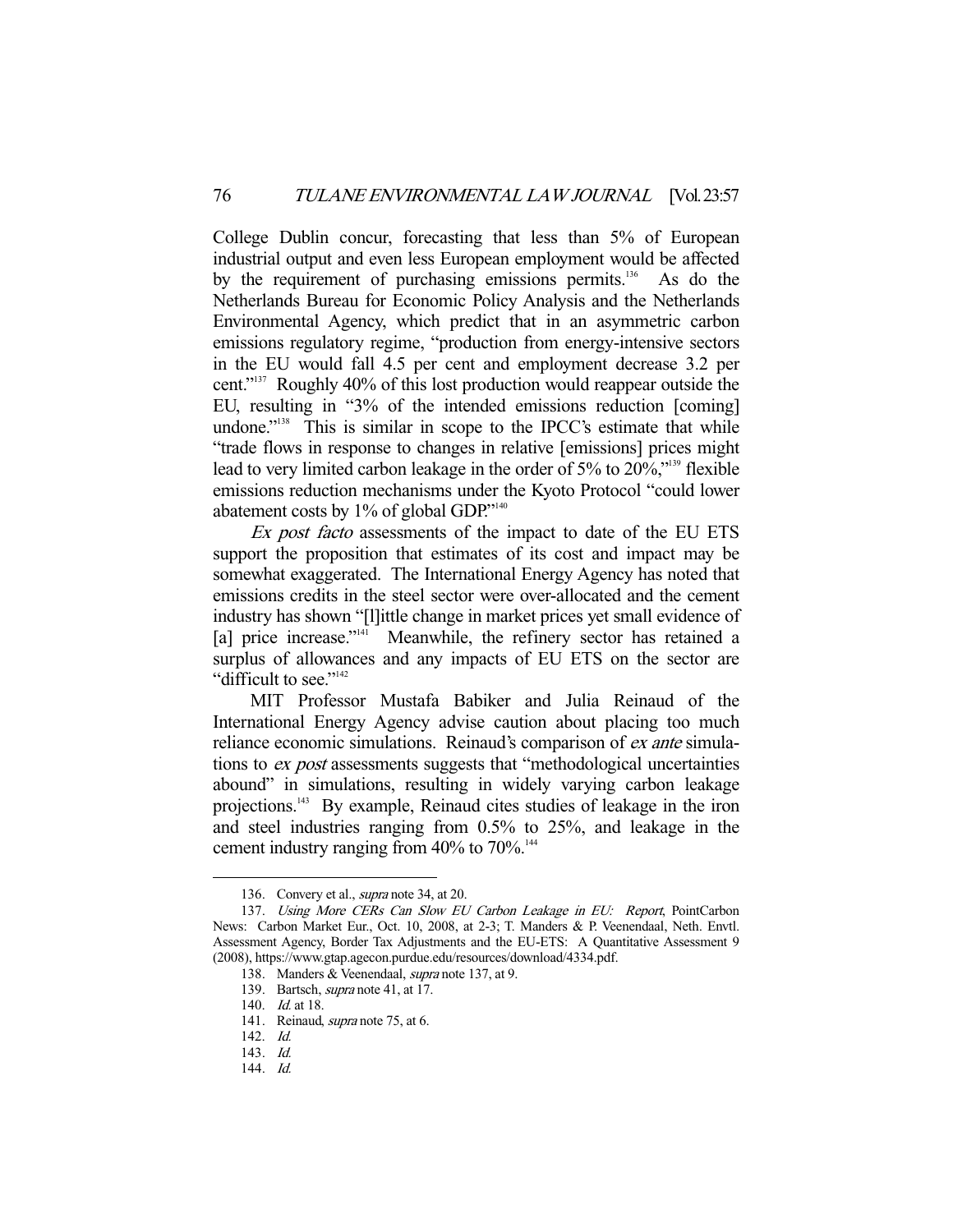College Dublin concur, forecasting that less than 5% of European industrial output and even less European employment would be affected by the requirement of purchasing emissions permits.<sup>136</sup> As do the Netherlands Bureau for Economic Policy Analysis and the Netherlands Environmental Agency, which predict that in an asymmetric carbon emissions regulatory regime, "production from energy-intensive sectors in the EU would fall 4.5 per cent and employment decrease 3.2 per cent."137 Roughly 40% of this lost production would reappear outside the EU, resulting in "3% of the intended emissions reduction [coming] undone."<sup>138</sup> This is similar in scope to the IPCC's estimate that while "trade flows in response to changes in relative [emissions] prices might lead to very limited carbon leakage in the order of 5% to 20%,"139 flexible emissions reduction mechanisms under the Kyoto Protocol "could lower abatement costs by 1% of global GDP."140

Ex post facto assessments of the impact to date of the EU ETS support the proposition that estimates of its cost and impact may be somewhat exaggerated. The International Energy Agency has noted that emissions credits in the steel sector were over-allocated and the cement industry has shown "[l]ittle change in market prices yet small evidence of [a] price increase."<sup>141</sup> Meanwhile, the refinery sector has retained a surplus of allowances and any impacts of EU ETS on the sector are "difficult to see."<sup>142</sup>

 MIT Professor Mustafa Babiker and Julia Reinaud of the International Energy Agency advise caution about placing too much reliance economic simulations. Reinaud's comparison of ex ante simulations to ex post assessments suggests that "methodological uncertainties abound" in simulations, resulting in widely varying carbon leakage projections.<sup>143</sup> By example, Reinaud cites studies of leakage in the iron and steel industries ranging from 0.5% to 25%, and leakage in the cement industry ranging from  $40\%$  to  $70\%$ .<sup>144</sup>

 <sup>136.</sup> Convery et al., supra note 34, at 20.

<sup>137.</sup> Using More CERs Can Slow EU Carbon Leakage in EU: Report, PointCarbon News: Carbon Market Eur., Oct. 10, 2008, at 2-3; T. Manders & P. Veenendaal, Neth. Envtl. Assessment Agency, Border Tax Adjustments and the EU-ETS: A Quantitative Assessment 9 (2008), https://www.gtap.agecon.purdue.edu/resources/download/4334.pdf.

 <sup>138.</sup> Manders & Veenendaal, supra note 137, at 9.

<sup>139.</sup> Bartsch, *supra* note 41, at 17.

<sup>140.</sup> *Id.* at 18.

<sup>141.</sup> Reinaud, *supra* note 75, at 6.

 <sup>142.</sup> Id.

 <sup>143.</sup> Id.

 <sup>144.</sup> Id.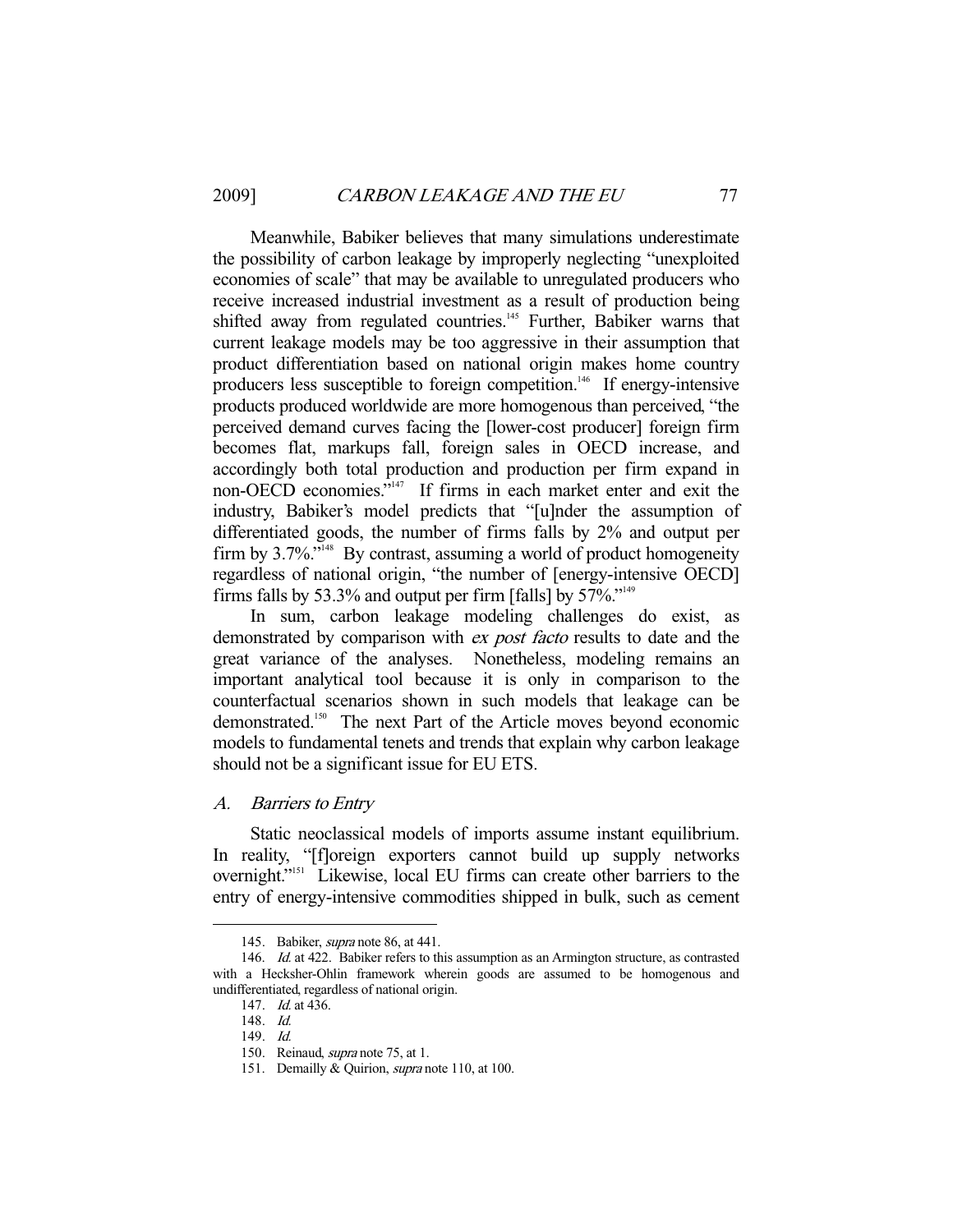Meanwhile, Babiker believes that many simulations underestimate the possibility of carbon leakage by improperly neglecting "unexploited economies of scale" that may be available to unregulated producers who receive increased industrial investment as a result of production being shifted away from regulated countries.<sup>145</sup> Further, Babiker warns that current leakage models may be too aggressive in their assumption that product differentiation based on national origin makes home country producers less susceptible to foreign competition.<sup>146</sup> If energy-intensive products produced worldwide are more homogenous than perceived, "the perceived demand curves facing the [lower-cost producer] foreign firm becomes flat, markups fall, foreign sales in OECD increase, and accordingly both total production and production per firm expand in non-OECD economies."147 If firms in each market enter and exit the industry, Babiker's model predicts that "[u]nder the assumption of differentiated goods, the number of firms falls by 2% and output per firm by  $3.7\%$ ."<sup>148</sup> By contrast, assuming a world of product homogeneity regardless of national origin, "the number of [energy-intensive OECD] firms falls by 53.3% and output per firm [falls] by  $57\%$ ."<sup>149</sup>

 In sum, carbon leakage modeling challenges do exist, as demonstrated by comparison with *ex post facto* results to date and the great variance of the analyses. Nonetheless, modeling remains an important analytical tool because it is only in comparison to the counterfactual scenarios shown in such models that leakage can be demonstrated.<sup>150</sup> The next Part of the Article moves beyond economic models to fundamental tenets and trends that explain why carbon leakage should not be a significant issue for EU ETS.

A. Barriers to Entry

 Static neoclassical models of imports assume instant equilibrium. In reality, "[f]oreign exporters cannot build up supply networks overnight."151 Likewise, local EU firms can create other barriers to the entry of energy-intensive commodities shipped in bulk, such as cement

<sup>145.</sup> Babiker, *supra* note 86, at 441.

<sup>146.</sup> *Id.* at 422. Babiker refers to this assumption as an Armington structure, as contrasted with a Hecksher-Ohlin framework wherein goods are assumed to be homogenous and undifferentiated, regardless of national origin.

 <sup>147.</sup> Id. at 436.

 <sup>148.</sup> Id.

 <sup>149.</sup> Id.

<sup>150.</sup> Reinaud, *supra* note 75, at 1.

<sup>151.</sup> Demailly & Quirion, supra note 110, at 100.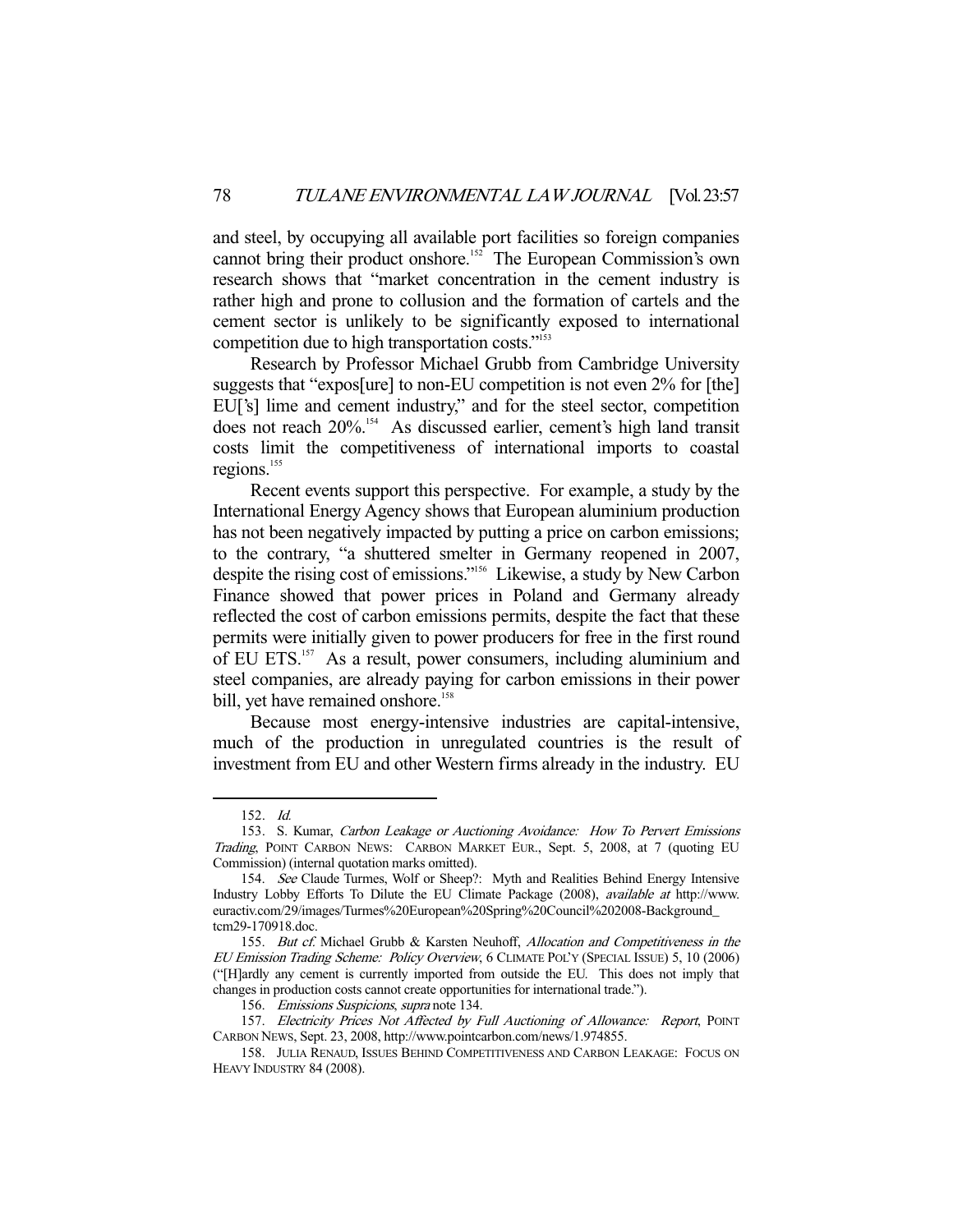and steel, by occupying all available port facilities so foreign companies cannot bring their product onshore.<sup>152</sup> The European Commission's own research shows that "market concentration in the cement industry is rather high and prone to collusion and the formation of cartels and the cement sector is unlikely to be significantly exposed to international competition due to high transportation costs."<sup>153</sup>

 Research by Professor Michael Grubb from Cambridge University suggests that "expos[ure] to non-EU competition is not even 2% for [the] EU['s] lime and cement industry," and for the steel sector, competition does not reach 20%.154 As discussed earlier, cement's high land transit costs limit the competitiveness of international imports to coastal regions.<sup>155</sup>

 Recent events support this perspective. For example, a study by the International Energy Agency shows that European aluminium production has not been negatively impacted by putting a price on carbon emissions; to the contrary, "a shuttered smelter in Germany reopened in 2007, despite the rising cost of emissions."156 Likewise, a study by New Carbon Finance showed that power prices in Poland and Germany already reflected the cost of carbon emissions permits, despite the fact that these permits were initially given to power producers for free in the first round of EU ETS.<sup>157</sup> As a result, power consumers, including aluminium and steel companies, are already paying for carbon emissions in their power bill, yet have remained onshore.<sup>158</sup>

 Because most energy-intensive industries are capital-intensive, much of the production in unregulated countries is the result of investment from EU and other Western firms already in the industry. EU

 <sup>152.</sup> Id.

 <sup>153.</sup> S. Kumar, Carbon Leakage or Auctioning Avoidance: How To Pervert Emissions Trading, POINT CARBON NEWS: CARBON MARKET EUR., Sept. 5, 2008, at 7 (quoting EU Commission) (internal quotation marks omitted).

<sup>154.</sup> See Claude Turmes, Wolf or Sheep?: Myth and Realities Behind Energy Intensive Industry Lobby Efforts To Dilute the EU Climate Package (2008), available at http://www. euractiv.com/29/images/Turmes%20European%20Spring%20Council%202008-Background\_ tcm29-170918.doc.

 <sup>155.</sup> But cf. Michael Grubb & Karsten Neuhoff, Allocation and Competitiveness in the EU Emission Trading Scheme: Policy Overview, 6 CLIMATE POL'Y (SPECIAL ISSUE) 5, 10 (2006) ("[H]ardly any cement is currently imported from outside the EU. This does not imply that changes in production costs cannot create opportunities for international trade.").

<sup>156.</sup> Emissions Suspicions, supra note 134.

<sup>157.</sup> Electricity Prices Not Affected by Full Auctioning of Allowance: Report, POINT CARBON NEWS, Sept. 23, 2008, http://www.pointcarbon.com/news/1.974855.

 <sup>158.</sup> JULIA RENAUD, ISSUES BEHIND COMPETITIVENESS AND CARBON LEAKAGE: FOCUS ON HEAVY INDUSTRY 84 (2008).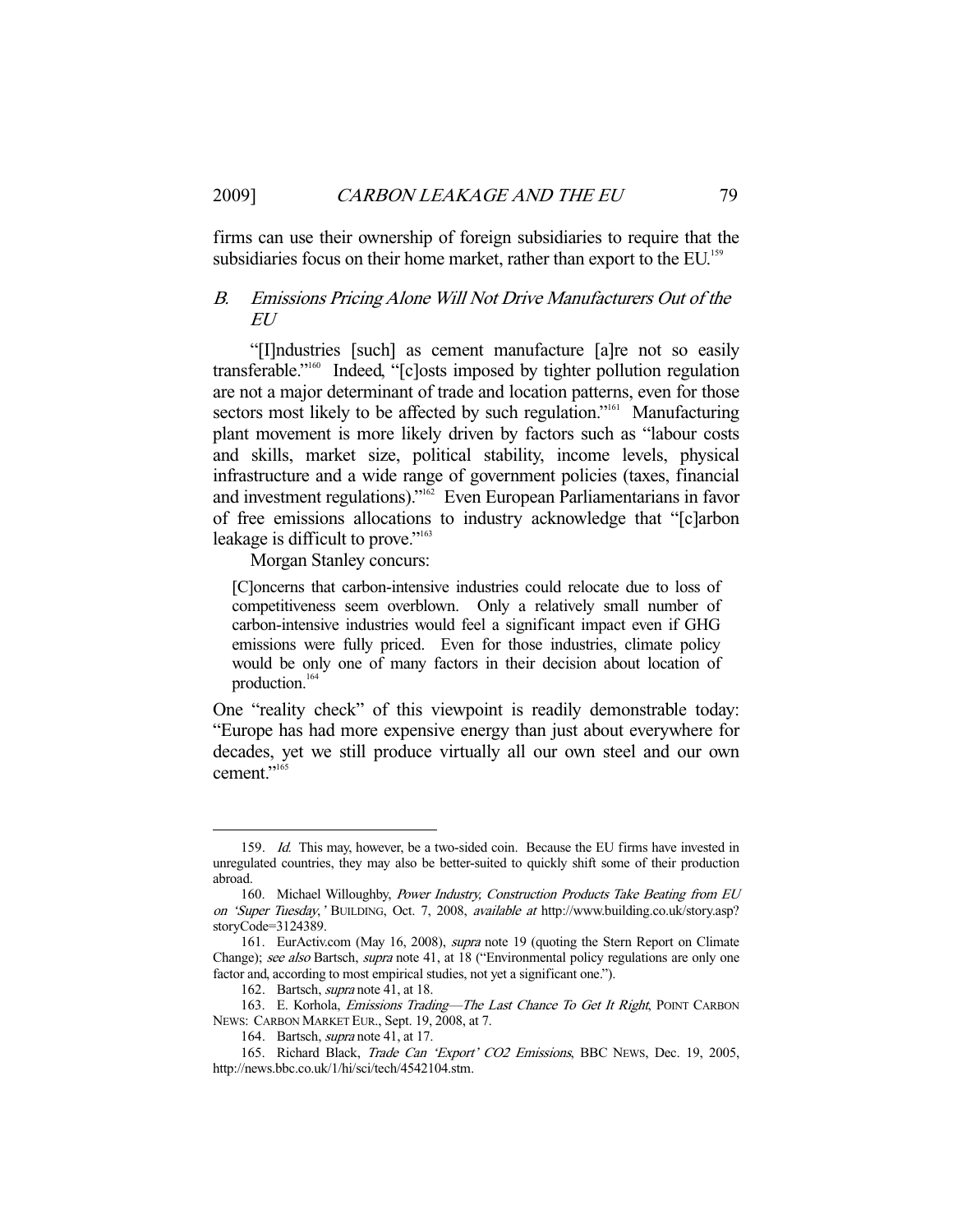firms can use their ownership of foreign subsidiaries to require that the subsidiaries focus on their home market, rather than export to the EU.<sup>159</sup>

## B. Emissions Pricing Alone Will Not Drive Manufacturers Out of the EU

 "[I]ndustries [such] as cement manufacture [a]re not so easily transferable."160 Indeed, "[c]osts imposed by tighter pollution regulation are not a major determinant of trade and location patterns, even for those sectors most likely to be affected by such regulation."<sup>161</sup> Manufacturing plant movement is more likely driven by factors such as "labour costs and skills, market size, political stability, income levels, physical infrastructure and a wide range of government policies (taxes, financial and investment regulations)."162 Even European Parliamentarians in favor of free emissions allocations to industry acknowledge that "[c]arbon leakage is difficult to prove."<sup>163</sup>

Morgan Stanley concurs:

[C]oncerns that carbon-intensive industries could relocate due to loss of competitiveness seem overblown. Only a relatively small number of carbon-intensive industries would feel a significant impact even if GHG emissions were fully priced. Even for those industries, climate policy would be only one of many factors in their decision about location of production.164

One "reality check" of this viewpoint is readily demonstrable today: "Europe has had more expensive energy than just about everywhere for decades, yet we still produce virtually all our own steel and our own cement."<sup>165</sup>

<sup>159.</sup> Id. This may, however, be a two-sided coin. Because the EU firms have invested in unregulated countries, they may also be better-suited to quickly shift some of their production abroad.

 <sup>160.</sup> Michael Willoughby, Power Industry, Construction Products Take Beating from EU on 'Super Tuesday,' BUILDING, Oct. 7, 2008, available at http://www.building.co.uk/story.asp? storyCode=3124389.

 <sup>161.</sup> EurActiv.com (May 16, 2008), supra note 19 (quoting the Stern Report on Climate Change); see also Bartsch, supra note 41, at 18 ("Environmental policy regulations are only one factor and, according to most empirical studies, not yet a significant one.").

 <sup>162.</sup> Bartsch, supra note 41, at 18.

<sup>163.</sup> E. Korhola, *Emissions Trading—The Last Chance To Get It Right*, POINT CARBON NEWS: CARBON MARKET EUR., Sept. 19, 2008, at 7.

 <sup>164.</sup> Bartsch, supra note 41, at 17.

<sup>165.</sup> Richard Black, Trade Can 'Export' CO2 Emissions, BBC News, Dec. 19, 2005, http://news.bbc.co.uk/1/hi/sci/tech/4542104.stm.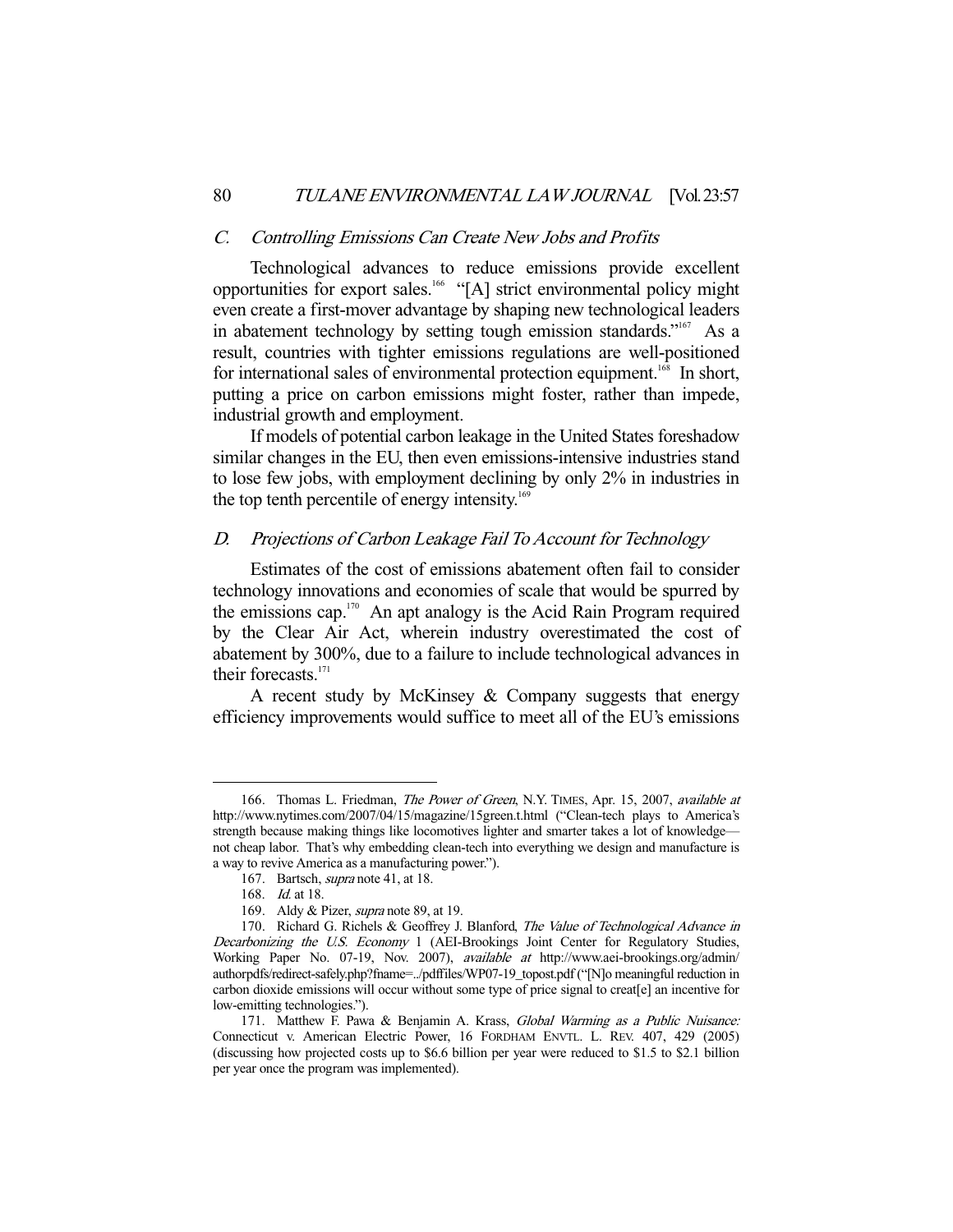#### C. Controlling Emissions Can Create New Jobs and Profits

 Technological advances to reduce emissions provide excellent opportunities for export sales.<sup>166</sup> "[A] strict environmental policy might even create a first-mover advantage by shaping new technological leaders in abatement technology by setting tough emission standards."<sup>167</sup> As a result, countries with tighter emissions regulations are well-positioned for international sales of environmental protection equipment.<sup>168</sup> In short, putting a price on carbon emissions might foster, rather than impede, industrial growth and employment.

 If models of potential carbon leakage in the United States foreshadow similar changes in the EU, then even emissions-intensive industries stand to lose few jobs, with employment declining by only 2% in industries in the top tenth percentile of energy intensity.<sup>169</sup>

## D. Projections of Carbon Leakage Fail To Account for Technology

 Estimates of the cost of emissions abatement often fail to consider technology innovations and economies of scale that would be spurred by the emissions cap.<sup>170</sup> An apt analogy is the Acid Rain Program required by the Clear Air Act, wherein industry overestimated the cost of abatement by 300%, due to a failure to include technological advances in their forecasts.<sup>171</sup>

A recent study by McKinsey  $&$  Company suggests that energy efficiency improvements would suffice to meet all of the EU's emissions

<sup>166.</sup> Thomas L. Friedman, The Power of Green, N.Y. TIMES, Apr. 15, 2007, available at http://www.nytimes.com/2007/04/15/magazine/15green.t.html ("Clean-tech plays to America's strength because making things like locomotives lighter and smarter takes a lot of knowledge not cheap labor. That's why embedding clean-tech into everything we design and manufacture is a way to revive America as a manufacturing power.").

<sup>167.</sup> Bartsch, *supra* note 41, at 18.

 <sup>168.</sup> Id. at 18.

<sup>169.</sup> Aldy & Pizer, supra note 89, at 19.

<sup>170.</sup> Richard G. Richels & Geoffrey J. Blanford, The Value of Technological Advance in Decarbonizing the U.S. Economy 1 (AEI-Brookings Joint Center for Regulatory Studies, Working Paper No. 07-19, Nov. 2007), available at http://www.aei-brookings.org/admin/ authorpdfs/redirect-safely.php?fname=../pdffiles/WP07-19\_topost.pdf ("[N]o meaningful reduction in carbon dioxide emissions will occur without some type of price signal to creat[e] an incentive for low-emitting technologies.").

<sup>171.</sup> Matthew F. Pawa & Benjamin A. Krass, Global Warming as a Public Nuisance: Connecticut v. American Electric Power, 16 FORDHAM ENVTL. L. REV. 407, 429 (2005) (discussing how projected costs up to \$6.6 billion per year were reduced to \$1.5 to \$2.1 billion per year once the program was implemented).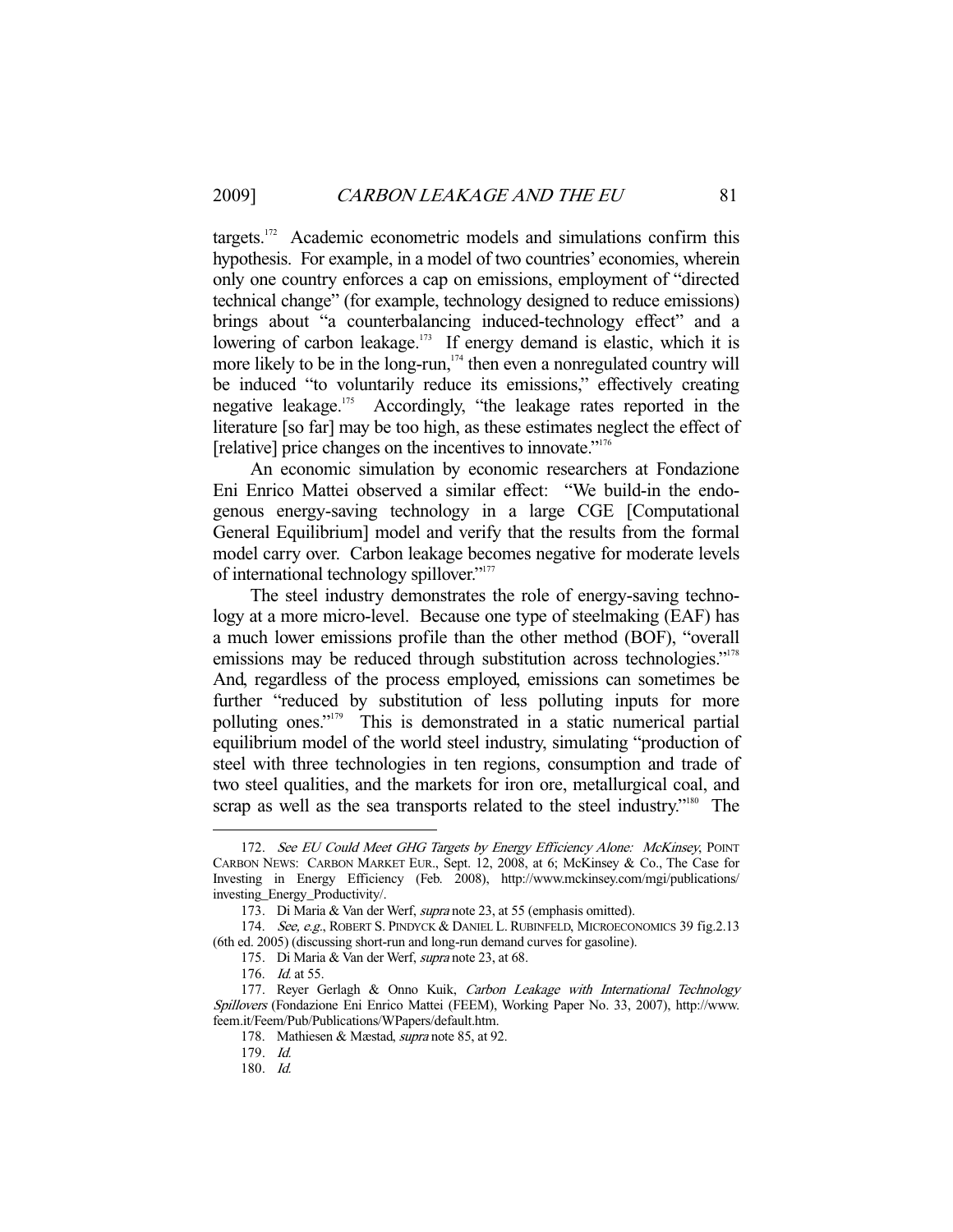targets. $172$  Academic econometric models and simulations confirm this hypothesis. For example, in a model of two countries' economies, wherein only one country enforces a cap on emissions, employment of "directed technical change" (for example, technology designed to reduce emissions) brings about "a counterbalancing induced-technology effect" and a lowering of carbon leakage.<sup>173</sup> If energy demand is elastic, which it is more likely to be in the long-run, $174$  then even a nonregulated country will be induced "to voluntarily reduce its emissions," effectively creating negative leakage.175 Accordingly, "the leakage rates reported in the literature [so far] may be too high, as these estimates neglect the effect of [relative] price changes on the incentives to innovate."176

 An economic simulation by economic researchers at Fondazione Eni Enrico Mattei observed a similar effect: "We build-in the endogenous energy-saving technology in a large CGE [Computational General Equilibrium] model and verify that the results from the formal model carry over. Carbon leakage becomes negative for moderate levels of international technology spillover."177

 The steel industry demonstrates the role of energy-saving technology at a more micro-level. Because one type of steelmaking (EAF) has a much lower emissions profile than the other method (BOF), "overall emissions may be reduced through substitution across technologies."<sup>178</sup> And, regardless of the process employed, emissions can sometimes be further "reduced by substitution of less polluting inputs for more polluting ones."179 This is demonstrated in a static numerical partial equilibrium model of the world steel industry, simulating "production of steel with three technologies in ten regions, consumption and trade of two steel qualities, and the markets for iron ore, metallurgical coal, and scrap as well as the sea transports related to the steel industry."<sup>180</sup> The

<sup>172.</sup> See EU Could Meet GHG Targets by Energy Efficiency Alone: McKinsey, POINT CARBON NEWS: CARBON MARKET EUR., Sept. 12, 2008, at 6; McKinsey & Co., The Case for Investing in Energy Efficiency (Feb. 2008), http://www.mckinsey.com/mgi/publications/ investing\_Energy\_Productivity/.

 <sup>173.</sup> Di Maria & Van der Werf, supra note 23, at 55 (emphasis omitted).

<sup>174.</sup> See, e.g., ROBERT S. PINDYCK & DANIEL L. RUBINFELD, MICROECONOMICS 39 fig.2.13 (6th ed. 2005) (discussing short-run and long-run demand curves for gasoline).

 <sup>175.</sup> Di Maria & Van der Werf, supra note 23, at 68.

<sup>176.</sup> *Id.* at 55.

<sup>177.</sup> Reyer Gerlagh & Onno Kuik, Carbon Leakage with International Technology Spillovers (Fondazione Eni Enrico Mattei (FEEM), Working Paper No. 33, 2007), http://www. feem.it/Feem/Pub/Publications/WPapers/default.htm.

 <sup>178.</sup> Mathiesen & Mæstad, supra note 85, at 92.

 <sup>179.</sup> Id.

 <sup>180.</sup> Id.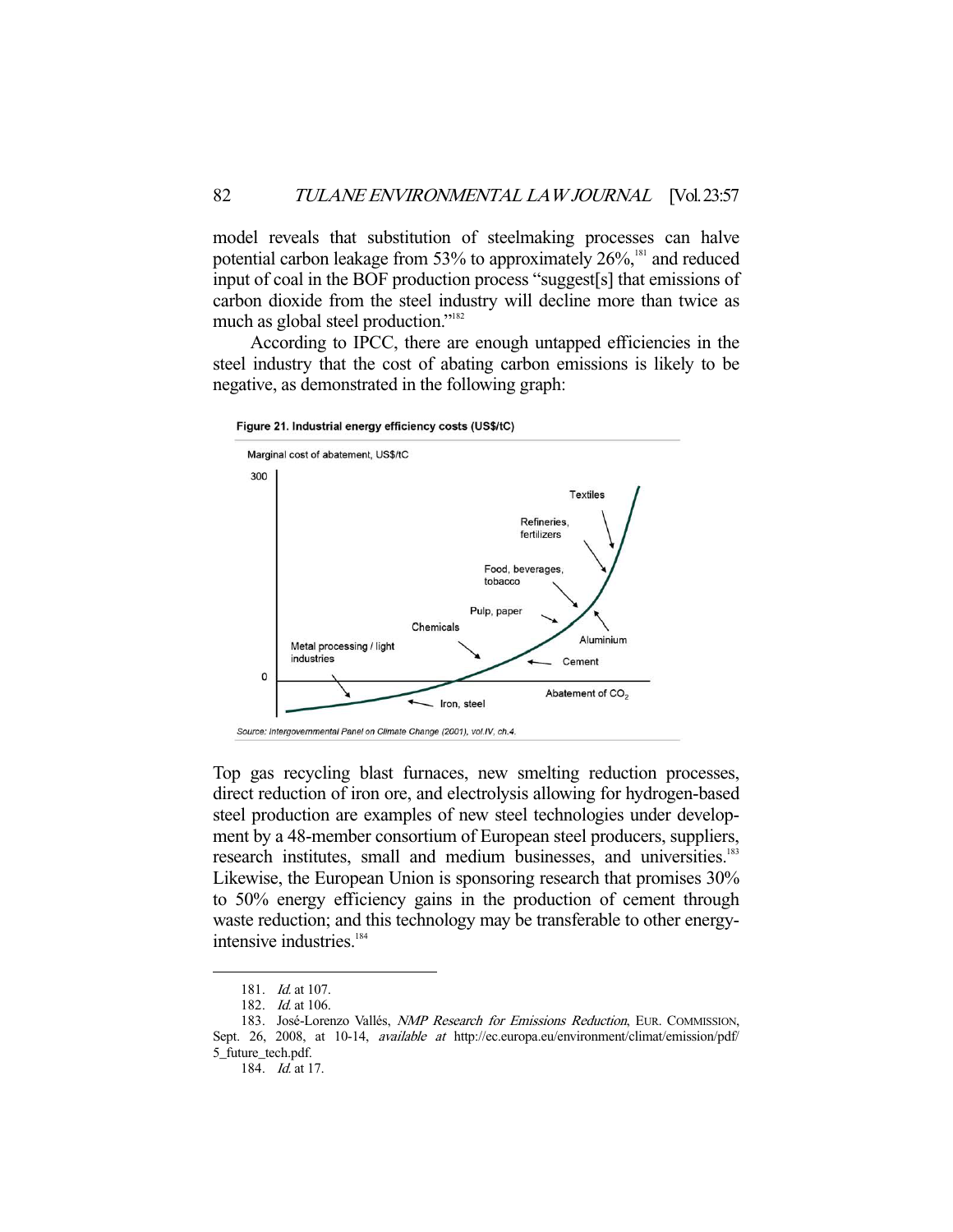model reveals that substitution of steelmaking processes can halve potential carbon leakage from 53% to approximately 26%,<sup>181</sup> and reduced input of coal in the BOF production process "suggest[s] that emissions of carbon dioxide from the steel industry will decline more than twice as much as global steel production."<sup>182</sup>

 According to IPCC, there are enough untapped efficiencies in the steel industry that the cost of abating carbon emissions is likely to be negative, as demonstrated in the following graph:

Figure 21. Industrial energy efficiency costs (US\$/tC)



Top gas recycling blast furnaces, new smelting reduction processes, direct reduction of iron ore, and electrolysis allowing for hydrogen-based steel production are examples of new steel technologies under development by a 48-member consortium of European steel producers, suppliers, research institutes, small and medium businesses, and universities.<sup>183</sup> Likewise, the European Union is sponsoring research that promises 30% to 50% energy efficiency gains in the production of cement through waste reduction; and this technology may be transferable to other energyintensive industries.<sup>184</sup>

 <sup>181.</sup> Id. at 107.

 <sup>182.</sup> Id. at 106.

<sup>183.</sup> José-Lorenzo Vallés, *NMP Research for Emissions Reduction*, EUR. COMMISSION,

Sept. 26, 2008, at 10-14, available at http://ec.europa.eu/environment/climat/emission/pdf/ 5\_future\_tech.pdf.

 <sup>184.</sup> Id. at 17.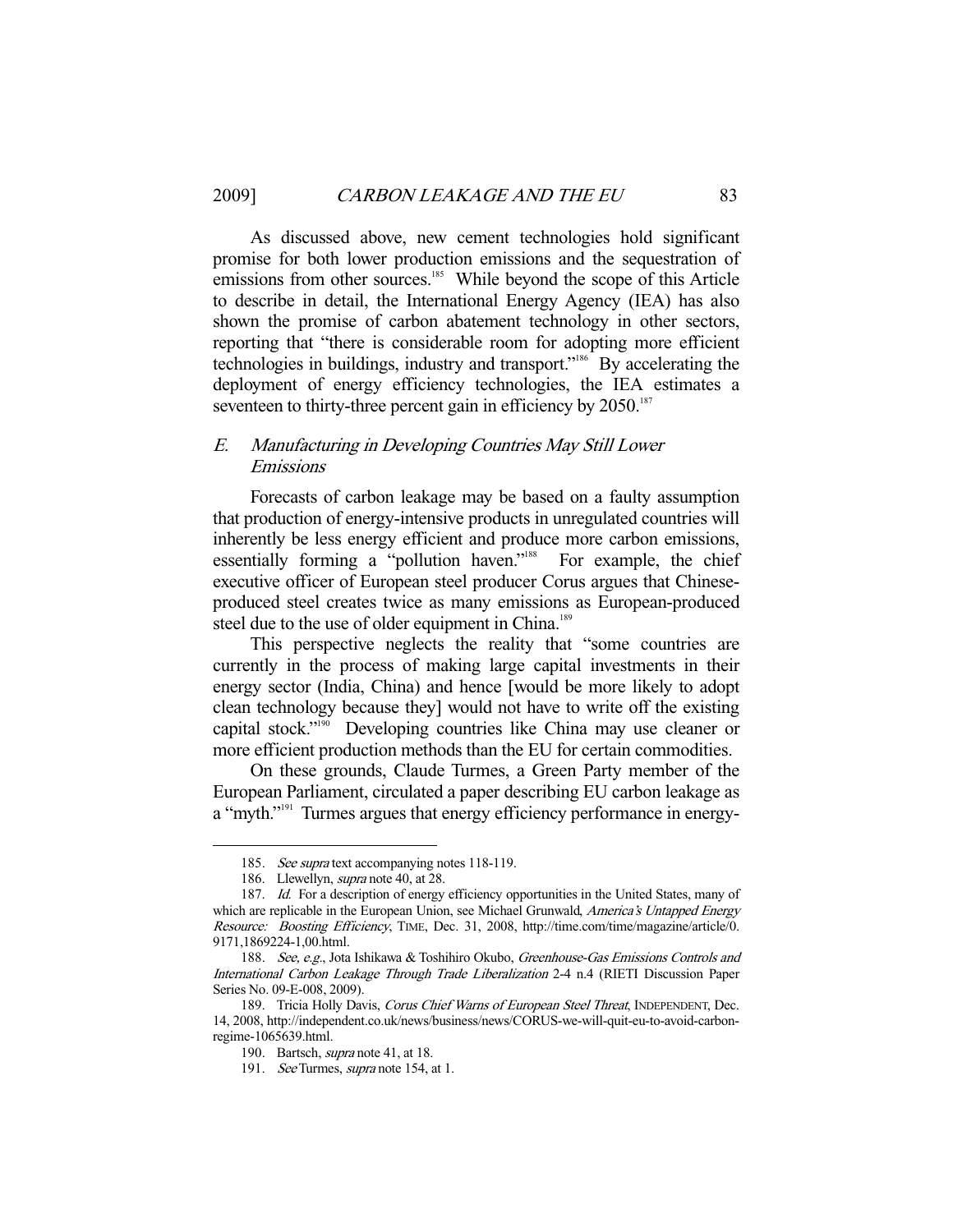As discussed above, new cement technologies hold significant promise for both lower production emissions and the sequestration of emissions from other sources.<sup>185</sup> While beyond the scope of this Article to describe in detail, the International Energy Agency (IEA) has also shown the promise of carbon abatement technology in other sectors, reporting that "there is considerable room for adopting more efficient technologies in buildings, industry and transport."<sup>186</sup> By accelerating the deployment of energy efficiency technologies, the IEA estimates a seventeen to thirty-three percent gain in efficiency by 2050.<sup>187</sup>

## E. Manufacturing in Developing Countries May Still Lower Emissions

 Forecasts of carbon leakage may be based on a faulty assumption that production of energy-intensive products in unregulated countries will inherently be less energy efficient and produce more carbon emissions, essentially forming a "pollution haven."<sup>188</sup> For example, the chief executive officer of European steel producer Corus argues that Chineseproduced steel creates twice as many emissions as European-produced steel due to the use of older equipment in China.<sup>189</sup>

 This perspective neglects the reality that "some countries are currently in the process of making large capital investments in their energy sector (India, China) and hence [would be more likely to adopt clean technology because they] would not have to write off the existing capital stock."190 Developing countries like China may use cleaner or more efficient production methods than the EU for certain commodities.

 On these grounds, Claude Turmes, a Green Party member of the European Parliament, circulated a paper describing EU carbon leakage as a "myth."<sup>191</sup> Turmes argues that energy efficiency performance in energy-

<sup>185.</sup> See supra text accompanying notes 118-119.

<sup>186.</sup> Llewellyn, *supra* note 40, at 28.

<sup>187.</sup> Id. For a description of energy efficiency opportunities in the United States, many of which are replicable in the European Union, see Michael Grunwald, America's Untapped Energy Resource: Boosting Efficiency, TIME, Dec. 31, 2008, http://time.com/time/magazine/article/0. 9171,1869224-1,00.html.

<sup>188.</sup> See, e.g., Jota Ishikawa & Toshihiro Okubo, Greenhouse-Gas Emissions Controls and International Carbon Leakage Through Trade Liberalization 2-4 n.4 (RIETI Discussion Paper Series No. 09-E-008, 2009).

<sup>189.</sup> Tricia Holly Davis, Corus Chief Warns of European Steel Threat, INDEPENDENT, Dec. 14, 2008, http://independent.co.uk/news/business/news/CORUS-we-will-quit-eu-to-avoid-carbonregime-1065639.html.

 <sup>190.</sup> Bartsch, supra note 41, at 18.

<sup>191.</sup> See Turmes, supra note 154, at 1.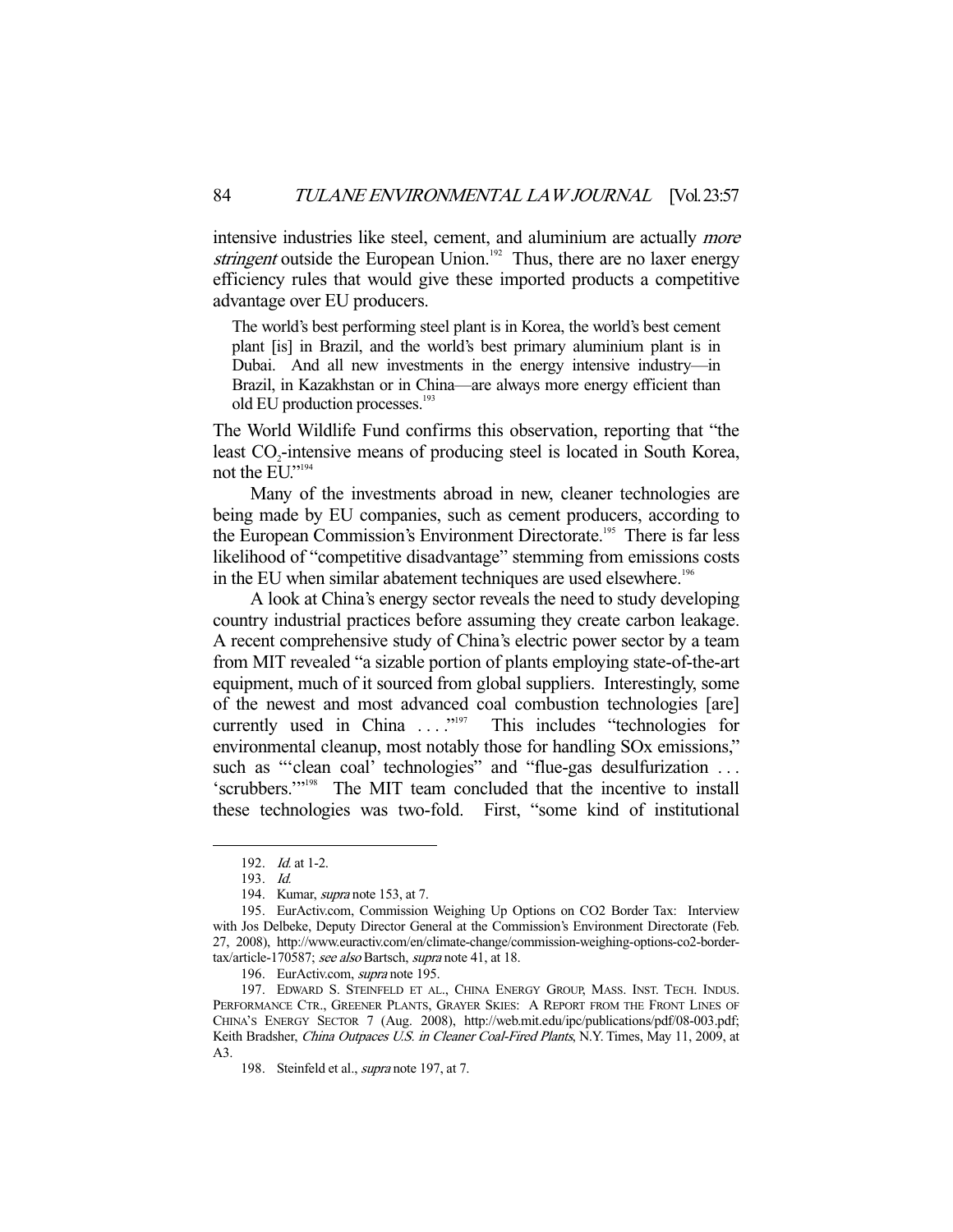intensive industries like steel, cement, and aluminium are actually more stringent outside the European Union.<sup>192</sup> Thus, there are no laxer energy efficiency rules that would give these imported products a competitive advantage over EU producers.

The world's best performing steel plant is in Korea, the world's best cement plant [is] in Brazil, and the world's best primary aluminium plant is in Dubai. And all new investments in the energy intensive industry—in Brazil, in Kazakhstan or in China—are always more energy efficient than old EU production processes.<sup>193</sup>

The World Wildlife Fund confirms this observation, reporting that "the least CO<sub>2</sub>-intensive means of producing steel is located in South Korea, not the EU."<sup>194</sup>

 Many of the investments abroad in new, cleaner technologies are being made by EU companies, such as cement producers, according to the European Commission's Environment Directorate.<sup>195</sup> There is far less likelihood of "competitive disadvantage" stemming from emissions costs in the EU when similar abatement techniques are used elsewhere.<sup>196</sup>

 A look at China's energy sector reveals the need to study developing country industrial practices before assuming they create carbon leakage. A recent comprehensive study of China's electric power sector by a team from MIT revealed "a sizable portion of plants employing state-of-the-art equipment, much of it sourced from global suppliers. Interestingly, some of the newest and most advanced coal combustion technologies [are] currently used in China ...."<sup>197</sup> This includes "technologies for environmental cleanup, most notably those for handling SOx emissions," such as "'clean coal' technologies" and "flue-gas desulfurization ... 'scrubbers.'"198 The MIT team concluded that the incentive to install these technologies was two-fold. First, "some kind of institutional

-

196. EurActiv.com, *supra* note 195.

 <sup>192.</sup> Id. at 1-2.

 <sup>193.</sup> Id.

<sup>194.</sup> Kumar, *supra* note 153, at 7.

 <sup>195.</sup> EurActiv.com, Commission Weighing Up Options on CO2 Border Tax: Interview with Jos Delbeke, Deputy Director General at the Commission's Environment Directorate (Feb. 27, 2008), http://www.euractiv.com/en/climate-change/commission-weighing-options-co2-bordertax/article-170587; see also Bartsch, supra note 41, at 18.

 <sup>197.</sup> EDWARD S. STEINFELD ET AL., CHINA ENERGY GROUP, MASS. INST. TECH. INDUS. PERFORMANCE CTR., GREENER PLANTS, GRAYER SKIES: A REPORT FROM THE FRONT LINES OF CHINA'S ENERGY SECTOR 7 (Aug. 2008), http://web.mit.edu/ipc/publications/pdf/08-003.pdf; Keith Bradsher, *China Outpaces U.S. in Cleaner Coal-Fired Plants*, N.Y. Times, May 11, 2009, at A3.

<sup>198.</sup> Steinfeld et al., *supra* note 197, at 7.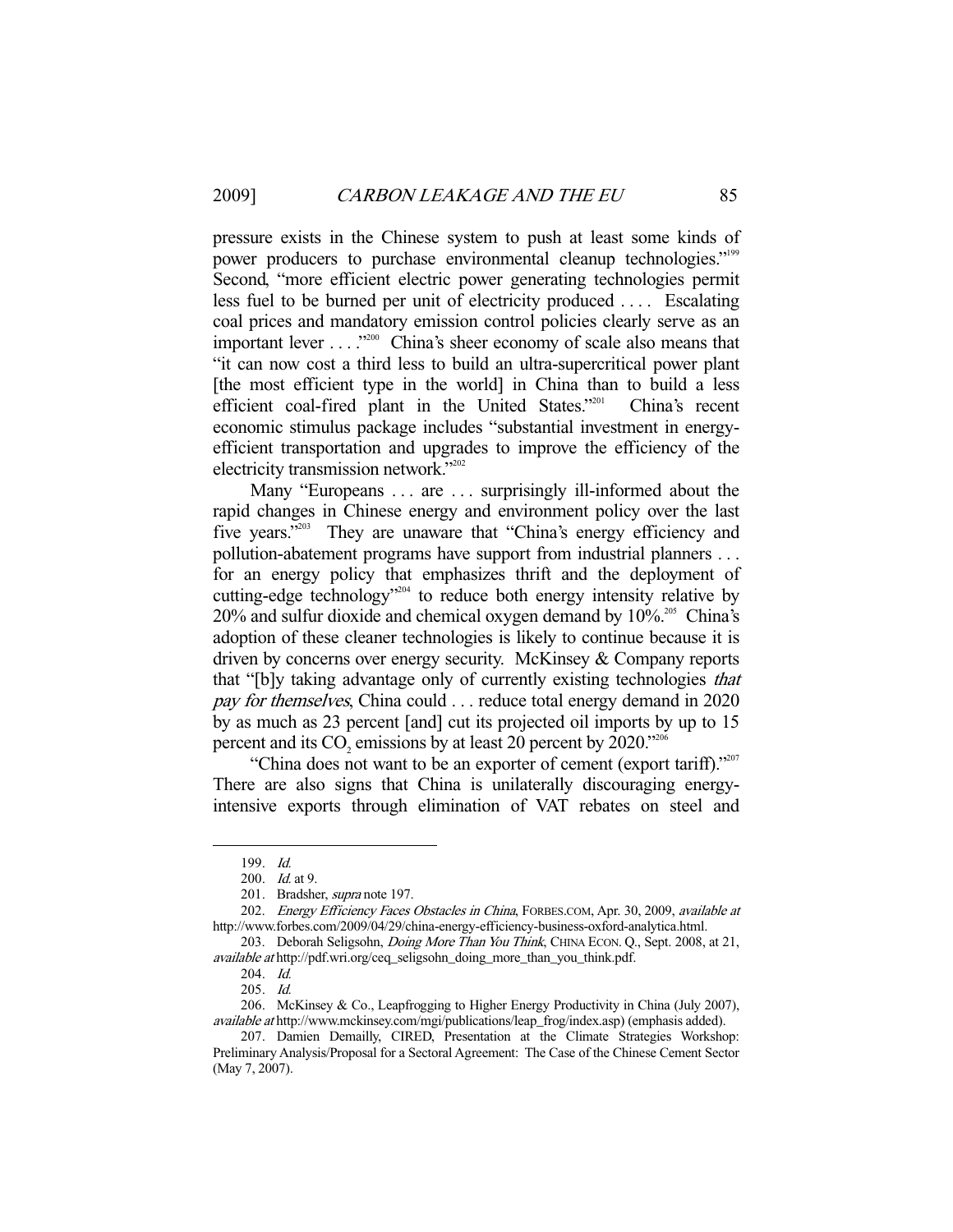pressure exists in the Chinese system to push at least some kinds of power producers to purchase environmental cleanup technologies."<sup>199</sup> Second, "more efficient electric power generating technologies permit less fuel to be burned per unit of electricity produced . . . . Escalating coal prices and mandatory emission control policies clearly serve as an important lever . . . .<sup>2200</sup> China's sheer economy of scale also means that "it can now cost a third less to build an ultra-supercritical power plant [the most efficient type in the world] in China than to build a less efficient coal-fired plant in the United States."201 China's recent economic stimulus package includes "substantial investment in energyefficient transportation and upgrades to improve the efficiency of the electricity transmission network."202

Many "Europeans . . . are . . . surprisingly ill-informed about the rapid changes in Chinese energy and environment policy over the last five years."<sup>203</sup> They are unaware that "China's energy efficiency and pollution-abatement programs have support from industrial planners . . . for an energy policy that emphasizes thrift and the deployment of cutting-edge technology<sup> $204$ </sup> to reduce both energy intensity relative by  $20\%$  and sulfur dioxide and chemical oxygen demand by  $10\%$ <sup>205</sup> China's adoption of these cleaner technologies is likely to continue because it is driven by concerns over energy security. McKinsey & Company reports that "[b]y taking advantage only of currently existing technologies that pay for themselves, China could . . . reduce total energy demand in 2020 by as much as 23 percent [and] cut its projected oil imports by up to 15 percent and its  $CO_2$  emissions by at least 20 percent by 2020."<sup>206</sup>

"China does not want to be an exporter of cement (export tariff)." There are also signs that China is unilaterally discouraging energyintensive exports through elimination of VAT rebates on steel and

 <sup>199.</sup> Id.

<sup>200.</sup> *Id.* at 9.

<sup>201.</sup> Bradsher, *supra* note 197.

<sup>202.</sup> Energy Efficiency Faces Obstacles in China, FORBES.COM, Apr. 30, 2009, available at http://www.forbes.com/2009/04/29/china-energy-efficiency-business-oxford-analytica.html.

<sup>203.</sup> Deborah Seligsohn, *Doing More Than You Think*, CHINA ECON. Q., Sept. 2008, at 21, available at http://pdf.wri.org/ceq\_seligsohn\_doing\_more\_than\_you\_think.pdf.

 <sup>204.</sup> Id.

 <sup>205.</sup> Id.

 <sup>206.</sup> McKinsey & Co., Leapfrogging to Higher Energy Productivity in China (July 2007), available at http://www.mckinsey.com/mgi/publications/leap\_frog/index.asp) (emphasis added).

 <sup>207.</sup> Damien Demailly, CIRED, Presentation at the Climate Strategies Workshop: Preliminary Analysis/Proposal for a Sectoral Agreement: The Case of the Chinese Cement Sector (May 7, 2007).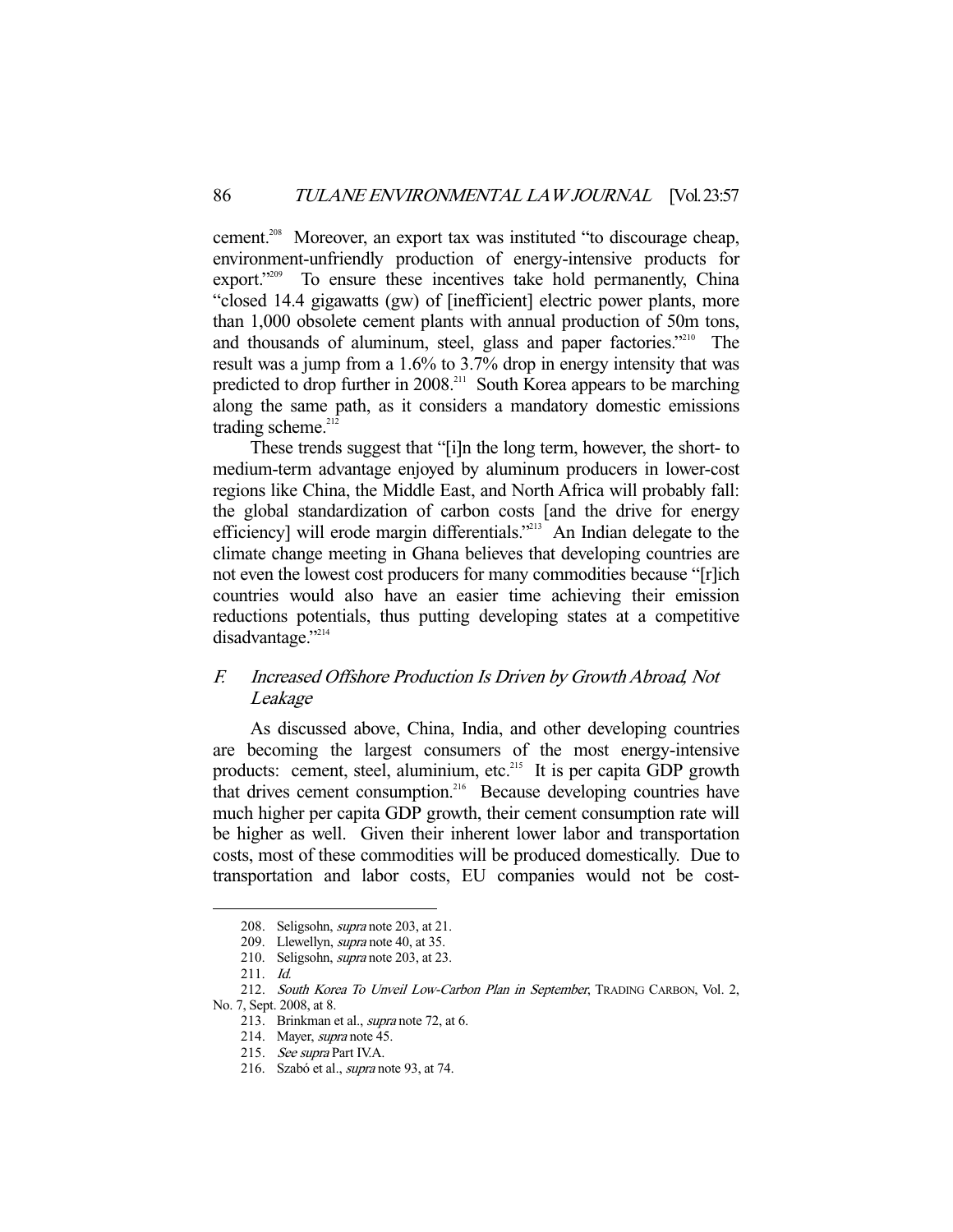cement.<sup>208</sup> Moreover, an export tax was instituted "to discourage cheap, environment-unfriendly production of energy-intensive products for export."<sup>209</sup> To ensure these incentives take hold permanently, China "closed 14.4 gigawatts (gw) of [inefficient] electric power plants, more than 1,000 obsolete cement plants with annual production of 50m tons, and thousands of aluminum, steel, glass and paper factories."<sup>210</sup> The result was a jump from a 1.6% to 3.7% drop in energy intensity that was predicted to drop further in 2008.<sup>211</sup> South Korea appears to be marching along the same path, as it considers a mandatory domestic emissions trading scheme. $212$ 

 These trends suggest that "[i]n the long term, however, the short- to medium-term advantage enjoyed by aluminum producers in lower-cost regions like China, the Middle East, and North Africa will probably fall: the global standardization of carbon costs [and the drive for energy efficiency] will erode margin differentials."<sup>213</sup> An Indian delegate to the climate change meeting in Ghana believes that developing countries are not even the lowest cost producers for many commodities because "[r]ich countries would also have an easier time achieving their emission reductions potentials, thus putting developing states at a competitive disadvantage."<sup>214</sup>

## F. Increased Offshore Production Is Driven by Growth Abroad, Not Leakage

 As discussed above, China, India, and other developing countries are becoming the largest consumers of the most energy-intensive products: cement, steel, aluminium, etc.<sup>215</sup> It is per capita GDP growth that drives cement consumption.<sup>216</sup> Because developing countries have much higher per capita GDP growth, their cement consumption rate will be higher as well. Given their inherent lower labor and transportation costs, most of these commodities will be produced domestically. Due to transportation and labor costs, EU companies would not be cost-

<sup>208.</sup> Seligsohn, *supra* note 203, at 21.

<sup>209.</sup> Llewellyn, *supra* note 40, at 35.

 <sup>210.</sup> Seligsohn, supra note 203, at 23.

 <sup>211.</sup> Id.

 <sup>212.</sup> South Korea To Unveil Low-Carbon Plan in September, TRADING CARBON, Vol. 2, No. 7, Sept. 2008, at 8.

<sup>213.</sup> Brinkman et al., *supra* note 72, at 6.

 <sup>214.</sup> Mayer, supra note 45.

 <sup>215.</sup> See supra Part IV.A.

 <sup>216.</sup> Szabó et al., supra note 93, at 74.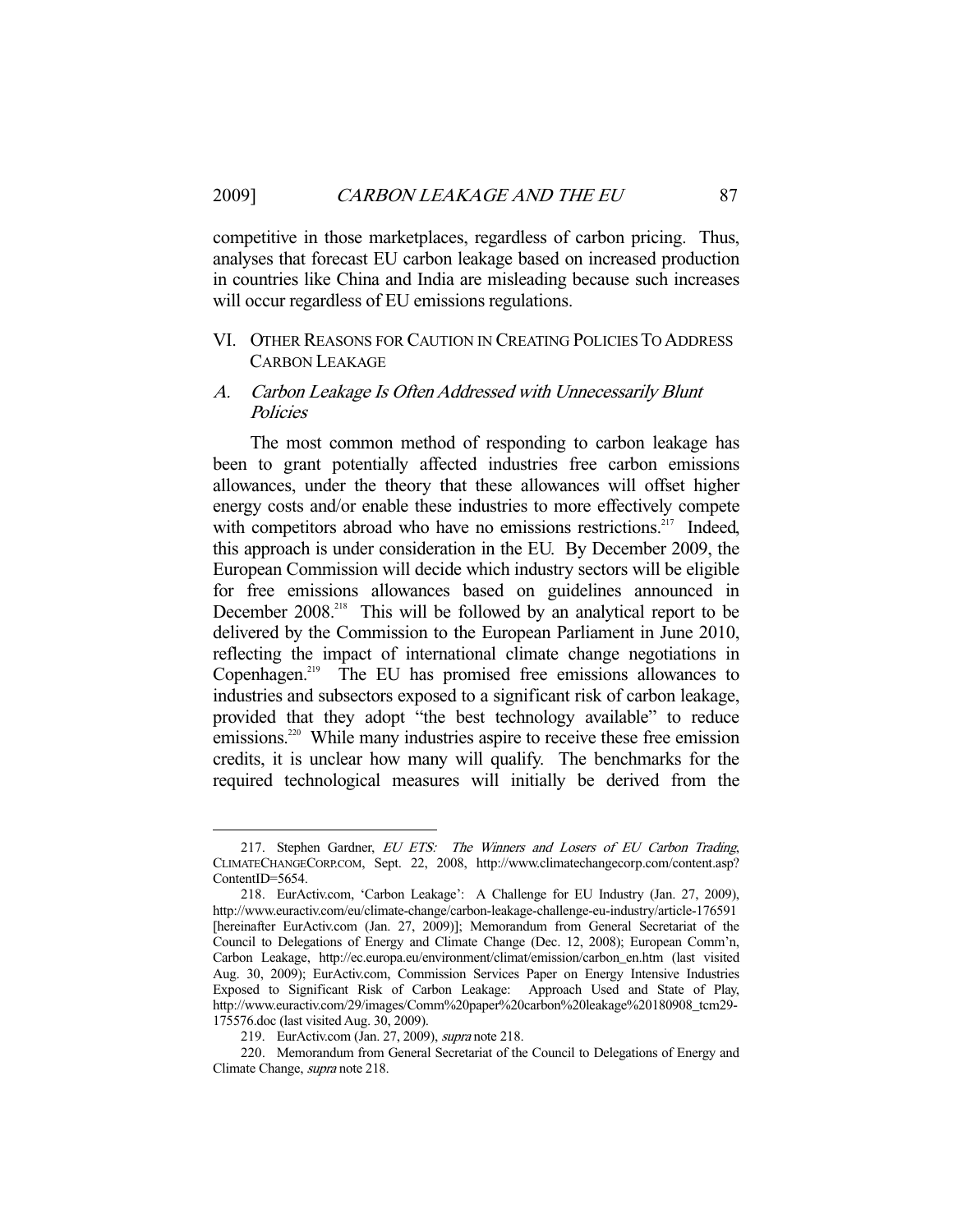competitive in those marketplaces, regardless of carbon pricing. Thus, analyses that forecast EU carbon leakage based on increased production in countries like China and India are misleading because such increases will occur regardless of EU emissions regulations.

## VI. OTHER REASONS FOR CAUTION IN CREATING POLICIES TO ADDRESS CARBON LEAKAGE

## A. Carbon Leakage Is Often Addressed with Unnecessarily Blunt **Policies**

 The most common method of responding to carbon leakage has been to grant potentially affected industries free carbon emissions allowances, under the theory that these allowances will offset higher energy costs and/or enable these industries to more effectively compete with competitors abroad who have no emissions restrictions.<sup>217</sup> Indeed, this approach is under consideration in the EU. By December 2009, the European Commission will decide which industry sectors will be eligible for free emissions allowances based on guidelines announced in December 2008<sup>218</sup> This will be followed by an analytical report to be delivered by the Commission to the European Parliament in June 2010, reflecting the impact of international climate change negotiations in Copenhagen.<sup>219</sup> The EU has promised free emissions allowances to industries and subsectors exposed to a significant risk of carbon leakage, provided that they adopt "the best technology available" to reduce emissions.<sup>220</sup> While many industries aspire to receive these free emission credits, it is unclear how many will qualify. The benchmarks for the required technological measures will initially be derived from the

<sup>217.</sup> Stephen Gardner, EU ETS: The Winners and Losers of EU Carbon Trading, CLIMATECHANGECORP.COM, Sept. 22, 2008, http://www.climatechangecorp.com/content.asp? ContentID=5654.

 <sup>218.</sup> EurActiv.com, 'Carbon Leakage': A Challenge for EU Industry (Jan. 27, 2009), http://www.euractiv.com/eu/climate-change/carbon-leakage-challenge-eu-industry/article-176591 [hereinafter EurActiv.com (Jan. 27, 2009)]; Memorandum from General Secretariat of the Council to Delegations of Energy and Climate Change (Dec. 12, 2008); European Comm'n, Carbon Leakage, http://ec.europa.eu/environment/climat/emission/carbon\_en.htm (last visited Aug. 30, 2009); EurActiv.com, Commission Services Paper on Energy Intensive Industries Exposed to Significant Risk of Carbon Leakage: Approach Used and State of Play, http://www.euractiv.com/29/images/Comm%20paper%20carbon%20leakage%20180908\_tcm29- 175576.doc (last visited Aug. 30, 2009).

 <sup>219.</sup> EurActiv.com (Jan. 27, 2009), supra note 218.

 <sup>220.</sup> Memorandum from General Secretariat of the Council to Delegations of Energy and Climate Change, supra note 218.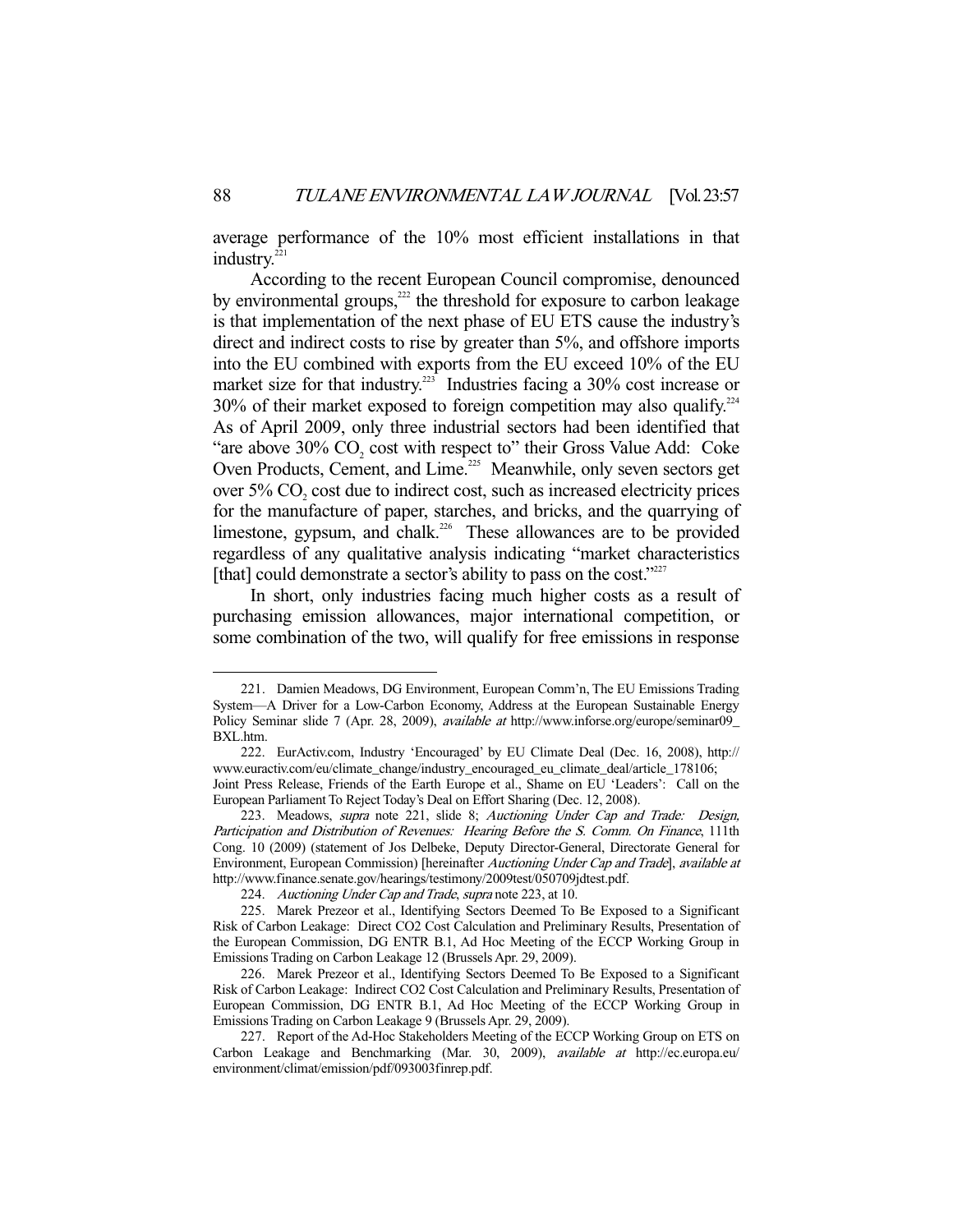average performance of the 10% most efficient installations in that industry.<sup>22</sup>

 According to the recent European Council compromise, denounced by environmental groups, $^{222}$  the threshold for exposure to carbon leakage is that implementation of the next phase of EU ETS cause the industry's direct and indirect costs to rise by greater than 5%, and offshore imports into the EU combined with exports from the EU exceed 10% of the EU market size for that industry.<sup>223</sup> Industries facing a 30% cost increase or  $30\%$  of their market exposed to foreign competition may also qualify.<sup>224</sup> As of April 2009, only three industrial sectors had been identified that "are above  $30\%$  CO<sub>2</sub> cost with respect to" their Gross Value Add: Coke Oven Products, Cement, and Lime.<sup>225</sup> Meanwhile, only seven sectors get over  $5\%$  CO<sub>2</sub> cost due to indirect cost, such as increased electricity prices for the manufacture of paper, starches, and bricks, and the quarrying of limestone, gypsum, and chalk.<sup>226</sup> These allowances are to be provided regardless of any qualitative analysis indicating "market characteristics [that] could demonstrate a sector's ability to pass on the cost."<sup>227</sup>

 In short, only industries facing much higher costs as a result of purchasing emission allowances, major international competition, or some combination of the two, will qualify for free emissions in response

 <sup>221.</sup> Damien Meadows, DG Environment, European Comm'n, The EU Emissions Trading System—A Driver for a Low-Carbon Economy, Address at the European Sustainable Energy Policy Seminar slide 7 (Apr. 28, 2009), *available at* http://www.inforse.org/europe/seminar09 BXL.htm.

 <sup>222.</sup> EurActiv.com, Industry 'Encouraged' by EU Climate Deal (Dec. 16, 2008), http:// www.euractiv.com/eu/climate\_change/industry\_encouraged\_eu\_climate\_deal/article\_178106; Joint Press Release, Friends of the Earth Europe et al., Shame on EU 'Leaders': Call on the European Parliament To Reject Today's Deal on Effort Sharing (Dec. 12, 2008).

<sup>223.</sup> Meadows, *supra* note 221, slide 8; Auctioning Under Cap and Trade: Design, Participation and Distribution of Revenues: Hearing Before the S. Comm. On Finance, 111th Cong. 10 (2009) (statement of Jos Delbeke, Deputy Director-General, Directorate General for Environment, European Commission) [hereinafter Auctioning Under Cap and Trade], available at http://www.finance.senate.gov/hearings/testimony/2009test/050709jdtest.pdf.

<sup>224.</sup> Auctioning Under Cap and Trade, supra note 223, at 10.

 <sup>225.</sup> Marek Prezeor et al., Identifying Sectors Deemed To Be Exposed to a Significant Risk of Carbon Leakage: Direct CO2 Cost Calculation and Preliminary Results, Presentation of the European Commission, DG ENTR B.1, Ad Hoc Meeting of the ECCP Working Group in Emissions Trading on Carbon Leakage 12 (Brussels Apr. 29, 2009).

 <sup>226.</sup> Marek Prezeor et al., Identifying Sectors Deemed To Be Exposed to a Significant Risk of Carbon Leakage: Indirect CO2 Cost Calculation and Preliminary Results, Presentation of European Commission, DG ENTR B.1, Ad Hoc Meeting of the ECCP Working Group in Emissions Trading on Carbon Leakage 9 (Brussels Apr. 29, 2009).

 <sup>227.</sup> Report of the Ad-Hoc Stakeholders Meeting of the ECCP Working Group on ETS on Carbon Leakage and Benchmarking (Mar. 30, 2009), available at http://ec.europa.eu/ environment/climat/emission/pdf/093003finrep.pdf.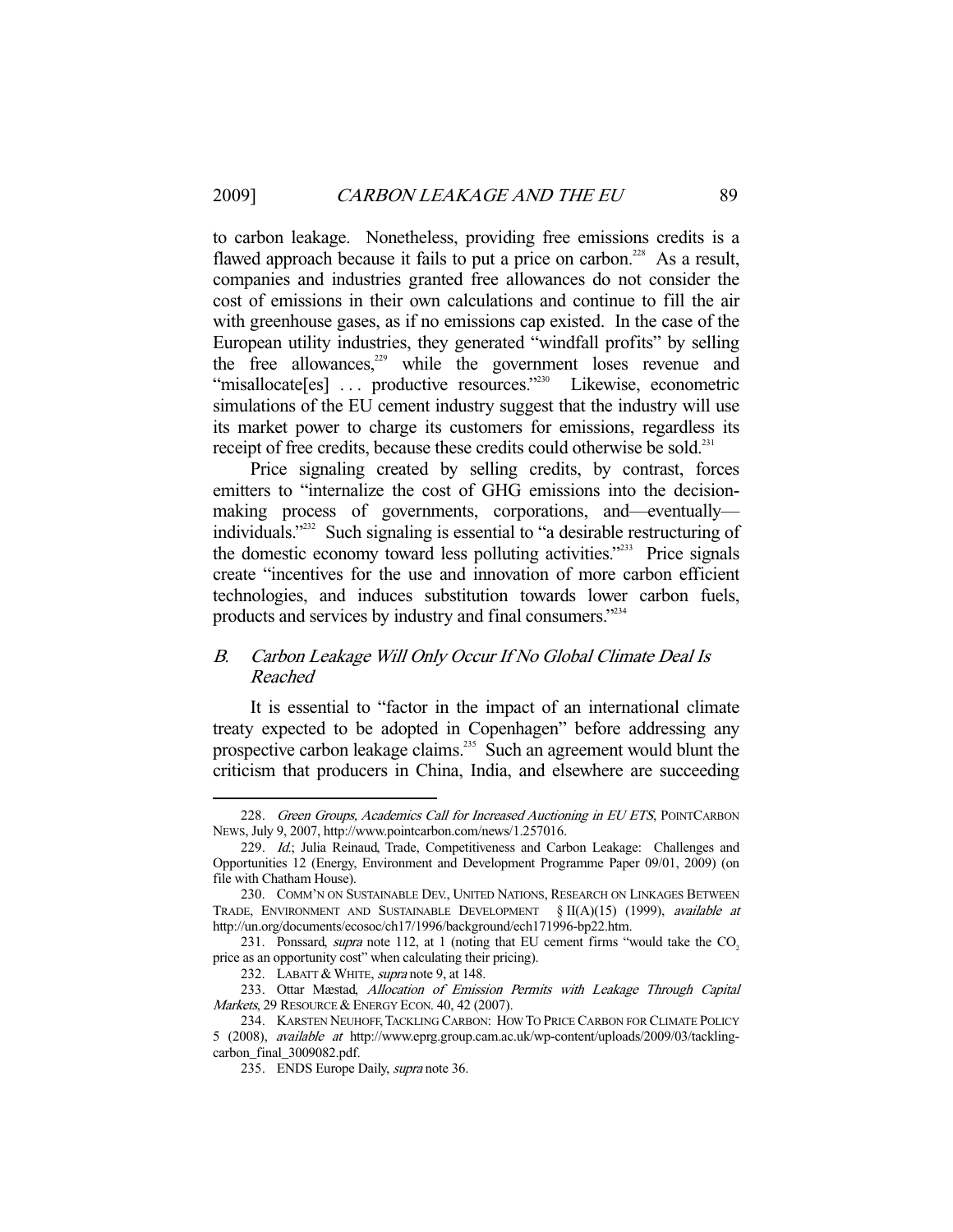to carbon leakage. Nonetheless, providing free emissions credits is a flawed approach because it fails to put a price on carbon.<sup>228</sup> As a result, companies and industries granted free allowances do not consider the cost of emissions in their own calculations and continue to fill the air with greenhouse gases, as if no emissions cap existed. In the case of the European utility industries, they generated "windfall profits" by selling the free allowances, $229$  while the government loses revenue and "misallocate[es] ... productive resources."<sup>230</sup> Likewise, econometric simulations of the EU cement industry suggest that the industry will use its market power to charge its customers for emissions, regardless its receipt of free credits, because these credits could otherwise be sold.<sup>231</sup>

 Price signaling created by selling credits, by contrast, forces emitters to "internalize the cost of GHG emissions into the decisionmaking process of governments, corporations, and—eventually individuals."232 Such signaling is essential to "a desirable restructuring of the domestic economy toward less polluting activities."233 Price signals create "incentives for the use and innovation of more carbon efficient technologies, and induces substitution towards lower carbon fuels, products and services by industry and final consumers."<sup>234</sup>

## B. Carbon Leakage Will Only Occur If No Global Climate Deal Is Reached

 It is essential to "factor in the impact of an international climate treaty expected to be adopted in Copenhagen" before addressing any prospective carbon leakage claims.<sup>235</sup> Such an agreement would blunt the criticism that producers in China, India, and elsewhere are succeeding

<sup>228.</sup> Green Groups, Academics Call for Increased Auctioning in EU ETS, POINTCARBON NEWS, July 9, 2007, http://www.pointcarbon.com/news/1.257016.

<sup>229.</sup> Id.; Julia Reinaud, Trade, Competitiveness and Carbon Leakage: Challenges and Opportunities 12 (Energy, Environment and Development Programme Paper 09/01, 2009) (on file with Chatham House).

 <sup>230.</sup> COMM'N ON SUSTAINABLE DEV., UNITED NATIONS, RESEARCH ON LINKAGES BETWEEN TRADE, ENVIRONMENT AND SUSTAINABLE DEVELOPMENT  $\S II(A)(15)$  (1999), *available at* http://un.org/documents/ecosoc/ch17/1996/background/ech171996-bp22.htm.

<sup>231.</sup> Ponssard, *supra* note 112, at 1 (noting that EU cement firms "would take the CO<sub>2</sub> price as an opportunity cost" when calculating their pricing).

<sup>232.</sup> LABATT & WHITE, *supra* note 9, at 148.

 <sup>233.</sup> Ottar Mæstad, Allocation of Emission Permits with Leakage Through Capital Markets, 29 RESOURCE & ENERGY ECON. 40, 42 (2007).

 <sup>234.</sup> KARSTEN NEUHOFF,TACKLING CARBON: HOW TO PRICE CARBON FOR CLIMATE POLICY 5 (2008), available at http://www.eprg.group.cam.ac.uk/wp-content/uploads/2009/03/tacklingcarbon\_final\_3009082.pdf.

<sup>235.</sup> ENDS Europe Daily, supra note 36.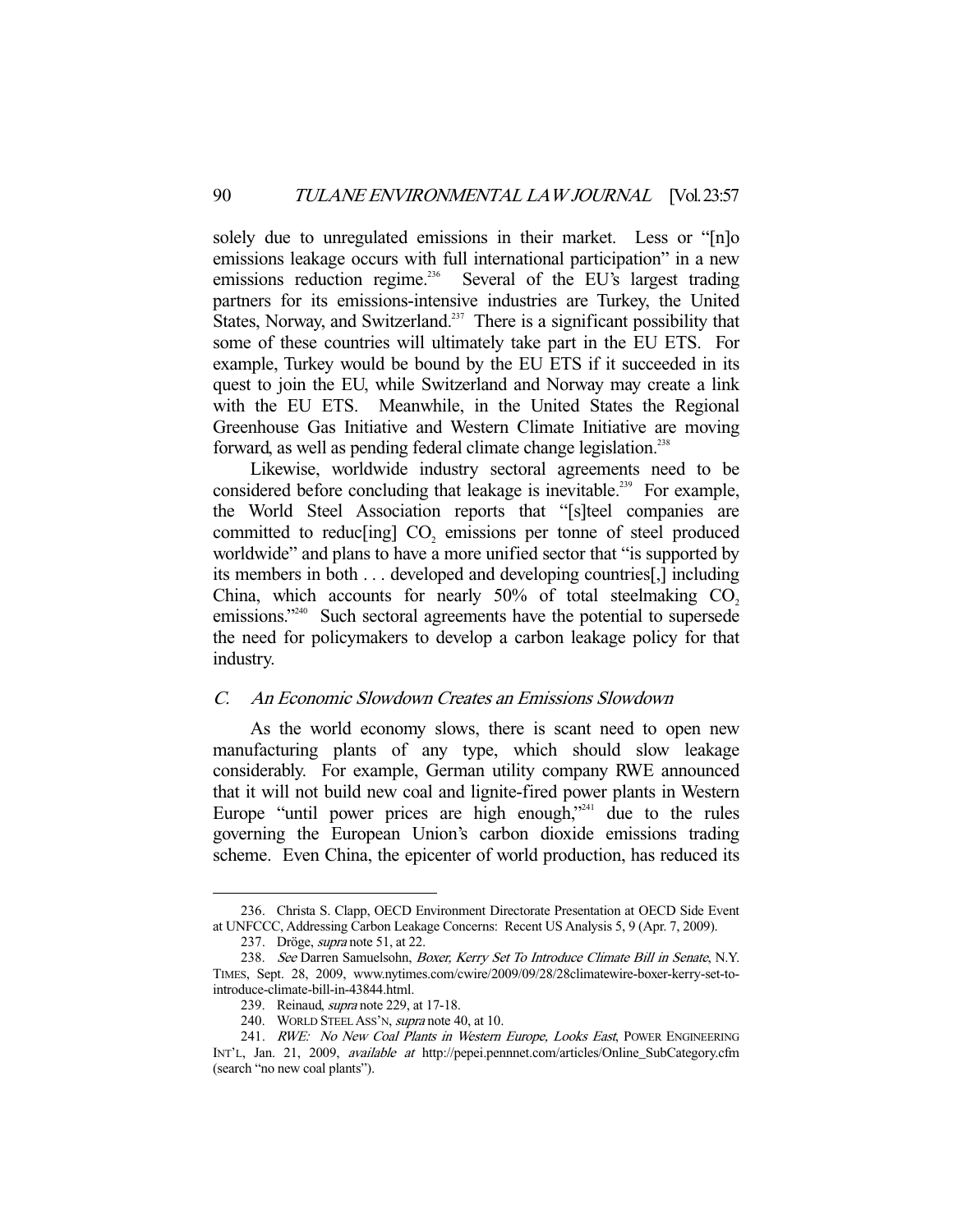solely due to unregulated emissions in their market. Less or "[n]o emissions leakage occurs with full international participation" in a new emissions reduction regime.<sup>236</sup> Several of the EU's largest trading partners for its emissions-intensive industries are Turkey, the United States, Norway, and Switzerland.<sup>237</sup> There is a significant possibility that some of these countries will ultimately take part in the EU ETS. For example, Turkey would be bound by the EU ETS if it succeeded in its quest to join the EU, while Switzerland and Norway may create a link with the EU ETS. Meanwhile, in the United States the Regional Greenhouse Gas Initiative and Western Climate Initiative are moving forward, as well as pending federal climate change legislation.<sup>238</sup>

 Likewise, worldwide industry sectoral agreements need to be considered before concluding that leakage is inevitable.<sup>239</sup> For example, the World Steel Association reports that "[s]teel companies are committed to reduc[ing]  $CO<sub>2</sub>$  emissions per tonne of steel produced worldwide" and plans to have a more unified sector that "is supported by its members in both . . . developed and developing countries[,] including China, which accounts for nearly  $50\%$  of total steelmaking CO<sub>2</sub> emissions."<sup>240</sup> Such sectoral agreements have the potential to supersede the need for policymakers to develop a carbon leakage policy for that industry.

#### C. An Economic Slowdown Creates an Emissions Slowdown

 As the world economy slows, there is scant need to open new manufacturing plants of any type, which should slow leakage considerably. For example, German utility company RWE announced that it will not build new coal and lignite-fired power plants in Western Europe "until power prices are high enough,"<sup>241</sup> due to the rules governing the European Union's carbon dioxide emissions trading scheme. Even China, the epicenter of world production, has reduced its

 <sup>236.</sup> Christa S. Clapp, OECD Environment Directorate Presentation at OECD Side Event at UNFCCC, Addressing Carbon Leakage Concerns: Recent US Analysis 5, 9 (Apr. 7, 2009).

 <sup>237.</sup> Dröge, supra note 51, at 22.

 <sup>238.</sup> See Darren Samuelsohn, Boxer, Kerry Set To Introduce Climate Bill in Senate, N.Y. TIMES, Sept. 28, 2009, www.nytimes.com/cwire/2009/09/28/28climatewire-boxer-kerry-set-tointroduce-climate-bill-in-43844.html.

<sup>239.</sup> Reinaud, *supra* note 229, at 17-18.

 <sup>240.</sup> WORLD STEEL ASS'N, supra note 40, at 10.

<sup>241.</sup> RWE: No New Coal Plants in Western Europe, Looks East, POWER ENGINEERING INT'L, Jan. 21, 2009, available at http://pepei.pennnet.com/articles/Online\_SubCategory.cfm (search "no new coal plants").